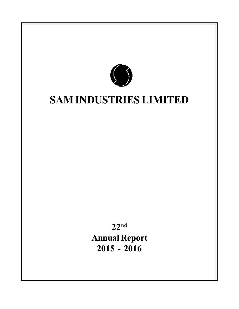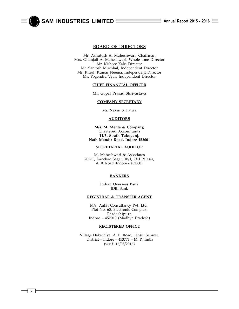## $\bullet$  **SAM INDUSTRIES LIMITED**  $\equiv$  **Annual Report 2015 - 2016**  $\equiv$

#### **BOARD OF DIRECTORS**

Mr. Ashutosh A. Maheshwari, Chairman Mrs. Gitanjali A. Maheshwari, Whole time Director Mr. Kishore Kale, Director Mr. Santosh Muchhal, Independent Director Mr. Ritesh Kumar Neema, Independent Director Mr. Yogendra Vyas, Independent Director

#### **CHIEF FINANCIAL OFFICER**

Mr. Gopal Prasad Shrivastava

#### **COMPANY SECRETARY**

Mr. Navin S. Patwa

#### **AUDITORS**

**M/s. M. Mehta & Company,** Chartered Accountants **11/5, South Tukoganj, Nath Mandir Road, Indore-452001**

#### **SECRETARIAL AUDITOR**

M. Maheshwari & Associates 202-C, Kanchan Sagar, 18/1, Old Palasia, A. B. Road, Indore - 452 001

#### **BANKERS**

Indian Overseas Bank IDBI Bank

#### **REGISTRAR & TRANSFER AGENT**

M/s. Ankit Consultancy Pvt. Ltd., Plot No. 60, Electronic Complex, Pardeshipura Indore – 452010 (Madhya Pradesh)

#### **REGISTERED OFFICE**

Village Dakachiya, A. B. Road, Tehsil: Sanwer, District – Indore – 453771 – M. P., India (w.e.f. 16/08/2016)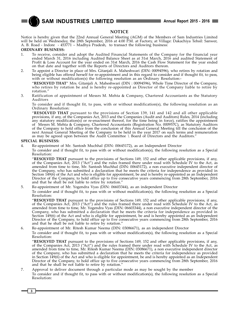

#### **NOTICE**

Notice is hereby given that the 22nd Annual General Meeting (AGM) of the Members of Sam Industries Limited will be held on Wednesday, the 28th September, 2016 at 4:00 P.M. at Factory, at Village: Dakachiya Tehsil: Sanwer, A. B. Road - Indore - 453771 – Madhya Pradesh, to transact the following business:

#### **ORDINARY BUSINESS:**

- 1. To receive, consider and adopt the Audited Financial Statements of the Company for the financial year ended March 31, 2016 including Audited Balance Sheet as at 31st March, 2016 and audited Statement of Profit & Loss Account for the year ended on 31st March, 2016 the Cash Flow Statement for the year ended on that date and together with the Reports of Directors and Auditors thereon.
- 2. To appoint a Director in place of Mrs. Gitanjali A. Maheshwari (DIN: 00094596), who retires by rotation and being eligible has offered herself for re-appointment and in this regard to consider and if thought fit, to pass, with or without modification(s) the following resolution as an Ordinary Resolution:-

"**RESOLVED THAT**" Mrs. Gitanjali A. Maheshwari (DIN : 00094596), Whole Time Director of the Company, who retires by rotation be and is hereby re-appointed as Director of the Company liable to retire by rotation."

3. Ratification of appointment of Messrs M. Mehta & Company, Chartered Accountants as the Statutory Auditors

To consider and if thought fit, to pass, with or without modification(s), the following resolution as an Ordinary Resolution:

"**RESOLVED THAT** pursuant to the provisions of Section 139, 141 and 142 and all other applicable provisions, if any, of the Companies Act, 2013 and the Companies (Audit and Auditors) Rules, 2014 (including any statutory modification(s) or re-enactment thereof, for the time being in force), ratifies the appointment of Messrs M. Mehta & Company, Chartered Accountants (Registration No. 000957C), as Statutory Auditors of the Company to hold office from the conclusion of this Annual General Meeting till the conclusion of the next Annual General Meeting of the Company to be held in the year 2017 on such terms and remuneration as may be agreed upon between the Audit Committee \ Board of Directors and the Auditors."

#### **SPECIAL BUSINESS:**

4. Re-appointment of Mr. Santosh Muchhal (DIN: 00645172), as an Independent Director

To consider and if thought fit, to pass with or without modification(s), the following resolution as a Special Resolution:

"**RESOLVED THAT** pursuant to the provisions of Sections 149, 152 and other applicable provisions, if any, of the Companies Act, 2013 ("Act") and the rules framed there under read with Schedule IV to the Act, as amended from time to time, Mr. Santosh Muchhal (DIN: 00645172), a non executive independent director of the Company, who has submitted a declaration that he meets the criteria for independence as provided in Section 149(6) of the Act and who is eligible for appointment, be and is hereby re-appointed as an Independent Director of the Company, to hold office up to five consecutive years commencing from 28th September, 2016 and that he shall be not liable to retire by rotation."

#### 5. Re-appointment of Mr. Yogendra Vyas (DIN: 06603344), as an independent Director

To consider and if thought fit, to pass with or without modification(s), the following resolution as a Special Resolution:

"**RESOLVED THAT** pursuant to the provisions of Sections 149, 152 and other applicable provisions, if any, of the Companies Act, 2013 ("Act") and the rules framed there under read with Schedule IV to the Act, as amended from time to time, Mr. Yogendra Vyas (DIN: 06603344), a non executive independent director of the Company, who has submitted a declaration that he meets the criteria for independence as provided in Section 149(6) of the Act and who is eligible for appointment, be and is hereby appointed as an Independent Director of the Company, to hold office up to five consecutive years commencing from 28th September, 2016 and that he shall be not liable to retire by rotation."

6. Re-appointment of Mr. Ritesh Kumar Neema (DIN: 03086671), as an independent Director To consider and if thought fit, to pass with or without modification(s), the following resolution as a Special Resolution:

"**RESOLVED THAT** pursuant to the provisions of Sections 149, 152 and other applicable provisions, if any, of the Companies Act, 2013 ("Act") and the rules framed there under read with Schedule IV to the Act, as amended from time to time, Mr. Ritesh Kumar Neema (DIN: 03086671), a non executive independent director of the Company, who has submitted a declaration that he meets the criteria for independence as provided in Section 149(6) of the Act and who is eligible for appointment, be and is hereby appointed as an Independent Director of the Company, to hold office up to five consecutive years commencing from 28th September, 2016 and that he shall be not liable to retire by rotation."

#### 7. Approval to deliver document through a particular mode as may be sought by the member

To consider and if thought fit, to pass with or without modification(s), the following resolution as a Special Resolution:

**3**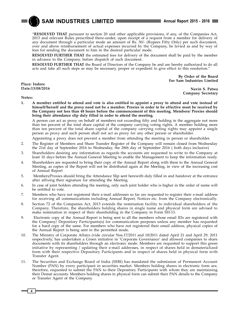$\bullet$  **SAM INDUSTRIES LIMITED**  $\equiv$  **Annual Report 2015 - 2016**  $\equiv$ 

"**RESOLVED THAT** pursuant to section 20 and other applicable provisions, if any, of the Companies Act, 2013 and relevant Rules prescribed there-under, upon receipt of a request from a member for delivery of any document through a particular mode an amount of Rs. 50/- (Rupees Fifty Only) per such document, over and above reimbursement of actual expenses incurred by the Company, be levied as and by way of fees for sending the document to him in the desired particular mode.

**RESOLVED FURTHER THAT** the estimated fees for delivery of the document shall be paid by the member in advance to the Company, before dispatch of such document.

**RESOLVED FURTHER THAT** the Board of Directors of the Company be and are hereby authorized to do all acts and take all such steps as may be necessary, proper or expedient to give effect to this resolution."

> **By Order of the Board For Sam Industries Limited**

**Place: Indore Date:13/08/2016**

**Navin S. Patwa Company Secretary**

**Notes:**

**1. A member entitled to attend and vote is also entitled to appoint a proxy to attend and vote instead of himself/herself and the proxy need not be a member. Proxies in order to be effective must be received by the Company not less than 48 hours before the commencement of this meeting. Members/ Proxies should bring their attendance slip duly filled in order to attend the meeting.**

A person can act as proxy on behalf of members not exceeding fifty and holding in the aggregate not more than ten percent of the total share capital of the company carrying voting rights. A member holding more than ten percent of the total share capital of the company carrying voting rights may appoint a single person as proxy and such person shall not act as proxy for any other person or shareholder.

Appointing a proxy does not prevent a member from attending the meeting in person or shareholder.

- 2. The Register of Members and Share Transfer Register of the Company will remain closed from Wednesday the 21st day of September 2016 to Wednesday, the 28th day of September 2016 ( both days inclusive)
- 3. Shareholders desiring any information as regards the accounts are requested to write to the Company at least 10 days before the Annual General Meeting to enable the Management to keep the information ready.
- 4. Shareholders are requested to bring their copy of the Annual Report along with them to the Annual General Meeting, as copies of the Report will not be distributed again at the Meeting, in view of the increasing cost of Annual Report
- 5. Members/Proxies should bring the Attendance Slip sent herewith duly filled in and handover at the entrance after affixing their signature for attending the Meeting.
- 6. In case of joint holders attending the meeting, only such joint holder who is higher in the order of name will be entitled to vote.
- 7. Members who have not registered their e-mail addresses so far are requested to register their e-mail address for receiving all communications including Annual Report, Notices etc. from the Company electronically.
- 8. Section 72 of the Companies Act, 2013 extends the nomination facility to individual shareholders of the Company. Therefore, the shareholders holding shares in single name and physical form are advised to make nomination in respect of their shareholding in the Company in Form SH-13.
- 9. Electronic copy of the Annual Report is being sent to all the members whose email IDs are registered with the Company/ Depository Participants(s) for communication purposes unless any member has requested for a hard copy of the same. For members who have not registered their email address, physical copies of the Annual Report is being sent in the permitted mode.
- 10. The Ministry of Corporate Affairs (vide circular Nos.17/2011 and 18/2011 dated April 21 and April 29, 2011 respectively, has undertaken a Green initiative in 'Corporate Governance' and allowed companies to share documents with its shareholders through an electronic mode. Members are requested to support this green initiative by representing / updating their e-mail addresses, in respect of shares held in dematerialized form with their respective Depository Participants and in respect of shares held in physical form with Transfer Agent.
- 11. The Securities and Exchange Board of India (SEBI) has mandated the submission of Permanent Account Number (PAN) by every participant in securities market. Members holding shares in electronic form are, therefore, requested to submit the PAN to their Depository Participants with whom they are maintaining their Demat accounts. Members holding shares in physical form can submit their PAN details to the Company or Transfer Agent of the Company.

**4**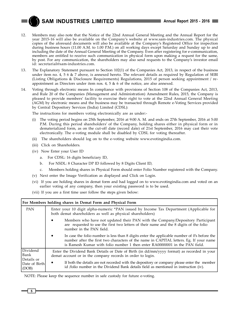

- 12. Members may also note that the Notice of the 22nd Annual General Meeting and the Annual Report for the year 2015-16 will also be available on the Company's website at www.sam-industries.com. The physical copies of the aforesaid documents will also be available at the Company's Registered Office for inspection during business hours (11.00 A.M. to 1.00 P.M.) on all working days except Saturday and Sunday up to and including the date of the Annual General Meeting of the Company. Even after registering for e-communication, members are entitled to receive such communication in physical form upon making a request for the same, by post. For any communication, the shareholders may also send requests to the Company's investor email id: secretarial@sam-industries.com.
- 13. The Explanatory Statement pursuant to Section 102(1) of the Companies Act, 2013, in respect of the business under item no. 4, 5 6 & 7 above, is annexed hereto. The relevant details as required by Regulation of SEBI (Listing Obligations & Disclosure Requirements) Regulations, 2015 of person seeking appointment / reappointment as Directors under item nos. 4, 5  $\&$  6 of the notice, are also annexed.
- 14. Voting through electronic means In compliance with provisions of Section 108 of the Companies Act, 2013, and Rule 20 of the Companies (Management and Administration) Amendment Rules, 2015, the Company is pleased to provide members' facility to exercise their right to vote at the 22nd Annual General Meeting (AGM) by electronic means and the business may be transacted through Remote e-Voting Services provided by Central Depository Services (India) Limited (CDSL):

The instructions for members voting electronically are as under:-

- (i) The voting period begins on 25th September, 2016 at 9:00 A. M. and ends on 27th September, 2016 at 5:00 P.M. During this period shareholders' of the Company, holding shares either in physical form or in dematerialized form, as on the cut-off date (record date) of 21st September, 2016 may cast their vote electronically. The e-voting module shall be disabled by CDSL for voting thereafter.
- (ii) The shareholders should log on to the e-voting website www.evotingindia.com.
- (iii) Click on Shareholders.
- (iv) Now Enter your User ID
	- a. For CDSL: 16 digits beneficiary ID,
	- b. For NSDL: 8 Character DP ID followed by 8 Digits Client ID,
	- c. Members holding shares in Physical Form should enter Folio Number registered with the Company.
- (v) Next enter the Image Verification as displayed and Click on Login.
- (vi) If you are holding shares in demat form and had logged on to www.evotingindia.com and voted on an earlier voting of any company, then your existing password is to be used.
- (vii) If you are a first time user follow the steps given below:

|                                       | For Members holding shares in Demat Form and Physical Form                                                                                                                                                                                                                              |
|---------------------------------------|-----------------------------------------------------------------------------------------------------------------------------------------------------------------------------------------------------------------------------------------------------------------------------------------|
| PAN                                   | Enter your 10 digit alpha-numeric *PAN issued by Income Tax Department (Applicable for<br>both demat shareholders as well as physical shareholders)                                                                                                                                     |
|                                       | Members who have not updated their PAN with the Company/Depository Participant<br>$\bullet$<br>are requested to use the first two letters of their name and the 8 digits of the folio<br>number in the PAN field.                                                                       |
|                                       | In case the folio number is less than $8$ digits enter the applicable number of $0$ 's before the<br>$\bullet$<br>number after the first two characters of the name in CAPITAL letters. Eg. If your name<br>is Ramesh Kumar with folio number 1 then enter RA00000001 in the PAN field. |
| Dividend<br>Bank                      | Enter the Dividend Bank Details or Date of Birth (in dd/mm/yyyy format) as recorded in your<br>demat account or in the company records in order to login.                                                                                                                               |
| Details or<br>Date of Birthl<br>(DOB) | If both the details are not recorded with the depository or company please enter the member<br>id /folio number in the Dividend Bank details field as mentioned in instruction (iv).                                                                                                    |

NOTE: Please keep the sequence number in safe custody for future e-voting.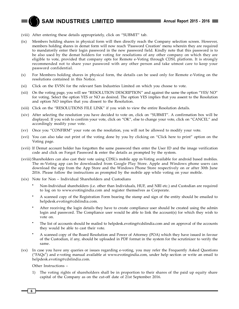

- (viii) After entering these details appropriately, click on "SUBMIT" tab.
- (ix) Members holding shares in physical form will then directly reach the Company selection screen. However, members holding shares in demat form will now reach 'Password Creation' menu wherein they are required to mandatorily enter their login password in the new password field. Kindly note that this password is to be also used by the demat holders for voting for resolutions of any other company on which they are eligible to vote, provided that company opts for Remote e-Voting through CDSL platform. It is strongly recommended not to share your password with any other person and take utmost care to keep your password confidential.
- (x) For Members holding shares in physical form, the details can be used only for Remote e-Voting on the resolutions contained in this Notice.
- (xi) Click on the EVSN for the relevant Sam Industries Limited on which you choose to vote.
- (xii) On the voting page, you will see "RESOLUTION DESCRIPTION" and against the same the option "YES/ NO" for voting. Select the option YES or NO as desired. The option YES implies that you assent to the Resolution and option NO implies that you dissent to the Resolution.
- (xiii) Click on the "RESOLUTIONS FILE LINK" if you wish to view the entire Resolution details.
- (xiv) After selecting the resolution you have decided to vote on, click on "SUBMIT". A confirmation box will be displayed. If you wish to confirm your vote, click on "OK", else to change your vote, click on "CANCEL" and accordingly modify your vote.
- (xv) Once you "CONFIRM" your vote on the resolution, you will not be allowed to modify your vote.
- (xvi) You can also take out print of the voting done by you by clicking on "Click here to print" option on the Voting page.
- (xvii) If Demat account holder has forgotten the same password then enter the User ID and the image verification code and click on Forgot Password & enter the details as prompted by the system.
- (xviii) Shareholders can also cast their vote using CDSL's mobile app m-Voting available for android based mobiles. The m-Voting app can be downloaded from Google Play Store. Apple and Windows phone users can download the app from the App Store and the Windows Phone Store respectively on or after 30th June 2016. Please follow the instructions as prompted by the mobile app while voting on your mobile.
- (xix) Note for Non Individual Shareholders and Custodians
	- Non-Individual shareholders (i.e. other than Individuals, HUF, and NRI etc.) and Custodian are required to log on to www.evotingindia.com and register themselves as Corporate.
	- A scanned copy of the Registration Form bearing the stamp and sign of the entity should be emailed to helpdesk.evoting@cdslindia.com.
	- After receiving the login details they have to create compliance user should be created using the admin login and password. The Compliance user would be able to link the account(s) for which they wish to vote on.
	- The list of accounts should be mailed to helpdesk.evoting@cdslindia.com and on approval of the accounts they would be able to cast their vote.
	- A scanned copy of the Board Resolution and Power of Attorney (POA) which they have issued in favour of the Custodian, if any, should be uploaded in PDF format in the system for the scrutinizer to verify the same.
- (xx) In case you have any queries or issues regarding e-voting, you may refer the Frequently Asked Questions ("FAQs") and e-voting manual available at www.evotingindia.com, under help section or write an email to helpdesk.evoting@cdslindia.com.

Other Instructions –

1) The voting rights of shareholders shall be in proportion to their shares of the paid up equity share capital of the Company as on the cut-off date of 21st September 2016.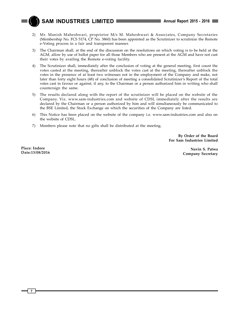$\bullet$  **SAM INDUSTRIES LIMITED**  $\equiv$  **Annual Report 2015 - 2016**  $\equiv$ 

- 2) Mr. Manish Maheshwari, proprietor M/s M. Maheshwari & Associates, Company Secretaries (Membership No. FCS 5174, CP No. 3860) has been appointed as the Scrutinizer to scrutinize the Remote e-Voting process in a fair and transparent manner.
- 3) The Chairman shall, at the end of the discussion on the resolutions on which voting is to be held at the AGM, allow by use of ballot paper for all those Members who are present at the AGM and have not cast their votes by availing the Remote e-voting facility.
- 4) The Scrutinizer shall, immediately after the conclusion of voting at the general meeting, first count the votes casted at the meeting, thereafter unblock the votes cast at the meeting, thereafter unblock the votes in the presence of at least two witnesses not in the employment of the Company and make, not later than forty eight hours (48) of conclusion of meeting a consolidated Scrutinizer's Report of the total votes cast in favour or against, if any, to the Chairman or a person authorized him in writing who shall countersign the same.
- 5) The results declared along with the report of the scrutinizer will be placed on the website of the Company. Viz. www.sam-industries.com and website of CDSL immediately after the results are declared by the Chairman or a person authorized by him and will simultaneously be communicated to the BSE Limited, the Stock Exchange on which the securities of the Company are listed.
- 6) This Notice has been placed on the website of the company i.e. www.sam-industries.com and also on the website of CDSL.
- 7) Members please note that no gifts shall be distributed at the meeting.

**By Order of the Board For Sam Industries Limited**

**Place: Indore Date:13/08/2016**

**Navin S. Patwa Company Secretary**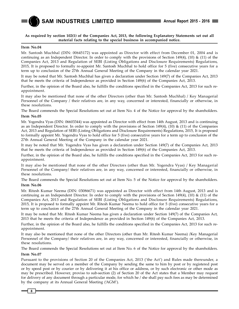

#### **As required by section 102(1) of the Companies Act, 2013, the following Explanatory Statements set out all material facts relating to the special business in accompanied notice.**

#### **Item No.04**

Mr. Santosh Muchhal (DIN: 00645172) was appointed as Director with effect from December 01, 2004 and is continuing as an Independent Director. In order to comply with the provisions of Section 149(4), (10)  $\&$  (11) of the Companies Act, 2013 and Regulation of SEBI (Listing Obligations and Disclosure Requirements) Regulations, 2015, It is proposed to formally re-appoint Mr. Santosh Muchhal to hold office for 5 (five) consecutive years for a term up to conclusion of the 27th Annual General Meeting of the Company in the calendar year 2021.

It may be noted that Mr. Santosh Muchhal has given a declaration under Section 149(7) of the Companies Act, 2013 that he meets the criteria of Independence as provided in Section 149(6) of the Companies Act, 2013.

Further, in the opinion of the Board also, he fulfills the conditions specified in the Companies Act, 2013 for such reappointment.

It may also be mentioned that none of the other Directors (other than Mr. Santosh Muchhal) / Key Managerial Personnel of the Company / their relatives are, in any way, concerned or interested, financially or otherwise, in these resolutions.

The Board commends the Special Resolutions set out at Item No. 4 of the Notice for approval by the shareholders.

#### **Item No.05**

Mr. Yogendra Vyas (DIN: 06603344) was appointed as Director with effect from 14th August, 2013 and is continuing as an Independent Director. In order to comply with the provisions of Section 149(4), (10)  $\&$  (11) of the Companies Act, 2013 and Regulation of SEBI (Listing Obligations and Disclosure Requirements) Regulations, 2015, It is proposed to formally appoint Mr. Yogendra Vyas to hold office for 5 (five) consecutive years for a term up to conclusion of the 27th Annual General Meeting of the Company in the calendar year 2021.

It may be noted that Mr. Yogendra Vyas has given a declaration under Section 149(7) of the Companies Act, 2013 that he meets the criteria of Independence as provided in Section 149(6) of the Companies Act, 2013.

Further, in the opinion of the Board also, he fulfills the conditions specified in the Companies Act, 2013 for such reappointment.

It may also be mentioned that none of the other Directors (other than Mr. Yogendra Vyas) / Key Managerial Personnel of the Company/ their relatives are, in any way, concerned or interested, financially or otherwise, in these resolutions.

The Board commends the Special Resolutions set out at Item No. 5 of the Notice for approval by the shareholders. **Item No.06**

Mr. Ritesh Kumar Neema (DIN: 03086671) was appointed as Director with effect from 14th August, 2013 and is continuing as an Independent Director. In order to comply with the provisions of Section 149(4), (10)  $\&$  (11) of the Companies Act, 2013 and Regulation of SEBI (Listing Obligations and Disclosure Requirements) Regulations, 2015, It is proposed to formally appoint Mr. Ritesh Kumar Neema to hold office for 5 (five) consecutive years for a term up to conclusion of the 27th Annual General Meeting of the Company in the calendar year 2021.

It may be noted that Mr. Ritesh Kumar Neema has given a declaration under Section 149(7) of the Companies Act, 2013 that he meets the criteria of Independence as provided in Section 149(6) of the Companies Act, 2013.

Further, in the opinion of the Board also, he fulfills the conditions specified in the Companies Act, 2013 for such reappointment.

It may also be mentioned that none of the other Directors (other than Mr. Ritesh Kumar Neema) /Key Managerial Personnel of the Company/ their relatives are, in any way, concerned or interested, financially or otherwise, in these resolutions.

The Board commends the Special Resolutions set out at Item No. 6 of the Notice for approval by the shareholders.

#### **Item No.07**

Pursuant to the provisions of Section 20 of the Companies Act, 2013 ('the Act') and Rules made thereunder, a document may be served on a member of the Company by sending the same to him by post or by registered post or by speed post or by courier or by delivering it at his office or address, or by such electronic or other mode as may be prescribed. However, proviso to sub-section (2) of Section 20 of the Act states that a Member may request for delivery of any document through a particular mode, for which he / she shall pay such fees as may be determined by the company at its Annual General Meeting ('AGM').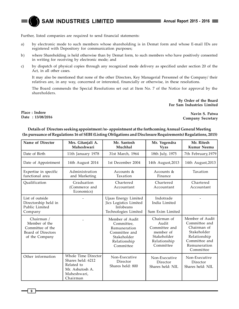

Further, listed companies are required to send financial statements:

- a) by electronic mode to such members whose shareholding is in Demat form and whose E-mail IDs are registered with Depository for communication purposes;
- b) where Shareholding is held otherwise than by Demat form, to such members who have positively consented in writing for receiving by electronic mode; and
- c) by dispatch of physical copies through any recognized mode delivery as specified under section 20 of the Act, in all other cases.

It may also be mentioned that none of the other Directors, Key Managerial Personnel of the Company/ their relatives are, in any way, concerned or interested, financially or otherwise, in these resolutions.

The Board commends the Special Resolutions set out at Item No. 7 of the Notice for approval by the shareholders.

> **By Order of the Board For Sam Industries Limited**

**Place : Indore Date : 13/08/2016**

**Navin S. Patwa Company Secretary**

#### **Details of Directors seeking appointment /re- appointment at the forthcoming Annual General Meeting (In pursuance of Regulations 16 of SEBI (Listing Obligations and Disclosure Requirements) Regulations, 2015)**

| Name of Director                                                                        | Mrs. Gitanjali A.<br>Maheshwari                                                                      | Mr. Santosh<br>Muchhal                                                                                     | Mr. Yogendra<br><b>Vyas</b>                                                                    | Mr. Ritesh<br><b>Kumar Neema</b>                                                                                             |
|-----------------------------------------------------------------------------------------|------------------------------------------------------------------------------------------------------|------------------------------------------------------------------------------------------------------------|------------------------------------------------------------------------------------------------|------------------------------------------------------------------------------------------------------------------------------|
| Date of Birth                                                                           | 11th January 1978                                                                                    | 31st March, 1964                                                                                           | 18th July, 1975                                                                                | 7th February, 1979                                                                                                           |
| Date of Appointment                                                                     | 14th August 2014                                                                                     | 1st December 2004                                                                                          | 14th August, 2013                                                                              | 14th August, 2013                                                                                                            |
| Expertise in specific<br>functional area                                                | Administration<br>and Marketing                                                                      | Accounts &<br>Taxation                                                                                     | Accounts &<br>Finance                                                                          | Taxation                                                                                                                     |
| Qualification                                                                           | Graduation<br>(Commerce and<br>Economics)                                                            | Chartered<br>Accountant                                                                                    | Chartered<br>Accountant                                                                        | Chartered<br>Accountant                                                                                                      |
| List of outside<br>Directorship held in<br>Public Limited<br>Company                    |                                                                                                      | Ujaas Energy Limited<br>Jics Logistics Limited<br>Infobeans<br>Technologies Limited                        | Indotrade<br>India Limited<br>Sam Exim Limited                                                 |                                                                                                                              |
| Chairman /<br>Member of the<br>Committee of the<br>Board of Directors<br>of the Company |                                                                                                      | Member of Audit<br>Committee,<br>Remuneration<br>Committee and<br>Stakeholder<br>Relationship<br>Committee | Chairman of<br>Audit<br>Committee and<br>member of<br>Stakeholder<br>Relationship<br>Committee | Member of Audit<br>Committee and<br>Chairman of<br>Stakeholder<br>Relationship<br>Committee and<br>Remuneration<br>Committee |
| Other information                                                                       | Whole Time Director<br>Shares held: 6212<br>Related to<br>Mr. Ashutosh A.<br>Maheshwari,<br>Chairman | Non-Executive<br>Director<br>Shares held: 800                                                              | Non-Executive<br>Director<br>Shares held: NIL                                                  | Non-Executive<br>Director<br>Shares held: NIL                                                                                |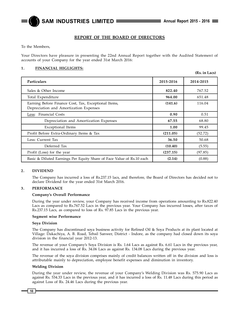

#### **REPORT OF THE BOARD OF DIRECTORS**

To the Members,

Your Directors have pleasure in presenting the 22nd Annual Report together with the Audited Statement of accounts of your Company for the year ended 31st March 2016:

#### **1. FINANCIAL HIGLIGHTS:**

 **(Rs. in Lacs)**

| <b>Particulars</b>                                                                             | 2015-2016 | 2014-2015 |
|------------------------------------------------------------------------------------------------|-----------|-----------|
| Sales & Other Income                                                                           | 822.40    | 767.52    |
| Total Expenditure                                                                              | 964.00    | 651.48    |
| Earning Before Finance Cost, Tax, Exceptional Items,<br>Depreciation and Amortization Expenses | (141.6)   | 116.04    |
| <b>Financial Costs</b><br>Less:                                                                | 0.90      | 0.51      |
| Depreciation and Amortization Expenses                                                         | 67.55     | 68.80     |
| <b>Exceptional Items</b>                                                                       | 1.00      | 99.45     |
| Profit Before Extra-Ordinary Items & Tax                                                       | (211.05)  | (52.72)   |
| Less: Current Tax                                                                              | 36.50     | 50.68     |
| Deferred Tax                                                                                   | (10.40)   | (5.55)    |
| Profit (Loss) for the year                                                                     | (237.15)  | (97.85)   |
| Basic & Diluted Earnings Per Equity Share of Face Value of Rs.10 each                          | (2.14)    | (0.88)    |

#### **2. DIVIDEND**

The Company has incurred a loss of Rs.237.15 lacs, and therefore, the Board of Directors has decided not to declare Dividend for the year ended 31st March 2016.

#### **3. PERFORMANCE**

#### **Company's Overall Performance**

During the year under review, your Company has received income from operations amounting to Rs.822.40 Lacs as compared to Rs.767.52 Lacs in the previous year. Your Company has incurred losses, after taxes of Rs.237.15 Lacs, as compared to loss of Rs. 97.85 Lacs in the previous year.

#### **Segment wise Performance**

#### **Soya Division**

The Company has discontinued soya business activity for Refined Oil & Soya Products at its plant located at Village: Dakachiya, A. B. Road, Tehsil Sanwer, District - Indore, as the company had closed down its soya division in the financial year 2012-13.

The revenue of your Company's Soya Division is Rs. 1.64 Lacs as against Rs. 6.61 Lacs in the previous year, and it has incurred a loss of Rs. 34.06 Lacs as against Rs. 134.08 Lacs during the previous year.

The revenue of the soya division comprises mainly of credit balances written off in the division and loss is attributable mainly to depreciation, employee benefit expenses and diminution in inventory.

#### **Welding Division**

During the year under review, the revenue of your Company's Welding Division was Rs. 575.90 Lacs as against Rs. 534.33 Lacs in the previous year, and it has incurred a loss of Rs. 11.48 Lacs during this period as against Loss of Rs. 24.46 Lacs during the previous year.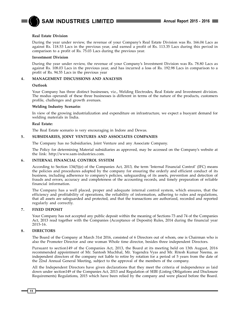

#### **Real Estate Division**

During the year under review, the revenue of your Company's Real Estate Division was Rs. 166.04 Lacs as against Rs. 118.53 Lacs in the previous year, and earned a profit of Rs. 113.35 Lacs during this period in comparison to a profit of Rs. 75.03 Lacs during the previous year.

#### **Investment Division**

During the year under review, the revenue of your Company's Investment Division was Rs. 78.80 Lacs as against Rs. 108.03 Lacs in the previous year, and has incurred a loss of Rs. 192.98 Lacs in comparison to a profit of Rs. 94.55 Lacs in the previous year

#### **4. MANAGEMENT DISCUSSIONS AND ANALYSIS**

#### **Outlook**

Your Company has three distinct businesses, viz., Welding Electrodes, Real Estate and Investment division. The modus operandi of these three businesses is different in terms of the nature of the products, customers profile, challenges and growth avenues.

#### **Welding Industry Scenario:**

In view of the growing industrialization and expenditure on infrastructure, we expect a buoyant demand for welding materials in India.

#### **Real Estate:**

The Real Estate scenario is very encouraging in Indore and Dewas.

#### **5. SUBSIDIARIES, JOINT VENTURES AND ASSOCIATES COMPANIES**

The Company has no Subsidiaries, Joint Venture and any Associate Company.

The Policy for determining Material subsidiaries as approved, may be accessed on the Company's website at the link: http://www.sam-industries.com.

#### **6. INTERNAL FINANCIAL CONTROL SYSTEM**

According to Section 134(5)(e) of the Companies Act, 2013, the term 'Internal Financial Control' (IFC) means the policies and procedures adopted by the company for ensuring the orderly and efficient conduct of its business, including adherence to company's policies, safeguarding of its assets, prevention and detection of frauds and errors, accuracy and completeness of the accounting records, and timely preparation of reliable financial information.

The Company has a well placed, proper and adequate internal control system, which ensures, that the efficiency and profitability of operations, the reliability of information, adhering to rules and regulations, that all assets are safeguarded and protected, and that the transactions are authorized, recorded and reported regularly and correctly.

#### **7. FIXED DEPOSIT**

Your Company has not accepted any public deposit within the meaning of Sections 73 and 74 of the Companies Act, 2013 read together with the Companies (Acceptance of Deposits) Rules, 2014 during the financial year 2015-16.

#### **8. DIRECTORS**

The Board of the Company at March 31st 2016, consisted of 6 Directors out of whom, one is Chairman who is also the Promoter Director and one woman Whole time director, besides three independent Directors.

Pursuant to section149 of the Companies Act, 2013, the Board at its meeting held on 13th August, 2016 recommended appointment of Mr. Santosh Muchhal, Mr. Yogendra Vyas and Mr. Ritesh Kumar Neema, as independent directors of the company not liable to retire by rotation for a period of 5 years from the date of the 22nd Annual General Meeting, subject to the approval of the members of the company.

All the Independent Directors have given declarations that they meet the criteria of independence as laid down under section149 of the Companies Act, 2013 and Regulation of SEBI (Listing Obligations and Disclosure Requirements) Regulations, 2015 which have been relied by the company and were placed before the Board.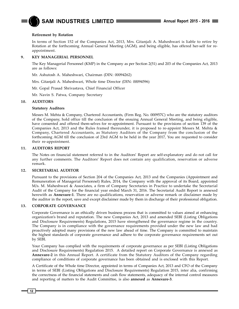

#### **Retirement by Rotation**

In terms of Section 152 of the Companies Act, 2013, Mrs. Gitanjali A. Maheshwari is liable to retire by Rotation at the forthcoming Annual General Meeting (AGM), and being eligible, has offered her-self for reappointment.

#### **9. KEY MANAGERIAL PERSONNEL**

The Key Managerial Personnel (KMP) in the Company as per Section 2(51) and 203 of the Companies Act, 2013 are as follows:

Mr. Ashutosh A. Maheshwari, Chairman (DIN: 00094262)

Mrs. Gitanjali A. Maheshwari, Whole time Director (DIN: 00094596)

Mr. Gopal Prasad Shrivastava, Chief Financial Officer

Mr. Navin S. Patwa, Company Secretary

#### **10. AUDITORS**

#### **Statutory Auditors**

Messrs M. Mehta & Company, Chartered Accountants, (Firm Reg. No. 000957C) who are the statutory auditors of the Company, hold office till the conclusion of the ensuing Annual General Meeting, and being eligible, have consented and offered them-selves for re-appointment. Pursuant to the provisions of section 139 of the Companies Act, 2013 and the Rules framed thereunder, it is proposed to re-appoint Messrs M. Mehta & Company, Chartered Accountants, as Statutory Auditors of the Company from the conclusion of the forthcoming AGM till the conclusion of 23rd AGM to be held in the year 2017, You are requested to consider their re-appointment.

#### **11. AUDITORS REPORT**

The Notes on financial statement referred to in the Auditors' Report are self-explanatory and do not call for any further comments. The Auditors' Report does not contain any qualification, reservation or adverse remark.

#### **12. SECRETARIAL AUDITOR**

Pursuant to the provisions of Section 204 of the Companies Act, 2013 and the Companies (Appointment and Remuneration of Managerial Personnel) Rules, 2014, the Company with the approval of its Board, appointed M/s. M. Maheshwari & Associates, a firm of Company Secretaries in Practice to undertake the Secretarial Audit of the Company for the financial year ended March 31, 2016. The Secretarial Audit Report is annexed herewith as **Annexure-1**. There are no qualifications, reservation or adverse remark or disclaimer made by the auditor in the report, save and except disclaimer made by them in discharge of their professional obligation.

#### **13. CORPORATE GOVERNANCE**

Corporate Governance is an ethically driven business process that is committed to values aimed at enhancing organization's brand and reputation. The new Companies Act, 2013 and amended SEBI (Listing Obligations and Disclosure Requirements) Regulations, 2015 have strengthened the governance regime in the country. The Company is in compliance with the governance requirements provided under the new law and had proactively adopted many provisions of the new law ahead of time. The Company is committed to maintain the highest standards of corporate governance and adhere to the corporate governance requirements set out by SEBI.

Your Company has complied with the requirements of corporate governance as per SEBI (Listing Obligations and Disclosure Requirements) Regulation 2015. A detailed report on Corporate Governance is annexed as **Annexure-2** in this Annual Report. A certificate from the Statutory Auditors of the Company regarding compliance of conditions of corporate governance has been obtained and is enclosed with this Report.

A Certificate of the Whole time Director, appointed in terms of Companies Act, 2013 and CFO of the Company in terms of SEBI (Listing Obligations and Disclosure Requirements) Regulation 2015, inter alia, confirming the correctness of the financial statements and cash flow statements, adequacy of the internal control measures and reporting of matters to the Audit Committee, is also **annexed** as **Annexure-3**.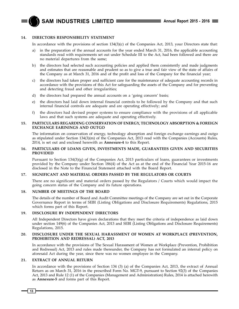

#### **14. DIRECTORS RESPONSIBILITY STATEMENT**

In accordance with the provisions of section 134(3)(c) of the Companies Act, 2013, your Directors state that:

- in the preparation of the annual accounts for the year ended March 31, 2016, the applicable accounting standards read with requirements set out under Schedule III to the Act, had been followed and there are no material departures from the same;
- b) the directors had selected such accounting policies and applied them consistently and made judgments and estimates that are reasonable and prudent so as to give a true and fair view of the state of affairs of the Company as at March 31, 2016 and of the profit and loss of the Company for the financial year;
- c) the directors had taken proper and sufficient care for the maintenance of adequate accounting records in accordance with the provisions of this Act for safeguarding the assets of the Company and for preventing and detecting fraud and other irregularities;
- d) the directors had prepared the annual accounts on a 'going concern' basis;
- e) the directors had laid down internal financial controls to be followed by the Company and that such internal financial controls are adequate and are operating effectively; and
- f) the directors had devised proper systems to ensure compliance with the provisions of all applicable laws and that such systems are adequate and operating effectively.

#### **15. PARTICULARS REGARDING CONSERVATION OF ENERGY, TECHNOLOGY ABSORPTION & FOREIGN EXCHANGE EARININGS AND OUTGO**

The information on conservation of energy, technology absorption and foreign exchange earnings and outgo as stipulated under Section 134(3)(m) of the Companies Act, 2013 read with the Companies (Accounts) Rules, 2014, is set out and enclosed herewith as **Annexure-4** to this Report.

#### **16. PARTICULARS OF LOANS GIVEN, INVESTMENTS MADE, GUARANTEES GIVEN AND SECURITIES PROVIDED**

Pursuant to Section 134(3)(g) of the Companies Act, 2013 particulars of loans, guarantees or investments provided by the Company under Section 186(4) of the Act as at the end of the Financial Year 2015-16 are disclosed in the Note to the Financial Statement attached with the Board Report.

#### **17. SIGNIFICANT AND MATERIAL ORDERS PASSED BY THE REGULATORS OR COURTS**

There are no significant and material orders passed by the Regulators / Courts which would impact the going concern status of the Company and its future operations.

#### **18. NUMBER OF MEETINGS OF THE BOARD**

The details of the number of Board and Audit Committee meetings of the Company are set out in the Corporate Governance Report in terms of SEBI (Listing Obligations and Disclosure Requirements) Regulations, 2015 which forms part of this Report.

#### **19. DISCLOSURE BY INDEPENDENT DIRECTORS**

All Independent Directors have given declarations that they meet the criteria of independence as laid down under section 149(6) of the Companies Act, 2013 and SEBI (Listing Obligations and Disclosure Requirements) Regulations, 2015.

#### **20. DISCLOSURE UNDER THE SEXUAL HARASSMENT OF WOMEN AT WORKPLACE (PREVENTION, PROHIBITION AND REDRESSAL) ACT, 2013**

In accordance with the provisions of The Sexual Harassment of Women at Workplace (Prevention, Prohibition and Redressal) Act, 2013 and rules made thereunder, the Company has not formulated an internal policy on aforesaid Act during the year, since there was no women employee in the Company.

#### **21. EXTRACT OF ANNUAL RETURN**

In accordance with the provisions of Section 134 (3) (a) of the Companies Act, 2013, the extract of Annual Return as on March 31, 2016 in the prescribed Form No. MGT-9, pursuant to Section 92(3) of the Companies Act, 2013 and Rule 12 (1) of the Companies (Management and Administration) Rules, 2014 is attached herewith as **Annexure-5** and forms part of this Report.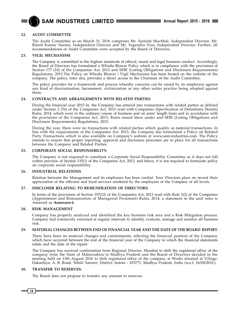

#### **22. AUDIT COMMITTEE**

The Audit Committee as on March 31, 2016 comprises Mr. Santosh Muchhal, Independent Director, Mr. Ritesh Kumar Neema, Independent Director and Mr. Yogendra Vyas, Independent Director. Further, all recommendations of Audit Committee were accepted by the Board of Directors.

#### **23. VIGIL MECHANISM**

The Company is committed to the highest standards of ethical, moral and legal business conduct. Accordingly, the Board of Directors has formulated a Whistle Blower Policy which is in compliance with the provisions of Section 177 (10) of the Companies Act, 2013 and SEBI (Listing Obligations and Disclosure Requirements) Regulations, 2015.The Policy on Whistle Blower / Vigil Mechanism has been hosted on the website of the company. The policy, inter alia, provides a direct access to the Chairman of the Audit Committee.

The policy provides for a framework and process whereby concerns can be raised by its employees against any kind of discrimination, harassment, victimization or any other unfair practice being adopted against them.

#### **24. CONTRACTS AND ARRANGEMENTS WITH RELATED PARTIES**

During the financial year 2015-16, the Company has entered into transactions with related parties as defined under Section 2 (76) of the Companies Act, 2013 read with Companies (Specification of Definitions Details) Rules, 2014, which were in the ordinary course of business and on arms' length basis and in accordance with the provisions of the Companies Act, 2013, Rules issued there under and SEBI (Listing Obligations and Disclosure Requirements) Regulations, 2015.

During the year, there were no transactions with related parties which qualify as material transactions. In line with the requirements of the Companies Act, 2013, the Company has formulated a Policy on Related Party Transactions which is also available on Company's website at www.sam-industries.com. The Policy intends to ensure that proper reporting; approval and disclosure processes are in place for all transactions between the Company and Related Parties.

#### **25. CORPORATE SOCIAL RESPONSIBILITY:**

The Company is not required to constitute a Corporate Social Responsibility Committee as it does not fall within purview of Section 135(1) of the Companies Act, 2013, and hence, it is not required to formulate policy on corporate social responsibility.

#### **26. INDUSTRIAL RELATIONS**

Relation between the Management and its employees has been cordial. Your Directors place on record their appreciation of the efficient and loyal services rendered by the employees of the Company at all levels.

#### **27. DISCLOSER RELATING TO REMUNERATION OF DIRECTORS:**

In terms of the provisions of Section 197(12) of the Companies Act, 2013 read with Rule 5(2) of the Companies (Appointment and Remuneration of Managerial Personnel) Rules, 2014, a statement in the said rules is Annexed as **Annexure-6**.

#### **28. RISK MANAGEMENT**

Company has properly analyzed and identified the key business risk area and a Risk Mitigation process. Company had extensively exercised at regular intervals to identify, evaluate, manage and monitor all business risk.

#### **29. MATERIAL CHANGES BETWEEN END OF FINANCIAL YEAR AND THE DATE OF THE BOARD REPORT.**

There have been no material changes and commitments, affecting the financial position of the Company which have occurred between the end of the financial year of the Company to which the financial statements relate and the date of the report.

The Company has received confirmation from Regional Director, Mumbai to shift the registered office of the company from the State of Maharashtra to Madhya Pradesh and the Board of Directors decided in the meeting held on 13th August 2016 to shift registered office of the company at Works situated at Village: Dakachiya, A. B. Road, Tehsil: Sanwer, District: Indore - 453771, Madhya Pradesh, India (w.e.f. 16/08/2016.)

#### **30. TRANSFER TO RESERVES:**

The Board does not propose to transfer any amount to reserves.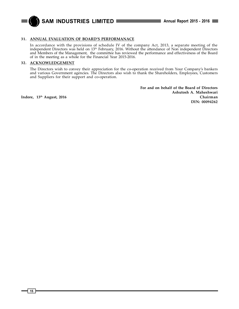

#### **31. ANNUAL EVALUATION OF BOARD'S PERFORMANACE**

In accordance with the provisions of schedule IV of the company Act, 2013, a separate meeting of the independent Directors was held on 13<sup>th</sup> February, 2016. Without the attendance of Non independent Directors and Members of the Management, the committee has reviewed the performance and effectiveness of the Board of in the meeting as a whole for the Financial Year 2015-2016.

#### **32. ACKNOWLEDGEMENT**

The Directors wish to convey their appreciation for the co-operation received from Your Company's bankers and various Government agencies. The Directors also wish to thank the Shareholders, Employees, Customers and Suppliers for their support and co-operation.

**For and on behalf of the Board of Directors Ashutosh A. Maheshwari Indore, 13th August, 2016 Chairman DIN: 00094262**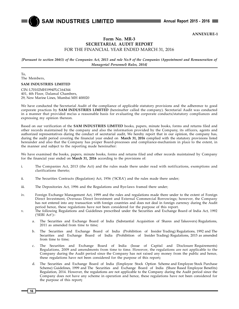

#### **Form No. MR-3 SECRETARIAL AUDIT REPORT** FOR THE FINANCIAL YEAR ENDED MARCH 31, 2016

*[Pursuant to section 204(1) of the Companies Act, 2013 and rule No.9 of the Companies (Appointment and Remuneration of Managerial Personnel) Rules, 2014]*

To, The Members,

#### **SAM INDUSTRIES LIMITED**

CIN: L70102MH1994PLC164344 401, 4th Floor, Dalamal Chambers, 29, New Marine Lines, Mumbai MH 400020

We have conducted the Secretarial Audit of the compliance of applicable statutory provisions and the adherence to good corporate practices by **SAM INDUSTRIES LIMITED** (hereinafter called the company). Secretarial Audit was conducted in a manner that provided me/us a reasonable basis for evaluating the corporate conducts/statutory compliances and expressing my opinion thereon.

Based on our verification of the **SAM INDUSTRIES LIMITED** books, papers, minute books, forms and returns filed and other records maintained by the company and also the information provided by the Company, its officers, agents and authorized representatives during the conduct of secretarial audit, We hereby report that in our opinion, the company has, during the audit period covering the financial year ended on **March 31, 2016** complied with the statutory provisions listed hereunder and also that the Company has proper Board-processes and compliance-mechanism in place to the extent, in the manner and subject to the reporting made hereinafter:

We have examined the books, papers, minute books, forms and returns filed and other records maintained by Company for the financial year ended on **March 31, 2016** according to the provisions of:

- i. The Companies Act, 2013 (the Act) and the rules made there under read with notifications, exemptions and clarifications thereto;
- ii. The Securities Contracts (Regulation) Act, 1956 ('SCRA') and the rules made there under;
- iii. The Depositories Act, 1996 and the Regulations and Bye-laws framed there under;
- iv. Foreign Exchange Management Act, 1999 and the rules and regulations made there under to the extent of Foreign Direct Investment, Overseas Direct Investment and External Commercial Borrowings; however, the Company has not entered into any transaction with foreign countries and does not deal in foreign currency during the Audit period hence, these regulations have not been considered for the purpose of this report.
- v. The following Regulations and Guidelines prescribed under the Securities and Exchange Board of India Act, 1992 ('SEBI Act'):
	- a. The Securities and Exchange Board of India (Substantial Acquisition of Shares and Takeovers) Regulations, 2011 as amended from time to time;
	- b. The Securities and Exchange Board of India (Prohibition of Insider Trading) Regulations, 1992 and The Securities and Exchange Board of India (Prohibition of Insider Trading) Regulations, 2015 as amended from time to time;
	- c. The Securities and Exchange Board of India (Issue of Capital and Disclosure Requirements) Regulations, 2009 and amendments from time to time. However, the regulations are not applicable to the Company during the Audit period since the Company has not raised any money from the public and hence, these regulations have not been considered for the purpose of this report**;**
	- d. The Securities and Exchange Board of India (Employee Stock Option Scheme and Employee Stock Purchase Scheme) Guidelines, 1999 and The Securities and Exchange Board of India (Share Based Employee Benefits) Regulation, 2014. However, the regulations are not applicable to the Company during the Audit period since the Company does not have any scheme in operation and hence, these regulations have not been considered for the purpose of this report**;**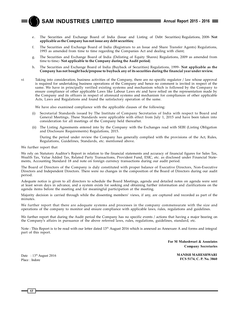$\bullet$  **SAM INDUSTRIES LIMITED**  $\equiv$  **Annual Report 2015 - 2016**  $\equiv$ 

- e. The Securities and Exchange Board of India (Issue and Listing of Debt Securities) Regulations, 2008- **Not applicable as the Company has not issue any debt securities;**
- f. The Securities and Exchange Board of India (Registrars to an Issue and Share Transfer Agents) Regulations, 1993 as amended from time to time regarding the Companies Act and dealing with client;
- g. The Securities and Exchange Board of India (Delisting of Equity Shares) Regulations, 2009 as amended from time to time;- **Not applicable to the Company during the Audit period;**
- h. The Securities and Exchange Board of India (Buyback of Securities) Regulations, 1999- **Not applicable as the Company has not bought back/propose to buyback any of its securities during the financial year under review.**
- vi Taking into consideration, business activities of the Company, there are no specific regulator / law whose approval is required for undertaking business operations of the Company and hence no comment is invited in respect of the same. We have in principally verified existing systems and mechanism which is followed by the Company to ensure compliance of other applicable Laws like Labour Laws etc and have relied on the representation made by the Company and its officers in respect of aforesaid systems and mechanism for compliances of other applicable Acts, Laws and Regulations and found the satisfactory operation of the same.

We have also examined compliance with the applicable clauses of the following:

- Secretarial Standards issued by The Institute of Company Secretaries of India with respect to Board and General Meetings**.** These Standards were applicable with effect from July 1, 2015 and have been taken into consideration for all meetings of the Company held thereafter.
- (ii) The Listing Agreements entered into by the Company with the Exchanges read with SEBI (Listing Obligation and Disclosure Requirements) Regulations, 2015.

During the period under review the Company has generally complied with the provisions of the Act, Rules, Regulations, Guidelines, Standards, etc. mentioned above.

We further report that

We rely on Statutory Auditor's Report in relation to the financial statements and accuracy of financial figures for Sales Tax, Wealth Tax, Value Added Tax, Related Party Transactions, Provident Fund, ESIC, etc. as disclosed under Financial Statements, Accounting Standard 18 and note on foreign currency transactions during our audit period.

The Board of Directors of the Company is duly constituted with proper balance of Executive Directors, Non-Executive Directors and Independent Directors. There were no changes in the composition of the Board of Directors during our audit period.

Adequate notice is given to all directors to schedule the Board Meetings, agenda and detailed notes on agenda were sent at least seven days in advance, and a system exists for seeking and obtaining further information and clarifications on the agenda items before the meeting and for meaningful participation at the meeting.

Majority decision is carried through while the dissenting members' views, if any, are captured and recorded as part of the minutes.

We further report that there are adequate systems and processes in the company commensurate with the size and operations of the company to monitor and ensure compliance with applicable laws, rules, regulations and guidelines.

We further report that during the Audit period the Company has no specific events / actions that having a major bearing on the Company's affairs in pursuance of the above referred laws, rules, regulations, guidelines, standard, etc.

Note : This Report is to be read with our letter dated  $13<sup>th</sup>$  August 2016 which is annexed as Annexure A and forms and integral part of this report.

> **For M Maheshwari & Associates Company Secretaries**

Date : 13<sup>th</sup> August 2016 Place : Indore

 **MANISH MAHESHWARI FCS 5174, C. P. No. 3860**

**17**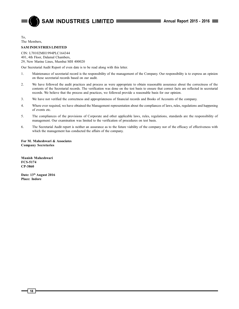

To, The Members,

#### **SAM INDUSTRIES LIMITED**

CIN: L70102MH1994PLC164344 401, 4th Floor, Dalamal Chambers, 29, New Marine Lines, Mumbai MH 400020

Our Secretarial Audit Report of even date is to be read along with this letter.

- 1. Maintenance of secretarial record is the responsibility of the management of the Company. Our responsibility is to express an opinion on these secretarial records based on our audit.
- 2. We have followed the audit practices and process as were appropriate to obtain reasonable assurance about the correctness of the contents of the Secretarial records. The verification was done on the test basis to ensure that correct facts are reflected in secretarial records. We believe that the process and practices, we followed provide a reasonable basis for our opinion.
- 3. We have not verified the correctness and appropriateness of financial records and Books of Accounts of the company.
- 4. Where ever required, we have obtained the Management representation about the compliances of laws, rules, regulations and happening of events etc.
- 5. The compliances of the provisions of Corporate and other applicable laws, rules, regulations, standards are the responsibility of management. Our examination was limited to the verification of procedures on test basis.
- 6. The Secretarial Audit report is neither an assurance as to the future viability of the company nor of the efficacy of effectiveness with which the management has conducted the affairs of the company.

**For M. Maheshwari & Associates Company Secretaries**

**Manish Maheshwari FCS-5174 CP-3860**

**Date: 13th August 2016 Place: Indore**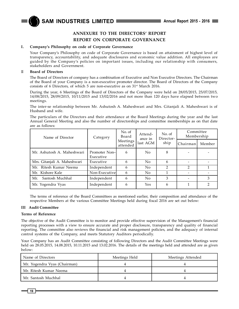$\bullet$  **SAM INDUSTRIES LIMITED**  $\equiv$  **Annual Report 2015 - 2016**  $\equiv$ 

#### **ANNEXURE TO THE DIRECTORS' REPORT REPORT ON CORPORATE GOVERNANCE**

#### **I. Company's Philosophy on code of Corporate Governance**

Your Company's Philosophy on code of Corporate Governance is based on attainment of highest level of transparency, accountability, and adequate disclosures and economic value addition. All employees are guided by the Company's policies on important issues, including our relationship with consumers, stakeholders and Government.

#### II **Board of Directors**

The Board of Directors of company has a combination of Executive and Non Executive Directors. The Chairman of the Board of your Company is a non-executive promoter director. The Board of Directors of the Company consists of 6 Directors, of which 5 are non-executive as on  $31^{st}$  March 2016.

During the year, 6 Meetings of the Board of Directors of the Company were held on 28/05/2015, 25/07/2015, 14/08/2015, 28/09/2015, 10/11/2015 and 13/02/2016 and not more than 120 days have elapsed between two meetings.

The inter-se relationship between Mr. Ashutosh A. Maheshwari and Mrs. Gitanjali A. Maheshwari is of Husband and wife.

The particulars of the Directors and their attendance at the Board Meetings during the year and the last Annual General Meeting and also the number of directorships and committee memberships as on that date are as follows:

| Name of Director             | Category                   | No. of<br>Board      | Attend-<br>ance in | No. of<br>Director- | Committee<br>Membership |        |
|------------------------------|----------------------------|----------------------|--------------------|---------------------|-------------------------|--------|
|                              |                            | Meetings<br>attended | last AGM           | ship                | Chairman                | Member |
| Mr. Ashutosh A. Maheshwari   | Promoter Non-<br>Executive | 6                    | No                 | 8                   |                         |        |
| Mrs. Gitanjali A. Maheshwari | Executive                  | 6                    | No                 | 6                   |                         |        |
| Mr. Ritesh Kumar Neema       | Independent                | 6                    | No                 | 2                   | 2                       |        |
| Mr. Kishore Kale             | Non-Executive              | 6                    | No                 |                     |                         |        |
| Santosh Muchhal<br>Mr.       | Independent                | 6                    | No                 | 3                   |                         | З      |
| Mr. Yogendra Vyas            | Independent                | 6                    | Yes                | 6                   |                         | C      |

The terms of reference of the Board Committees as mentioned earlier, their composition and attendance of the respective Members at the various Committee Meetings held during fiscal 2016 are set out below:

#### **III Audit Committee**

#### **Terms of Reference**

The objective of the Audit Committee is to monitor and provide effective supervision of the Management's financial reporting processes with a view to ensure accurate and proper disclosure, transparency and quality of financial reporting. The committee also reviews the financial and risk management policies, and the adequacy of internal control systems of the Company, and meets Statutory Auditors periodically.

Your Company has an Audit Committee consisting of following Directors and the Audit Committee Meetings were held on 28.05.2015, 14.08.2015, 10.11.2015 and 13.02.2016. The details of the meetings held and attended are as given below:

| Name of Directors            | Meetings Held | Meetings Attended |
|------------------------------|---------------|-------------------|
| Mr. Yogendra Vyas (Chairman) |               |                   |
| Mr. Ritesh Kumar Neema       |               |                   |
| Mr. Santosh Muchhal          |               |                   |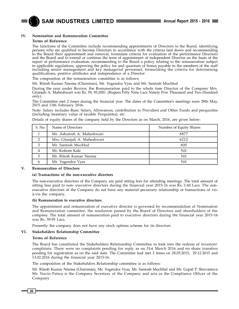

#### **IV. Nomination and Remuneration Committee**

#### **Terms of Reference**

The functions of the Committee include recommending appointments of Directors to the Board, identifying persons who are qualified to become Directors in accordance with the criteria laid down and recommending to the Board their appointment and removal, formulate criteria for evaluation of the performance Directors and the Board and to extend or continue the term of appointment of independent Director on the basis of the report of performance evaluation, recommending to the Board a policy relating to the remuneration subject to applicable regulations, approving the policy for and quantum of bonus payable to the members of the staff including senior management and key managerial personnel, formulating the criteria for determining qualifications, positive attributes and independence of a Director

The composition of the remuneration committee is as follows:

Mr. Ritesh Kumar Neema (Chairman), Mr. Yogendra Vyas and Mr. Santosh Muchhal

During the year under Review, the Remuneration paid to the whole time Director of the Company Mrs. Gitanjali A. Maheshwari was Rs. 59, 95,200/- (Rupees Fifty Nine Lacs Ninety Five Thousand and Two Hundred only).

The Committee met 2 times during the financial year. The dates of the Committee's meetings were 28th May, 2015 and 13th February 2016.

Note: Salary includes Basic Salary, Allowances, contribution to Provident and Other Funds and perquisites (including monetary value of taxable Perquisites), etc.

Details of equity shares of the company held by the Directors as on March, 2016, are given below:

| S. No. | Name of Directors            | Number of Equity Shares |
|--------|------------------------------|-------------------------|
|        | Mr. Ashutosh A. Maheshwari   | 8877                    |
|        | Mrs. Gitanjali A. Maheshwari | 6212                    |
| 3      | Mr. Santosh Muchhal          | 800                     |
| 4      | Mr. Kishore Kale             | Nil                     |
| 5      | Mr. Ritesh Kumar Neema       | Nil                     |
| 6      | Mr. Yogendra Vyas            | Nil                     |

#### **V. Remuneration of Directors**

#### **(a) Transactions of the non-executive directors**

The non-executive directors of the Company are paid sitting fees for attending meetings. The total amount of sitting fees paid to non- executive directors during the financial year 2015-16 was Rs. 1.60 Lacs. The nonexecutive directors of the Company do not have any material pecuniary relationship or transactions of visà-vis the company.

#### **(b) Remuneration to executive directors.**

The appointment and remuneration of executive director is governed by recommendation of Nomination and Remuneration committee, the resolution passed by the Board of Directors and shareholders of the company. The total amount of remuneration paid to executive directors during the financial year 2015-16 was Rs. 59.95 Lacs.

Presently the company does not have any stock options scheme for its directors

#### **VI. Stakeholders Relationship Committee**

#### **Terms of Reference**

The Board has constituted the Stakeholders Relationship Committee to look into the redress of investors' complaints. There were no complaints pending for reply as on 31st March 2016 and no share transfers pending for registration as on the said date. The Committee had met 3 times on 28.05.2015, 29.12.2015 and 13.02.2016 during the financial year 2015-16.

The composition of the Stakeholders Relationship committee is as follows:

Mr. Ritesh Kumar Neema (Chairman), Mr. Yogendra Vyas, Mr. Santosh Muchhal and Mr. Gopal P. Shrivastava Mr. Navin Patwa is the Company Secretary of the Company and acts as the Compliance Officer of the Company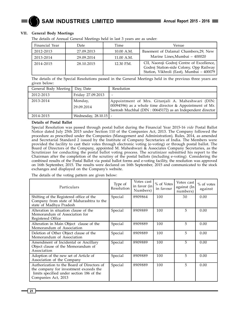

#### **VII. General Body Meetings**

The details of Annual General Meetings held in last 3 years are as under:

| Financial Year | Date       | Time       | Venue                                                                                                                             |
|----------------|------------|------------|-----------------------------------------------------------------------------------------------------------------------------------|
| 2012-2013      | 27.09.2013 | 10.00 A.M. | Basement of Dalamal Chambers, 29, New                                                                                             |
| 2013-2014      | 29.09.2014 | 11.00 A.M. | Marine Lines, Mumbai - 400020                                                                                                     |
| 2014-2015      | 28.10.2015 | 12.30 P.M. | CII, Naoroji Godrej Centre of Excellence,<br>Godrej Station-side Colony, Opp Railway<br>Station, Vikhroli (East), Mumbai - 400079 |

The details of the Special Resolutions passed in the General Meetings held in the previous three years are given below:

| General Body Meeting   Day, Date |                         | Resolution                                                                                                                                                                    |
|----------------------------------|-------------------------|-------------------------------------------------------------------------------------------------------------------------------------------------------------------------------|
| 2012-2013                        | Friday 27.09.2013       |                                                                                                                                                                               |
| 2013-2014                        | Monday,<br>29.09.2014   | Appointment of Mrs. Gitanjali A. Maheshwari (DIN:<br>00094596) as a whole time director $\&$ Appointment of Mr.<br>Santosh Muchhal (DIN: 00645172) as an Independent director |
| 2014-2015                        | Wednesday, 28.10.15   - |                                                                                                                                                                               |

#### **Details of Postal Ballot**

Special Resolution was passed through postal ballot during the Financial Year 2015-16 *vide* Postal Ballot Notice dated July 25th 2015 under Section 110 of the Companies Act, 2013. The Company followed the procedure as prescribed under the Companies (Management and Administration), Rules, 2014, as amended and Secretarial Standard 2 issued by the Institute of Company Secretaries of India. The Members were provided the facility to cast their votes through electronic voting (e-voting) or through postal ballot. The Board of Directors of the Company, appointed M. Maheshwari & Associates Company Secretaries, as the Scrutinizer for conducting the postal ballot voting process. The scrutinizer submitted his report to the Chairman after the completion of the scrutiny of the postal ballots (including e-voting). Considering the combined results of the Postal Ballot via postal ballot forms and e-voting facility, the resolution was approved on 16th September, 2015. The results were declared on 16th September, 2015 and communicated to the stock exchanges and displayed on the Company's website.

The details of the voting pattern are given below:

| Particulars                                                                                                                                              | Type of<br>Resolution | Votes cast<br>in favor (in<br>Numbers) | % of Votes<br>in favour | Votes cast<br>against (In<br>numbers) | % of votes<br>against |
|----------------------------------------------------------------------------------------------------------------------------------------------------------|-----------------------|----------------------------------------|-------------------------|---------------------------------------|-----------------------|
| Shifting of the Registered office of the<br>Company from state of Maharashtra to the<br>state of Madhya Pradesh                                          | Special               | 8909864                                | 100                     | 30                                    | 0.00                  |
| Alteration in situation clause of the<br>Memorandum of Association for<br>Registered Office                                                              | Special               | 8909889                                | 100                     | 5                                     | 0.00                  |
| Alteration in Main Object clause of the<br>Memorandum of Association                                                                                     | Special               | 8909889                                | 100                     | 5                                     | 0.00                  |
| Deletion of Other Object clause of the<br>Memorandum of Association                                                                                      | Special               | 8909889                                | 100                     | 5                                     | 0.00                  |
| Amendment of Incidental or Ancillary<br>Object clause of the Memorandum of<br>Association                                                                | Special               | 8909889                                | 100                     | 5                                     | 0.00                  |
| Adoption of the new set of Article of<br>Association of the Company                                                                                      | Special               | 8909889                                | 100                     | 5                                     | 0.00                  |
| Authorization to the Board of Directors of<br>the company for investment exceeds the<br>limits specified under section 186 of the<br>Companies Act, 2013 | Special               | 8909889                                | 100                     | 5                                     | 0.00                  |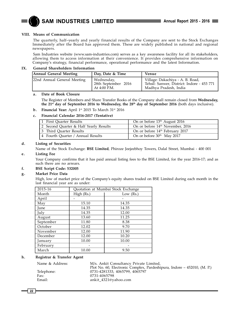

#### **VIII. Means of Communication**

The quarterly, half–yearly and yearly financial results of the Company are sent to the Stock Exchanges Immediately after the Board has approved them. These are widely published in national and regional newspapers.

Sam Industries website (www.sam-industries.com) serves as a key awareness facility for all its stakeholders, allowing them to access information at their convenience. It provides comprehensive information on Company's strategy, financial performance, operational performance and the latest Information.

#### **IX. General Shareholders Information**

| Annual General Meeting      | Day, Date & Time                                  | Venue                                                                                                   |
|-----------------------------|---------------------------------------------------|---------------------------------------------------------------------------------------------------------|
| 22nd Annual General Meeting | Wednesday,<br>28th September 2016<br>At 4:00 P.M. | Village: Dakachiya - A. B. Road,<br>Tehsil: Sanwer, District: Indore - 453 771<br>Madhya Pradesh, India |

#### **a. Date of Book Closure**

The Register of Members and Share Transfer Books of the Company shall remain closed from **Wednesday, the 21st day of September 2016 to Wednesday, the 28th day of September 2016** (both days inclusive).

**b. Financial Year:** April 1<sup>st</sup> 2015 To March 31<sup>st</sup> 2016

#### **c. Financial Calendar 2016-2017 (Tentative)**

| 1 First Quarter Results                | On or before 13 <sup>th</sup> August 2016    |
|----------------------------------------|----------------------------------------------|
| 2 Second Quarter & Half Yearly Results | On or before 14 <sup>th</sup> November, 2016 |
| 3 Third Ouarter Results                | On or before 14 <sup>th</sup> February 2017  |
| 4 Fourth Quarter / Annual Results      | On or before $30th$ May 2017                 |

#### **d. Listing of Securities**

Name of the Stock Exchange: **BSE Limited**, Phiroze Jeejeebhoy Towers, Dalal Street, Mumbai - 400 001

#### **e. Listing Fee**

Your Company confirms that it has paid annual listing fees to the BSE Limited, for the year 2016-17; and as such there are no arrears.

#### **f. BSE Script Code: 532005**

#### **g . Market Price Data**

High, low of market price of the Company's equity shares traded on BSE Limited during each month in the last financial year are as under:

| 2015-16   | Quotation at Mumbai Stock Exchange |             |  |
|-----------|------------------------------------|-------------|--|
| Month     | High (Rs.)                         | Low $(Rs.)$ |  |
| April     |                                    |             |  |
| May       | 15.10                              | 14.35       |  |
| June      | 14.35                              | 14.35       |  |
| July      | 14.35                              | 12.00       |  |
| August    | 13.60                              | 11.25       |  |
| September | 11.80                              | 8.38        |  |
| October   | 12.02                              | 9.70        |  |
| November  | 12.00                              | 11.90       |  |
| December  | 12.00                              | 10.20       |  |
| January   | 10.00                              | 10.00       |  |
| February  |                                    |             |  |
| March     | 10.00                              | 9.50        |  |

#### **h. Registrar & Transfer Agent**

Name & Address: M/s. Ankit Consultancy Private Limited, Plot No. 60, Electronic Complex, Pardeshipura, Indore – 452010, (M. P.) Telephone: 0731-4281333, 4065799, 4065797 Fax: 0731-4065798 Email: ankit\_4321@yahoo.com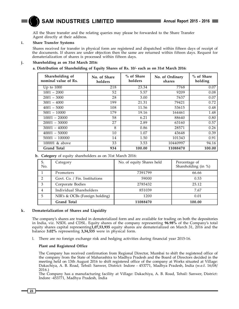## $\bullet$  **SAM INDUSTRIES LIMITED**  $\equiv$  **Annual Report 2015 - 2016**  $\equiv$

All the Share transfer and the relating queries may please be forwarded to the Share Transfer Agent directly at their address.

#### **i. Share Transfer Systems**

Shares received for transfer in physical form are registered and dispatched within fifteen days of receipt of the documents. If shares are under objection then the same are returned within fifteen days. Request for dematerialization of shares is processed within fifteen days.

#### **j. Shareholding as on 31st March 2016:**

#### **a. Distribution of Shareholding of Equity Shares of Rs. 10/- each as on 31st March 2016:**

| Shareholding of<br>nominal value of Rs. | No. of Share<br>holders | % of Share<br>holders | No. of Ordinary<br>shares | % of Share<br>holding |
|-----------------------------------------|-------------------------|-----------------------|---------------------------|-----------------------|
| Up to $1000$                            | 218                     | 23.34                 | 7768                      | 0.07                  |
| $1001 - 2000$                           | 52                      | 5.57                  | 9209                      | 0.08                  |
| $2001 - 3000$                           | 28                      | 3.00                  | 7637                      | 0.07                  |
| $3001 - 4000$                           | 199                     | 21.31                 | 79421                     | 0.72                  |
| $4001 - 5000$                           | 108                     | 11.56                 | 53615                     | 0.48                  |
| $5001 - 10000$                          | 179                     | 19.16                 | 164461                    | 1.48                  |
| $10001 - 20000$                         | 58                      | 6.21                  | 88640                     | 0.80                  |
| $20001 - 30000$                         | 27                      | 2.89                  | 63160                     | 0.57                  |
| $30001 - 40000$                         | 8                       | 0.86                  | 28571                     | 0.26                  |
| $40001 - 50000$                         | 10                      | 1.07                  | 43648                     | 0.39                  |
| $50001 - 100000$                        | 14                      | 1.50                  | 101343                    | 0.91                  |
| 100001 & above                          | 33                      | 3.53                  | 10440997                  | 94.16                 |
| <b>Grand Total</b>                      | 934                     | 100.00                | 11088470                  | 100.00                |

**b. Category** of equity shareholders as on 31st March 2016:

| S.<br>No.      | Category                       | No. of equity Shares held | Percentage of<br>Shareholding (in %) |
|----------------|--------------------------------|---------------------------|--------------------------------------|
|                | Promoters                      | 7391799                   | 66.66                                |
| $\overline{2}$ | Govt. Co. / Fin. Institutions  | 59000                     | 0.53                                 |
| 3              | Corporate Bodies               | 2785432                   | 25.12                                |
| $\overline{4}$ | Individual Shareholders        | 851039                    | 7.67                                 |
| 5              | NIR's & OCBs (Foreign holding) | 1200                      | 0.01                                 |
|                | <b>Grand Total</b>             | 11088470                  | 100.00                               |

#### **k. Dematerialization of Shares and Liquidity**

The company's shares are traded in dematerialized form and are available for trading on both the depositories in India, viz. NSDL and CDSL. Equity shares of the company representing **96.98%** of the Company's total equity shares capital representing**1,07,53,935** equity shares are dematerialized on March 31, 2016 and the balance **3.02%** representing **3,34,535** were in physical form.

l. There are no foreign exchange risk and hedging activities during financial year 2015-16.

#### **Plant and Registered Office**

The Company has received confirmation from Regional Director, Mumbai to shift the registered office of the company from the State of Maharashtra to Madhya Pradesh and the Board of Directors decided in the meeting held on 13th August 2016 to shift registered office of the company at Works situated at Village: Dakachiya, A. B. Road, Tehsil: Sanwer, District: Indore - 453771, Madhya Pradesh, India (w.e.f. 16/08/ 2016.)

The Company has a manufacturing facility at Village: Dakachiya, A. B. Road, Tehsil: Sanwer, District: Indore -453771, Madhya Pradesh, India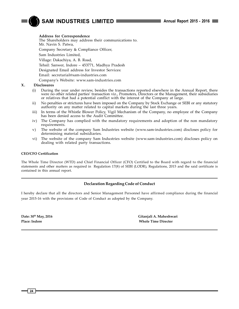

#### **Address for Correspondence**

The Shareholders may address their communications to. Mr. Navin S. Patwa, Company Secretary & Compliance Officer, Sam Industries Limited, Village: Dakachiya, A. B. Road, Tehsil: Sanwer, Indore – 453771, Madhya Pradesh Designated Email address for Investor Services: Email: secretarial@sam-industries.com Company's Website: www.sam-industries.com

#### **X. Disclosures**

- (i) During the year under review, besides the transactions reported elsewhere in the Annual Report, there were no other related parties' transaction viz., Promoters, Directors or the Management, their subsidiaries or relatives that had a potential conflict with the interest of the Company at large.
- ii) No penalties or strictures have been imposed on the Company by Stock Exchange or SEBI or any statutory authority on any matter related to capital markets during the last three years.
- iii) In terms of the Whistle Blower Policy, Vigil Mechanism of the Company, no employee of the Company has been denied access to the Audit Committee.
- iv) The Company has complied with the mandatory requirements and adoption of the non mandatory requirements.
- v) The website of the company Sam Industries website (www.sam-industries.com) discloses policy for determining material subsidiaries.
- vi) The website of the company Sam Industries website (www.sam-industries.com) discloses policy on dealing with related party transactions.

#### **CEO/CFO Certification**

The Whole Time Director (WTD) and Chief Financial Officer (CFO) Certified to the Board with regard to the financial statements and other matters as required in Regulation 17(8) of SEBI (LODR), Regulations, 2015 and the said certificate is contained in this annual report.

#### **Declaration Regarding Code of Conduct**

I hereby declare that all the directors and Senior Management Personnel have affirmed compliance during the financial year 2015-16 with the provisions of Code of Conduct as adopted by the Company.

**Date: 30th May, 2016 Gitanjali A. Maheshwari Place: Indore Whole Time Director**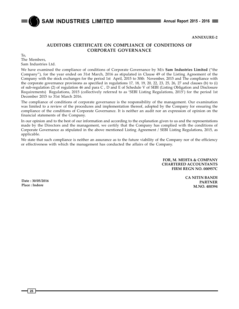

#### **AUDITORS CERTIFICATE ON COMPLIANCE OF CONDITIONS OF CORPORATE GOVERNANCE**

To,

The Members,

Sam Industries Ltd.

We have examined the compliance of conditions of Corporate Governance by M/s **Sam Industries Limited** ("the Company"), for the year ended on 31st March, 2016 as stipulated in Clause 49 of the Listing Agreement of the Company with the stock exchanges for the period 1st April, 2015 to 30th November, 2015 and The compliance with the corporate governance provisions as specified in regulations 17, 18, 19, 20, 22, 23, 25, 26, 27 and clauses (b) to (i) of sub-regulation (2) of regulation 46 and para C , D and E of Schedule V of SEBI (Listing Obligation and Disclosure Requirements) Regulations, 2015 (collectively referred to as 'SEBI Listing Regulations, 2015') for the period 1st December 2015 to 31st March 2016.

The compliance of conditions of corporate governance is the responsibility of the management. Our examination was limited to a review of the procedures and implementation thereof, adopted by the Company for ensuring the compliance of the conditions of Corporate Governance. It is neither an audit nor an expression of opinion on the financial statements of the Company.

In our opinion and to the best of our information and according to the explanation given to us and the representations made by the Directors and the management, we certify that the Company has complied with the conditions of Corporate Governance as stipulated in the above mentioned Listing Agreement / SEBI Listing Regulations, 2015, as applicable.

We state that such compliance is neither an assurance as to the future viability of the Company nor of the efficiency or effectiveness with which the management has conducted the affairs of the Company.

> **FOR, M. MEHTA & COMPANY CHARTERED ACCOUNTANTS FIRM REGN NO. 000957C**

**Date : 30/05/2016 Place : Indore**

 **CA NITIN BANDI PARTNER M.NO. 400394**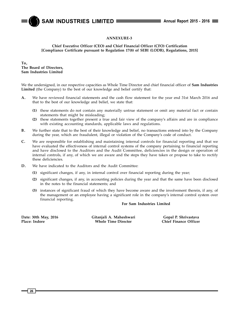

**Chief Executive Officer (CEO) and Chief Financial Officer (CFO) Certification [Compliance Certificate pursuant to Regulation 17(8) of SEBI (LODR), Regulations, 2015]**

**To, The Board of Directors, Sam Industries Limited**

We the undersigned, in our respective capacities as Whole Time Director and chief financial officer of **Sam Industries Limited** (the Company) to the best of our knowledge and belief certify that:

- **A.** We have reviewed financial statements and the cash flow statement for the year end 31st March 2016 and that to the best of our knowledge and belief, we state that:
	- **(1)** these statements do not contain any materially untrue statement or omit any material fact or contain statements that might be misleading;
	- **(2)** these statements together present a true and fair view of the company's affairs and are in compliance with existing accounting standards, applicable laws and regulations.
- **B.** We further state that to the best of their knowledge and belief, no transactions entered into by the Company during the year, which are fraudulent, illegal or violation of the Company's code of conduct.
- **C.** We are responsible for establishing and maintaining internal controls for financial reporting and that we have evaluated the effectiveness of internal control systems of the company pertaining to financial reporting and have disclosed to the Auditors and the Audit Committee, deficiencies in the design or operation of internal controls, if any, of which we are aware and the steps they have taken or propose to take to rectify these deficiencies.
- **D.** We have indicated to the Auditors and the Audit Committee:
	- **(1)** significant changes, if any, in internal control over financial reporting during the year;
	- **(2)** significant changes, if any, in accounting policies during the year and that the same have been disclosed in the notes to the financial statements; and
	- **(3)** instances of significant fraud of which they have become aware and the involvement therein, if any, of the management or an employee having a significant role in the company's internal control system over financial reporting.

#### **For Sam Industries Limited**

**Date: 30th May, 2016 Gitanjali A. Maheshwari Gopal P. Shrivastava Place: Indore Whole Time Director Chief Finance Officer**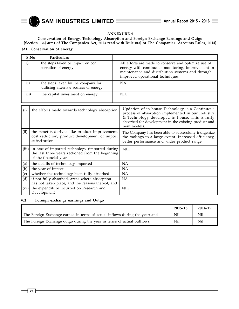

**Conservation of Energy, Technology Absorption and Foreign Exchange Earnings and Outgo [Section 134(3)(m) of The Companies Act, 2013 read with Rule 8(3) of The Companies Accounts Rules, 2014]**

#### **(A) Conservation of energy**

| S.No.        |                                                                                                                              | Particulars                                                                                                     |            |                                                                                                                                                                                                                               |  |
|--------------|------------------------------------------------------------------------------------------------------------------------------|-----------------------------------------------------------------------------------------------------------------|------------|-------------------------------------------------------------------------------------------------------------------------------------------------------------------------------------------------------------------------------|--|
| $\mathbf{i}$ |                                                                                                                              | the steps taken or impact on con<br>servation of energy;                                                        |            | All efforts are made to conserve and optimize use of<br>energy with continuous monitoring, improvement in<br>maintenance and distribution systems and through<br>improved operational techniques.                             |  |
| ii)          |                                                                                                                              | the steps taken by the company for<br>utilising alternate sources of energy;                                    |            | NA                                                                                                                                                                                                                            |  |
| iii)         |                                                                                                                              | the capital investment on energy                                                                                | <b>NIL</b> |                                                                                                                                                                                                                               |  |
| (i)          |                                                                                                                              | the efforts made towards technology absorption                                                                  |            | Updation of in house Technology is a Continuous<br>process of absorption implemented in our Industry<br>& Technology developed in house, This is fully<br>absorbed for development in the existing product and<br>new models. |  |
| (ii)         |                                                                                                                              | the benefits derived like product improvement,<br>cost reduction, product development or import<br>substitution |            | The Company has been able to successfully indigenize<br>the toolings to a large extent. Increased efficiency,<br>better performance and wider product range.                                                                  |  |
| (iii)        | in case of imported technology (imported during<br>the last three years reckoned from the beginning<br>of the financial year |                                                                                                                 |            | <b>NIL</b>                                                                                                                                                                                                                    |  |
| (a)          | the details of technology imported                                                                                           |                                                                                                                 | NA         |                                                                                                                                                                                                                               |  |
| (b)          | the year of import                                                                                                           |                                                                                                                 | NA         |                                                                                                                                                                                                                               |  |
| (c)          | whether the technology been fully absorbed                                                                                   |                                                                                                                 |            | NA                                                                                                                                                                                                                            |  |
| (d)          |                                                                                                                              | if not fully absorbed, areas where absorption<br>has not taken place, and the reasons thereof; and              |            | <b>NA</b>                                                                                                                                                                                                                     |  |
| (iv)         |                                                                                                                              | the expenditure incurred on Research and<br>Development                                                         |            | <b>NIL</b>                                                                                                                                                                                                                    |  |

**(C) Foreign exchange earnings and Outgo**

|                                                                             | 2015-16 | 2014-15 |
|-----------------------------------------------------------------------------|---------|---------|
| The Foreign Exchange earned in terms of actual inflows during the year; and | Nil     | Nil     |
| The Foreign Exchange outgo during the year in terms of actual outflows.     | Nil     | Nil     |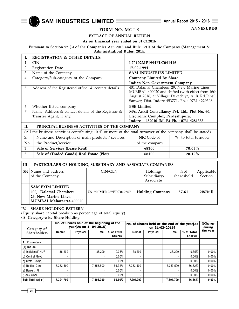

#### **FORM NO. MGT 9**

#### **EXTRACT OF ANNUAL RETURN**

#### **As on financial year ended on 31.03.2016**

**Pursuant to Section 92 (3) of the Companies Act, 2013 and Rule 12(1) of the Company (Management &**

**Administration) Rules, 2014.**

|                | <b>REGISTRATION &amp; OTHER DETAILS:</b>                                                                     |                                                |                                                       |  |  |  |  |
|----------------|--------------------------------------------------------------------------------------------------------------|------------------------------------------------|-------------------------------------------------------|--|--|--|--|
|                | <b>CIN</b>                                                                                                   | L70102MP1994PLC041416                          |                                                       |  |  |  |  |
| $\overline{2}$ | Registration Date                                                                                            | 17.02.1994                                     |                                                       |  |  |  |  |
| 3              | Name of the Company                                                                                          | <b>SAM INDUSTRIES LIMITED</b>                  |                                                       |  |  |  |  |
| $\overline{4}$ | Category/Sub-category of the Company                                                                         | Company Limited By Share                       |                                                       |  |  |  |  |
|                |                                                                                                              | <b>Indian Non Government Company</b>           |                                                       |  |  |  |  |
| 5              | Address of the Registered office & contact details                                                           | 401 Dalamal Chambers, 29, New Marine Lines,    |                                                       |  |  |  |  |
|                |                                                                                                              |                                                | MUMBAI -400020 and shifted (with effect from 16th     |  |  |  |  |
|                |                                                                                                              |                                                | August 2016) at Village: Dakachiya, A. B. Rd, Tehsil: |  |  |  |  |
|                |                                                                                                              |                                                | Sanwer, Dist.-Indore-453771, Ph. : 0731-4229308       |  |  |  |  |
| 6              | Whether listed company                                                                                       | <b>BSE</b> Limited                             |                                                       |  |  |  |  |
| 7              | Name, Address & contact details of the Registrar &                                                           | M/s. Ankit Consultancy Pvt. Ltd., Plot No. 60, |                                                       |  |  |  |  |
|                | Transfer Agent, if any.                                                                                      | Electronic Complex, Pardeshipura,              |                                                       |  |  |  |  |
|                |                                                                                                              | Indore - 452010 (M. P.) Ph. : 0731-4281333     |                                                       |  |  |  |  |
| II.            | PRINCIPAL BUSINESS ACTIVITIES OF THE COMPANY                                                                 |                                                |                                                       |  |  |  |  |
|                | (All the business activities contributing 10 % or more of the total turnover of the company shall be stated) |                                                |                                                       |  |  |  |  |
| S.             | Name and Description of main products / services                                                             | NIC Code of                                    | to total turnover<br>$\%$                             |  |  |  |  |
| No.            | the Product/service                                                                                          | of the company                                 |                                                       |  |  |  |  |
| 1              | Sale of Services (Lease Rent)                                                                                | 68100                                          | 70.03%                                                |  |  |  |  |
| $\overline{2}$ | Sale of (Traded Goods) Real Estate (Plot)                                                                    | 68100                                          | 20.19%                                                |  |  |  |  |
|                |                                                                                                              |                                                |                                                       |  |  |  |  |
| III.           | PARTICULARS OF HOLDING, SUBSIDIARY AND ASSOCIATE COMPANIES                                                   |                                                |                                                       |  |  |  |  |

| SNI Name and address<br>of the Company                                                                | CIN/GLN               | Holding/<br>Subsidiary/<br>Associate | $%$ of<br>sharesheld | Applicable<br>Section |
|-------------------------------------------------------------------------------------------------------|-----------------------|--------------------------------------|----------------------|-----------------------|
| <b>SAM EXIM LIMITED</b><br>402, Dalamal Chambers<br>29, New Marine Lines,<br>MUMBAI Maharastra-400020 | U51900MH1987PLC042267 | <b>Holding Company</b>               | 57.61                | 2(87)(ii)             |

#### **IV. SHARE HOLDING PATTERN**

(Equity share capital breakup as percentage of total equity)

**(i) Category-wise Share Holding**

| Category of         |           | No. of Shares held at the beginning of the<br>year[As on 1- 04-2015] |           |                             | No. of Shares held at the end of the year[As<br>on 31-03-2016] |          |           |                             | %Change<br>during |
|---------------------|-----------|----------------------------------------------------------------------|-----------|-----------------------------|----------------------------------------------------------------|----------|-----------|-----------------------------|-------------------|
| <b>Shareholders</b> | Demat     | Physical                                                             | Total     | % of Total<br><b>Shares</b> | Demat                                                          | Physical | Total     | % of Total<br><b>Shares</b> | the year          |
| A. Promoters        |           |                                                                      |           |                             |                                                                |          |           |                             |                   |
| $(1)$ Indian        |           |                                                                      |           |                             |                                                                |          |           |                             |                   |
| a) Individual/ HUF  | 38.299    |                                                                      | 38,299    | 0.35%                       | 38.299                                                         |          | 38.299    | 0.35%                       | $0.00\%$          |
| b) Central Govt     |           |                                                                      |           | $0.00\%$                    |                                                                |          |           | 0.00%                       | $0.00\%$          |
| c) State Govt(s)    |           |                                                                      |           | $0.00\%$                    |                                                                |          |           | 0.00%                       | 0.00%             |
| d) Bodies Corp.     | 7,353,500 |                                                                      | 7,353,500 | 66.32%                      | 7,353,500                                                      |          | 7,353,500 | 66.32%                      | 0.00%             |
| e) Banks / Fl       |           |                                                                      |           | $0.00\%$                    |                                                                |          |           | 0.00%                       | $0.00\%$          |
| f) Any other        |           |                                                                      |           | 0.00%                       |                                                                |          |           | $0.00\%$                    | 0.00%             |
| Sub Total (A) (1)   | 7,391,799 |                                                                      | 7,391,799 | 66.66%                      | 7,391,799                                                      |          | 7,391,799 | 66.66%                      | $0.00\%$          |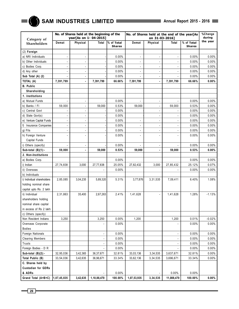|  | $\equiv$ $\binom{1}{2}$ sam industries limited = |  | Annual Report 2015 - 2016 $\equiv$ |  |
|--|--------------------------------------------------|--|------------------------------------|--|
|--|--------------------------------------------------|--|------------------------------------|--|

| Category of<br>the year<br>% of Total<br>Physical<br>% of Total<br>Physical<br>Demat<br>Total<br>Demat<br>Total<br>Shareholders<br><b>Shares</b><br><b>Shares</b><br>(2) Foreign<br>a) NRI Individuals<br>$0.00\%$<br>0.00%<br>$0.00\%$<br>$\overline{\phantom{a}}$<br>b) Other Individuals<br>0.00%<br>0.00%<br>0.00%<br>$\overline{\phantom{a}}$<br>$\overline{\phantom{a}}$<br>c) Bodies Corp.<br>0.00%<br>0.00%<br>0.00%<br>$\overline{\phantom{a}}$<br>$\overline{\phantom{a}}$<br>0.00%<br>0.00%<br>0.00%<br>d) Any other<br>$\overline{\phantom{a}}$<br>$\overline{a}$<br>$\overline{a}$<br>0.00%<br>0.00%<br>0.00%<br>Sub Total (A) (2)<br>TOTAL (A)<br>7,391,799<br>7,391,799<br>66.66%<br>7,391,799<br>7,391,799<br>66.66%<br>0.00%<br>$\blacksquare$<br>$\blacksquare$<br><b>B.</b> Public<br>Shareholding<br>1. Institutions<br>0.00%<br>0.00%<br>0.00%<br>a) Mutual Funds<br>0.53%<br>0.53%<br>b) Banks / Fl<br>59,000<br>59,000<br>59,000<br>59,000<br>$0.00\%$<br>$\overline{\phantom{m}}$<br>0.00%<br>0.00%<br>0.00%<br>c) Central Govt<br>$\overline{\phantom{a}}$<br>d) State Govt(s)<br>0.00%<br>0.00%<br>0.00%<br>$\overline{\phantom{a}}$<br>e) Venture Capital Funds<br>0.00%<br>0.00%<br>0.00%<br>$\overline{\phantom{a}}$<br>$\overline{a}$<br>$\overline{\phantom{a}}$<br>0.00%<br>Insurance Companies<br>0.00%<br>0.00% |
|---------------------------------------------------------------------------------------------------------------------------------------------------------------------------------------------------------------------------------------------------------------------------------------------------------------------------------------------------------------------------------------------------------------------------------------------------------------------------------------------------------------------------------------------------------------------------------------------------------------------------------------------------------------------------------------------------------------------------------------------------------------------------------------------------------------------------------------------------------------------------------------------------------------------------------------------------------------------------------------------------------------------------------------------------------------------------------------------------------------------------------------------------------------------------------------------------------------------------------------------------------------------------------------------------------------------------------------------------|
|                                                                                                                                                                                                                                                                                                                                                                                                                                                                                                                                                                                                                                                                                                                                                                                                                                                                                                                                                                                                                                                                                                                                                                                                                                                                                                                                                   |
|                                                                                                                                                                                                                                                                                                                                                                                                                                                                                                                                                                                                                                                                                                                                                                                                                                                                                                                                                                                                                                                                                                                                                                                                                                                                                                                                                   |
|                                                                                                                                                                                                                                                                                                                                                                                                                                                                                                                                                                                                                                                                                                                                                                                                                                                                                                                                                                                                                                                                                                                                                                                                                                                                                                                                                   |
|                                                                                                                                                                                                                                                                                                                                                                                                                                                                                                                                                                                                                                                                                                                                                                                                                                                                                                                                                                                                                                                                                                                                                                                                                                                                                                                                                   |
|                                                                                                                                                                                                                                                                                                                                                                                                                                                                                                                                                                                                                                                                                                                                                                                                                                                                                                                                                                                                                                                                                                                                                                                                                                                                                                                                                   |
|                                                                                                                                                                                                                                                                                                                                                                                                                                                                                                                                                                                                                                                                                                                                                                                                                                                                                                                                                                                                                                                                                                                                                                                                                                                                                                                                                   |
|                                                                                                                                                                                                                                                                                                                                                                                                                                                                                                                                                                                                                                                                                                                                                                                                                                                                                                                                                                                                                                                                                                                                                                                                                                                                                                                                                   |
|                                                                                                                                                                                                                                                                                                                                                                                                                                                                                                                                                                                                                                                                                                                                                                                                                                                                                                                                                                                                                                                                                                                                                                                                                                                                                                                                                   |
|                                                                                                                                                                                                                                                                                                                                                                                                                                                                                                                                                                                                                                                                                                                                                                                                                                                                                                                                                                                                                                                                                                                                                                                                                                                                                                                                                   |
|                                                                                                                                                                                                                                                                                                                                                                                                                                                                                                                                                                                                                                                                                                                                                                                                                                                                                                                                                                                                                                                                                                                                                                                                                                                                                                                                                   |
|                                                                                                                                                                                                                                                                                                                                                                                                                                                                                                                                                                                                                                                                                                                                                                                                                                                                                                                                                                                                                                                                                                                                                                                                                                                                                                                                                   |
|                                                                                                                                                                                                                                                                                                                                                                                                                                                                                                                                                                                                                                                                                                                                                                                                                                                                                                                                                                                                                                                                                                                                                                                                                                                                                                                                                   |
|                                                                                                                                                                                                                                                                                                                                                                                                                                                                                                                                                                                                                                                                                                                                                                                                                                                                                                                                                                                                                                                                                                                                                                                                                                                                                                                                                   |
|                                                                                                                                                                                                                                                                                                                                                                                                                                                                                                                                                                                                                                                                                                                                                                                                                                                                                                                                                                                                                                                                                                                                                                                                                                                                                                                                                   |
|                                                                                                                                                                                                                                                                                                                                                                                                                                                                                                                                                                                                                                                                                                                                                                                                                                                                                                                                                                                                                                                                                                                                                                                                                                                                                                                                                   |
|                                                                                                                                                                                                                                                                                                                                                                                                                                                                                                                                                                                                                                                                                                                                                                                                                                                                                                                                                                                                                                                                                                                                                                                                                                                                                                                                                   |
| f)<br>$\overline{a}$                                                                                                                                                                                                                                                                                                                                                                                                                                                                                                                                                                                                                                                                                                                                                                                                                                                                                                                                                                                                                                                                                                                                                                                                                                                                                                                              |
| 0.00%<br>0.00%<br>0.00%<br>g) Flls<br>$\overline{a}$<br>$\overline{\phantom{a}}$                                                                                                                                                                                                                                                                                                                                                                                                                                                                                                                                                                                                                                                                                                                                                                                                                                                                                                                                                                                                                                                                                                                                                                                                                                                                  |
| h) Foreign Venture<br>0.00%<br>0.00%<br>0.00%                                                                                                                                                                                                                                                                                                                                                                                                                                                                                                                                                                                                                                                                                                                                                                                                                                                                                                                                                                                                                                                                                                                                                                                                                                                                                                     |
| Capital Funds                                                                                                                                                                                                                                                                                                                                                                                                                                                                                                                                                                                                                                                                                                                                                                                                                                                                                                                                                                                                                                                                                                                                                                                                                                                                                                                                     |
| 0.00%<br>0.00%<br>0.00%<br>i) Others (specify)                                                                                                                                                                                                                                                                                                                                                                                                                                                                                                                                                                                                                                                                                                                                                                                                                                                                                                                                                                                                                                                                                                                                                                                                                                                                                                    |
| Sub-total $(B)(1)$ :-<br>59,000<br>59,000<br>0.53%<br>59,000<br>59,000<br>0.53%<br>$0.00\%$                                                                                                                                                                                                                                                                                                                                                                                                                                                                                                                                                                                                                                                                                                                                                                                                                                                                                                                                                                                                                                                                                                                                                                                                                                                       |
| 2. Non-Institutions                                                                                                                                                                                                                                                                                                                                                                                                                                                                                                                                                                                                                                                                                                                                                                                                                                                                                                                                                                                                                                                                                                                                                                                                                                                                                                                               |
| 0.00%<br>a) Bodies Corp.<br>0.00%<br>0.00%                                                                                                                                                                                                                                                                                                                                                                                                                                                                                                                                                                                                                                                                                                                                                                                                                                                                                                                                                                                                                                                                                                                                                                                                                                                                                                        |
| 25.05%<br>27,85,432<br>25.12%<br>0.07%<br>i) Indian<br>27,74,838<br>3,000<br>27,77,838<br>27,82,432<br>3,000                                                                                                                                                                                                                                                                                                                                                                                                                                                                                                                                                                                                                                                                                                                                                                                                                                                                                                                                                                                                                                                                                                                                                                                                                                      |
| 0.00%<br>ii) Overseas<br>0.00%<br>0.00%                                                                                                                                                                                                                                                                                                                                                                                                                                                                                                                                                                                                                                                                                                                                                                                                                                                                                                                                                                                                                                                                                                                                                                                                                                                                                                           |
| b) Individuals                                                                                                                                                                                                                                                                                                                                                                                                                                                                                                                                                                                                                                                                                                                                                                                                                                                                                                                                                                                                                                                                                                                                                                                                                                                                                                                                    |
| 1.08%<br>i) Individual shareholders<br>2,85,085<br>3,04,235<br>5,89,320<br>5.31%<br>3,77,876<br>3,31,535<br>7,09,411<br>6.40%<br>holding nominal share                                                                                                                                                                                                                                                                                                                                                                                                                                                                                                                                                                                                                                                                                                                                                                                                                                                                                                                                                                                                                                                                                                                                                                                            |
| capital upto Rs. 2 lakh                                                                                                                                                                                                                                                                                                                                                                                                                                                                                                                                                                                                                                                                                                                                                                                                                                                                                                                                                                                                                                                                                                                                                                                                                                                                                                                           |
| $-1.13%$<br>ii) Individual<br>2,31,863<br>2,67,263<br>2.41%<br>1,41,628<br>1,41,628<br>1.28%<br>35,400                                                                                                                                                                                                                                                                                                                                                                                                                                                                                                                                                                                                                                                                                                                                                                                                                                                                                                                                                                                                                                                                                                                                                                                                                                            |
| shareholders holding                                                                                                                                                                                                                                                                                                                                                                                                                                                                                                                                                                                                                                                                                                                                                                                                                                                                                                                                                                                                                                                                                                                                                                                                                                                                                                                              |
| nominal share capital                                                                                                                                                                                                                                                                                                                                                                                                                                                                                                                                                                                                                                                                                                                                                                                                                                                                                                                                                                                                                                                                                                                                                                                                                                                                                                                             |
| in excess of Rs 2 lakh                                                                                                                                                                                                                                                                                                                                                                                                                                                                                                                                                                                                                                                                                                                                                                                                                                                                                                                                                                                                                                                                                                                                                                                                                                                                                                                            |
| c) Others (specify)                                                                                                                                                                                                                                                                                                                                                                                                                                                                                                                                                                                                                                                                                                                                                                                                                                                                                                                                                                                                                                                                                                                                                                                                                                                                                                                               |
| Non Resident Indians<br>3,250<br>3,250<br>1,200<br>0.01%<br>$-0.02%$<br>0.00%<br>1,200                                                                                                                                                                                                                                                                                                                                                                                                                                                                                                                                                                                                                                                                                                                                                                                                                                                                                                                                                                                                                                                                                                                                                                                                                                                            |
| 0.00%<br>0.00%<br>0.00%<br>Overseas Corporate                                                                                                                                                                                                                                                                                                                                                                                                                                                                                                                                                                                                                                                                                                                                                                                                                                                                                                                                                                                                                                                                                                                                                                                                                                                                                                     |
| <b>Bodies</b>                                                                                                                                                                                                                                                                                                                                                                                                                                                                                                                                                                                                                                                                                                                                                                                                                                                                                                                                                                                                                                                                                                                                                                                                                                                                                                                                     |
| 0.00%<br>0.00%<br>0.00%                                                                                                                                                                                                                                                                                                                                                                                                                                                                                                                                                                                                                                                                                                                                                                                                                                                                                                                                                                                                                                                                                                                                                                                                                                                                                                                           |
| Foreign Nationals<br>0.00%<br>0.00%<br>0.00%                                                                                                                                                                                                                                                                                                                                                                                                                                                                                                                                                                                                                                                                                                                                                                                                                                                                                                                                                                                                                                                                                                                                                                                                                                                                                                      |
| <b>Clearing Members</b>                                                                                                                                                                                                                                                                                                                                                                                                                                                                                                                                                                                                                                                                                                                                                                                                                                                                                                                                                                                                                                                                                                                                                                                                                                                                                                                           |
| 0.00%<br>0.00%<br>0.00%<br>Trusts<br>Foreign Bodies - D R<br>0.00%<br>0.00%<br>0.00%                                                                                                                                                                                                                                                                                                                                                                                                                                                                                                                                                                                                                                                                                                                                                                                                                                                                                                                                                                                                                                                                                                                                                                                                                                                              |
|                                                                                                                                                                                                                                                                                                                                                                                                                                                                                                                                                                                                                                                                                                                                                                                                                                                                                                                                                                                                                                                                                                                                                                                                                                                                                                                                                   |
| Sub-total $(B)(2)$ :-<br>32,95,036<br>3,42,365<br>32.81%<br>33,03,136<br>3, 34, 535<br>3,637,671<br>32.81%<br>0.00%<br>36,37,671<br>Total Public (B)<br>33,54,036<br>3,42,635<br>36,96,671<br>33.34%<br>33,62,136<br>3, 34, 535<br>3,696,671<br>33.34%<br>0.00%                                                                                                                                                                                                                                                                                                                                                                                                                                                                                                                                                                                                                                                                                                                                                                                                                                                                                                                                                                                                                                                                                   |
| C. Shares held by                                                                                                                                                                                                                                                                                                                                                                                                                                                                                                                                                                                                                                                                                                                                                                                                                                                                                                                                                                                                                                                                                                                                                                                                                                                                                                                                 |
| <b>Custodian for GDRs</b>                                                                                                                                                                                                                                                                                                                                                                                                                                                                                                                                                                                                                                                                                                                                                                                                                                                                                                                                                                                                                                                                                                                                                                                                                                                                                                                         |
| & ADRs<br>0.00%<br>0.00%<br>0.00%                                                                                                                                                                                                                                                                                                                                                                                                                                                                                                                                                                                                                                                                                                                                                                                                                                                                                                                                                                                                                                                                                                                                                                                                                                                                                                                 |
| Grand Total (A+B+C) 1,07,45,835<br>3,42,635<br>100.00%<br>11,088,470<br>1,10,88,470<br>1,07,53,935<br>3, 34, 535<br>100.00%<br>$0.00\%$                                                                                                                                                                                                                                                                                                                                                                                                                                                                                                                                                                                                                                                                                                                                                                                                                                                                                                                                                                                                                                                                                                                                                                                                           |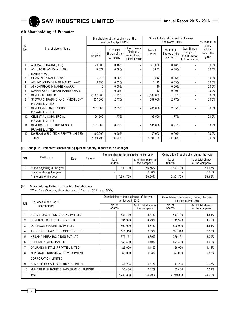### $\bullet$  SAM INDUSTRIES LIMITED  $\equiv$  Annual Report 2015 - 2016  $\equiv$  $\equiv$

#### **(ii) Shareholding of Promoter**

|                 |                                                   |                  | Shareholding at the beginning of the<br>year on 1st April 2015 |                                                           | Share holding at the end of the year<br>31st March 2016 | % change in<br>share                   |                                                          |                               |
|-----------------|---------------------------------------------------|------------------|----------------------------------------------------------------|-----------------------------------------------------------|---------------------------------------------------------|----------------------------------------|----------------------------------------------------------|-------------------------------|
| S.<br>No.       | Shareholder's Name                                | No. of<br>Shares | % of total<br>Shares of the<br>company                         | % of Shares<br>Pledged /<br>encumbered<br>to total shares | No. of<br><b>Shares</b>                                 | % of total<br>Shares of the<br>company | %of Shares<br>Pledged /<br>encumbered<br>to total shares | holding<br>during the<br>year |
|                 | A H MAHESHWARI (HUF)                              | 20,000           | 0.18%                                                          |                                                           | 20,000                                                  | 0.18%                                  | $\overline{\phantom{0}}$                                 | 0.00%                         |
| $\mathfrak{p}$  | ASHUTOSH ASHOKKUMAR<br><b>MAHESHWARI</b>          | 8,877            | 0.08%                                                          |                                                           | 8,877                                                   | 0.08%                                  |                                                          | $0.00\%$                      |
| 3               | GITANJALI A MAHESHWARI                            | 6,212            | 0.06%                                                          |                                                           | 6,212                                                   | 0.06%                                  | $\overline{\phantom{0}}$                                 | 0.00%                         |
| 4               | ARVIND ASHOKKUMAR MAHESHWARI                      | 3,190            | 0.03%                                                          |                                                           | 3,190                                                   | 0.03%                                  | $\overline{a}$                                           | 0.00%                         |
| 5               | ASHOKKUMAR H MAHESHWARRI                          | 10               | $0.00\%$                                                       |                                                           | 10                                                      | 0.00%                                  |                                                          | 0.00%                         |
| 6               | SUMAN ASHOKKUMAR MAHESHWARI                       | 10               | $0.00\%$                                                       |                                                           | 10                                                      | 0.00%                                  | $\overline{a}$                                           | 0.00%                         |
| $\overline{7}$  | <b>SAM EXIM LIMITED</b>                           | 6,388,000        | 57.61%                                                         |                                                           | 6,388,000                                               | 57.61%                                 |                                                          | 0.00%                         |
| 8               | STEWARD TRADING AND INVESTMENT<br>PRIVATE LIMITED | 307,000          | 2.77%                                                          |                                                           | 307,000                                                 | 2.77%                                  |                                                          | 0.00%                         |
| 9               | SAM FARMS AND FOODS<br>PRIVATE LIMITED            | 261,000          | 2.35%                                                          |                                                           | 261,000                                                 | 2.35%                                  |                                                          | 0.00%                         |
| 10 <sup>1</sup> | <b>CELESTIAL COMMERCIAL</b><br>PRIVATE LIMITED    | 196,500          | 1.77%                                                          |                                                           | 196,500                                                 | 1.77%                                  |                                                          | 0.00%                         |
| 11              | SAM HOTELIERS AND RESORTS                         | 101,000          | 0.91%                                                          |                                                           | 101,000                                                 | 0.91%                                  |                                                          | 0.00%                         |
|                 | PRIVATE LIMITED                                   |                  |                                                                |                                                           |                                                         |                                        |                                                          |                               |
| 12              | DWEKAM WELD TECH PRIVATE LIMITED                  | 100,000          | 0.90%                                                          |                                                           | 100,000                                                 | 0.90%                                  | $\overline{\phantom{a}}$                                 | $0.00\%$                      |
|                 | <b>TOTAL</b>                                      | 7,391,799        | 66.66%                                                         | $\overline{\phantom{a}}$                                  | 7,391,799                                               | 66.66%                                 | $\overline{\phantom{a}}$                                 | 0.00%                         |

#### **(iii) Change in Promoters' Shareholding (please specify, if there is no change)**

|           | <b>Particulars</b>           |      | Reason | Shareholding at the beginning of the year |           |                                         | Cumulative Shareholding during the year |                                     |  |
|-----------|------------------------------|------|--------|-------------------------------------------|-----------|-----------------------------------------|-----------------------------------------|-------------------------------------|--|
| <b>SN</b> |                              | Date |        | No. of<br>shares                          |           | Ⅰ % of total shares of Ⅰ<br>the company | No. of<br>shares                        | % of total shares<br>of the company |  |
|           | At the beginning of the year |      |        |                                           | 7.391.799 | 66.66%                                  | 7.391.799                               | 66.66%                              |  |
|           | Changes during the year      |      |        |                                           |           | $0.00\%$                                |                                         | 0.00%                               |  |
|           | At the end of the year       |      |        |                                           | 7.391.799 | 66.66%                                  | 7.391.799                               | 66.66%                              |  |

#### **(iv) Shareholding Pattern of top ten Shareholders**

*(Other than Directors, Promoters and Holders of GDRs and ADRs):*

|           | For each of the Top 10                  |                  | i.e 1st April 2015 | Shareholding at the beginning of the year | Cumulative Shareholding during the year<br>i.e 31st March 2016 |                                     |  |
|-----------|-----------------------------------------|------------------|--------------------|-------------------------------------------|----------------------------------------------------------------|-------------------------------------|--|
| <b>SN</b> | shareholders                            | No. of<br>shares |                    | % of total shares of<br>the company       | No. of<br>shares                                               | % of total shares<br>of the company |  |
|           | ACTIVE SHARE AND STOCKS PVT LTD         |                  | 533,700            | 4.81%                                     | 533,700                                                        | 4.81%                               |  |
| 2         | CEREBRAL SECURITIES PVT LTD             |                  | 531,393            | 4.79%                                     | 531,393                                                        | 4.79%                               |  |
| 3         | QUICKAGE SECURITIES PVT LTD             |                  | 500,000            | 4.51%                                     | 500,000                                                        | 4.51%                               |  |
| 4         | AMBITIOUS SHARE & STOCKS PVT. LTD.      |                  | 391,110            | 3.53%                                     | 391,110                                                        | 3.53%                               |  |
| 5         | KRISHNA KRIPA HOLDINGS PVT. LTD.        |                  | 376,161            | 3.39%                                     | 376,161                                                        | 3.39%                               |  |
| 6         | SHEETAL KRAFTS PVT LTD                  |                  | 155,400            | 1.40%                                     | 155,400                                                        | 1.40%                               |  |
|           | <b>GAURANG METALS PRIVATE LIMITED</b>   |                  | 126,000            | 1.14%                                     | 126,000                                                        | 1.14%                               |  |
| 8         | M P STATE INDUSTRIAL DEVELOPMENT        |                  | 59,000             | 0.53%                                     | 59,000                                                         | 0.53%                               |  |
|           | <b>CORPORATION LIMITED</b>              |                  |                    |                                           |                                                                |                                     |  |
| 9         | ACME FERRO ALLOYS PRIVATE LIMITED       |                  | 41,204             | 0.37%                                     | 41,204                                                         | 0.37%                               |  |
| 10        | MUKESH P. PUROHIT & PARASRAM G. PUROHIT |                  | 35,400             | 0.32%                                     | 35,400                                                         | 0.32%                               |  |
|           | Total                                   |                  | 2,749,368          | 24.79%                                    | 2,749,368                                                      | 24.79%                              |  |

**30**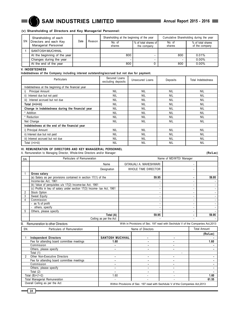

#### **(v) Shareholding of Directors and Key Managerial Personnel:**

|           | Shareholding of each<br>Directors and each Key<br>Managerial Personnel |      |        | Shareholding at the beginning of the year |                                     | Cumulative Shareholding during the year |                                     |
|-----------|------------------------------------------------------------------------|------|--------|-------------------------------------------|-------------------------------------|-----------------------------------------|-------------------------------------|
| <b>SN</b> |                                                                        | Date | Reason | No. of<br>shares                          | % of total shares of<br>the company | No. of<br>shares                        | % of total shares<br>of the company |
|           | SANTOSH MUCHHAL                                                        |      |        |                                           |                                     |                                         |                                     |
|           | At the beginning of the year                                           |      |        | 800                                       |                                     | 800                                     | 0.01%                               |
|           | Changes during the year                                                |      |        |                                           |                                     |                                         | $0.00\%$                            |
|           | At the end of the year                                                 |      |        | 800                                       |                                     | 800                                     | 0.00%                               |

#### **V. INDEBTEDNESS**

**Indebtedness of the Company including interest outstanding/accrued but not due for payment.**

| <b>Particulars</b>                                  | Secured Loans<br>excluding deposits | Unsecured Loans | Deposits   | Total Indebtedness |
|-----------------------------------------------------|-------------------------------------|-----------------|------------|--------------------|
| Indebtedness at the beginning of the financial year |                                     |                 |            |                    |
| Principal Amount                                    | <b>NIL</b>                          | <b>NIL</b>      | <b>NIL</b> | <b>NIL</b>         |
| ii) Interest due but not paid                       | <b>NIL</b>                          | <b>NIL</b>      | <b>NIL</b> | <b>NIL</b>         |
| iii) Interest accrued but not due                   | <b>NIL</b>                          | <b>NIL</b>      | <b>NIL</b> | <b>NIL</b>         |
| Total (i+ii+iii)                                    | <b>NIL</b>                          | <b>NIL</b>      | <b>NIL</b> | <b>NIL</b>         |
| Change in Indebtedness during the financial year    | <b>NIL</b>                          | <b>NIL</b>      | <b>NIL</b> | <b>NIL</b>         |
| * Addition                                          | <b>NIL</b>                          | <b>NIL</b>      | <b>NIL</b> | <b>NIL</b>         |
| * Reduction                                         | <b>NIL</b>                          | <b>NIL</b>      | <b>NIL</b> | <b>NIL</b>         |
| Net Change                                          | <b>NIL</b>                          | <b>NIL</b>      | <b>NIL</b> | <b>NIL</b>         |
| Indebtedness at the end of the financial year       |                                     |                 |            |                    |
| i) Principal Amount                                 | <b>NIL</b>                          | <b>NIL</b>      | <b>NIL</b> | <b>NIL</b>         |
| ii) Interest due but not paid                       | <b>NIL</b>                          | <b>NIL</b>      | <b>NIL</b> | <b>NIL</b>         |
| iii) Interest accrued but not due                   | <b>NIL</b>                          | <b>NIL</b>      | <b>NIL</b> | <b>NIL</b>         |
| Total (i+ii+iii)                                    | <b>NIL</b>                          | NIL             | <b>NIL</b> | <b>NIL</b>         |

#### **VI. REMUNERATION OF DIRECTORS AND KEY MANAGERIAL PERSONNEL**

A. Remuneration to Managing Director, Whole-time Directors and/or Manager:

**(Rs/Lac)**

| SN. | Particulars of Remuneration                                             | Name of MD/WTD/ Manager |  |        |
|-----|-------------------------------------------------------------------------|-------------------------|--|--------|
|     | Name                                                                    | GITANJALI A. MAHESHWARI |  |        |
|     | Designation                                                             | WHOLE TIME DIRECTOR     |  |        |
|     | Gross salary                                                            |                         |  |        |
|     | (a) Salary as per provisions contained in section 17(1) of the          | 59.95                   |  | 59.95  |
|     | Income-tax Act, 1961                                                    |                         |  |        |
|     | (b) Value of perquisites u/s 17(2) Income-tax Act, 1961                 |                         |  |        |
|     | (c) Profits in lieu of salary under section 17(3) Income- tax Act, 1961 |                         |  | $\sim$ |
| 2   | Stock Option                                                            |                         |  |        |
| 3   | Sweat Equity                                                            |                         |  |        |
| 4   | Commission                                                              |                         |  |        |
|     | - as % of profit                                                        |                         |  |        |
|     | - others, specify                                                       |                         |  |        |
| 5   | Others, please specify                                                  |                         |  |        |
|     | Total (A)                                                               | 59.95                   |  | 59.95  |
|     | Ceiling as per the Act                                                  |                         |  |        |

B. Remuneration to other Directors

With in Provisions of Sec. 197 read with Sechdule V of the Companies Act,2013

| SN. | Particulars of Remuneration                |                                                                               | Name of Directors |                          |              |
|-----|--------------------------------------------|-------------------------------------------------------------------------------|-------------------|--------------------------|--------------|
|     |                                            |                                                                               |                   |                          | (Rs/Lac)     |
|     | <b>Independent Directors</b>               | <b>SANTOSH MUCHHAL</b>                                                        |                   | ۰                        |              |
|     | Fee for attending board committee meetings | 1.60                                                                          |                   |                          | 1.60         |
|     | Commission                                 |                                                                               |                   | $\overline{\phantom{0}}$ |              |
|     | Others, please specify                     |                                                                               |                   |                          |              |
|     | Total (1)                                  |                                                                               |                   |                          |              |
|     | Other Non-Executive Directors              |                                                                               |                   |                          |              |
|     | Fee for attending board committee meetings |                                                                               |                   |                          |              |
|     | Commission                                 |                                                                               |                   |                          |              |
|     | Others, please specify                     |                                                                               |                   |                          |              |
|     | Total $(2)$                                |                                                                               |                   |                          | $\mathbf{r}$ |
|     | Total (B)=(1+2)                            | 1.60                                                                          |                   |                          | 1.60         |
|     | <b>Total Managerial Remuneration</b>       |                                                                               |                   |                          | 61.55        |
|     | Overall Ceiling as per the Act             | Within Provisions of Sec. 197 read with Sechdule V of the Companies Act, 2013 |                   |                          |              |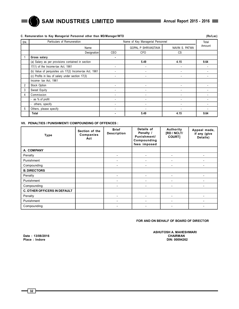

**(Rs/Lac)**

#### **C. Remuneration to Key Managerial Personnel other than MD/Manager/WTD**

| SN. | Particulars of Remuneration                             | Name of Key Managerial Personnel | Total                      |                          |        |
|-----|---------------------------------------------------------|----------------------------------|----------------------------|--------------------------|--------|
|     | Name                                                    |                                  | <b>GOPAL P SHRIVASTAVA</b> | NAVIN S. PATWA           | Amount |
|     | Designation                                             | CEO                              | <b>CFO</b>                 | <b>CS</b>                |        |
|     | Gross salary                                            | ٠                                |                            |                          |        |
|     | (a) Salary as per provisions contained in section       |                                  | 5.49                       | 4.15                     | 9.64   |
|     | 17(1) of the Income-tax Act, 1961                       |                                  |                            |                          |        |
|     | (b) Value of perquisites u/s 17(2) Income-tax Act, 1961 |                                  | $\overline{\phantom{a}}$   | $\overline{\phantom{a}}$ |        |
|     | (c) Profits in lieu of salary under section 17(3)       |                                  |                            | ٠                        |        |
|     | Income- tax Act. 1961                                   |                                  |                            |                          |        |
| 2   | Stock Option                                            | $\overline{\phantom{a}}$         |                            | $\overline{\phantom{0}}$ |        |
| 3   | Sweat Equity                                            |                                  |                            | ٠                        |        |
| 4   | Commission                                              |                                  |                            |                          |        |
|     | - as % of profit                                        |                                  |                            |                          |        |
|     | - others, specify                                       |                                  |                            | ٠                        |        |
| 5   | Others, please specify                                  |                                  |                            |                          |        |
|     | Total                                                   |                                  | 5.49                       | 4.15                     | 9.64   |

#### **VII. PENALTIES / PUNISHMENT/ COMPOUNDING OF OFFENCES :**

| <b>Type</b>                         | Section of the<br>Companies<br>Act | <b>Brief</b><br><b>Description</b> | Details of<br>Penalty /<br>Punishment/<br>Compounding<br>fees imposed | Authority<br>[RD / NCLT/<br>COURT] | Appeal made,<br>if any (give<br>Details) |
|-------------------------------------|------------------------------------|------------------------------------|-----------------------------------------------------------------------|------------------------------------|------------------------------------------|
| A. COMPANY                          |                                    |                                    |                                                                       |                                    |                                          |
| Penalty                             |                                    | $\overline{\phantom{a}}$           | $\qquad \qquad \blacksquare$                                          | $\overline{\phantom{0}}$           |                                          |
| Punishment                          |                                    | $\overline{\phantom{0}}$           | $\overline{a}$                                                        | $\overline{a}$                     |                                          |
| Compounding                         |                                    | $\overline{\phantom{a}}$           | $\overline{\phantom{0}}$                                              | $\overline{\phantom{0}}$           |                                          |
| <b>B. DIRECTORS</b>                 |                                    |                                    |                                                                       |                                    |                                          |
| Penalty                             |                                    | $\overline{\phantom{a}}$           | $\overline{\phantom{0}}$                                              | $\overline{\phantom{0}}$           |                                          |
| Punishment                          |                                    | $\overline{\phantom{0}}$           |                                                                       |                                    |                                          |
| Compounding                         |                                    | $\overline{\phantom{a}}$           | $\overline{a}$                                                        | $\overline{a}$                     | $\overline{a}$                           |
| <b>C. OTHER OFFICERS IN DEFAULT</b> |                                    |                                    |                                                                       |                                    |                                          |
| Penalty                             |                                    | $\overline{\phantom{a}}$           | $\overline{\phantom{0}}$                                              | $\overline{\phantom{0}}$           |                                          |
| Punishment                          |                                    | $\overline{\phantom{0}}$           |                                                                       |                                    |                                          |
| Compounding                         |                                    | $\overline{\phantom{a}}$           | $\overline{\phantom{a}}$                                              | $\overline{\phantom{a}}$           | $\overline{\phantom{a}}$                 |

#### **FOR AND ON BEHALF OF BOARD OF DIRECTOR**

 **ASHUTOSH A. MAHESHWARI** Pate : 13/08/2016<br>
Place : Indore<br>
Place : Indore

**Place : Indore**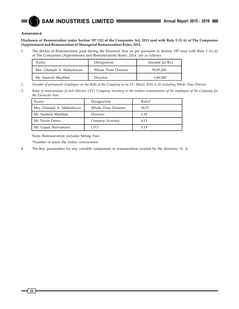

#### **Annexure-6**

**Disclosure of Remuneration under Section 197 (12) of the Companies Act, 2013 read with Rule 5 (1) (i) of The Companies (Appointment and Remuneration of Managerial Remuneration) Rules, 2014.**

1. The details of Remuneration paid during the Financial Year as per pursuant to Section 197 read with Rule 5 (1) (i) of The Companies (Appointment and Remuneration) Rules, 2014 are as follows:

| Name                         | Designation         | Amount (in Rs.) |
|------------------------------|---------------------|-----------------|
| Mrs. Gitanjali A. Maheshwari | Whole Time Director | 59,95,200       |
| Mr. Santosh Muchhal          | Director            | 1,60,200        |

- *2. Number of permanent Employees on the Rolls of the Company as on 31st March 2016 is 26 including Whole Time Director.*
- *3. Ratio of remuneration of each director, CFO, Company Secretary to the median remuneration of the employees of the Company for the Financial Year:*

| Name                         | Designation         | Ratio* |
|------------------------------|---------------------|--------|
| Mrs. Gitanjali A. Maheshwari | Whole Time Director | 56.71  |
| Mr. Santosh Muchhal          | Director            | 1.52   |
| Mr. Navin Patwa              | Company Secretary   | 4.11   |
| Mr. Gopal Shrivastava        | CFO                 | 5.19   |

Note: Remuneration includes Sitting Fees

\*Number of times the *median remuneration*

4. The Key parameters for any variable component of remuneration availed by the directors: N. A.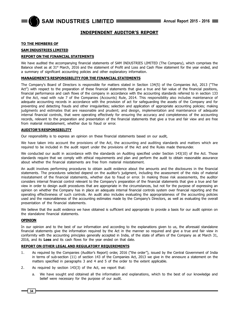#### **INDEPENDENT AUDITOR'S REPORT**

#### **TO THE MEMBERS OF**

#### **SAM INDUSTRIES LIMITED**

#### **REPORT ON THE FINANCIAL STATEMENTS**

We have audited the accompanying financial statements of SAM INDUSTRIES LIMITED (The Company), which comprises the Balance sheet as at 31<sup>st</sup> March, 2016 and the statement of Profit and Loss and Cash Flow statement for the year ended, and a summary of significant accounting policies and other explanatory information.

#### **MANAGEMENT'S RESPONSIBILITY FOR THE FINANCIAL STATEMENTS**

The Company's Board of Directors is responsible for matters stated in Section 134(5) of the Companies Act, 2013 ("The Act") with respect to the preparation of these financial statements that give a true and fair value of the financial positions, financial performance and cash flows of the company in accordance with the accounting standards referred to in section 133 of the Act, read with rule 7 of the Companies (Accounts) Rule, 2014. This responsibility also includes maintenance of adequate accounting records in accordance with the provision of act for safeguarding the assets of the Company and for preventing and detecting frauds and other irregularities; selection and application of appropriate accounting policies; making judgments and estimates that are reasonable and prudent; and design, implementation and maintenance of adequate internal financial controls, that were operating effectively for ensuring the accuracy and completeness of the accounting records, relevant to the preparation and presentation of the financial statements that give a true and fair view and are free from material misstatement, whether due to fraud or error.

#### **AUDITOR'S RESPONSIBILITY**

Our responsibility is to express an opinion on these financial statements based on our audit,

We have taken into account the provisions of the Act, the accounting and auditing standards and matters which are required to be included in the audit report under the provisions of the Act and the Rules made thereunder.

We conducted our audit in accordance with the standards on Auditing specified under Section 143(10) of the Act. Those standards require that we comply with ethical requirements and plan and perform the audit to obtain reasonable assurance about whether the financial statements are free from material misstatement.

An audit involves performing procedures to obtain audit evidence about the amounts and the disclosures in the financial statements. The procedures selected depend on the auditor's judgment, including the assessment of the risks of material misstatement of the financial statements, whether due to fraud or error. In making those risk assessments, the auditor considers internal financial control relevant to the Company's preparation of the financial statements that give a true and fair view in order to design audit procedures that are appropriate in the circumstances, but not for the purpose of expressing an opinion on whether the Company has in place an adequate internal financial controls system over financial reporting and the operating effectiveness of such controls. An audit also includes evaluating the appropriateness of the accounting policies used and the reasonableness of the accounting estimates made by the Company's Directors, as well as evaluating the overall presentation of the financial statements.

We believe that the audit evidence we have obtained is sufficient and appropriate to provide a basis for our audit opinion on the standalone financial statements.

#### **OPINION**

In our opinion and to the best of our information and according to the explanations given to us, the aforesaid standalone financial statements give the information required by the Act in the manner so required and give a true and fair view in conformity with the accounting principles generally accepted in India, of the state of affairs of the Company as at March 31, 2016, and its **Loss** and its cash flows for the year ended on that date.

#### **REPORT ON OTHER LEGAL AND REGULATORY REQUIREMENTS**

- 1. As required by the Companies (Auditor's Report) order, 2016 ("the order"), issued by the Central Government of India in terms of sub-section (11) of section 143 of the Companies Act, 2013 we give in the annexure a statement on the matters specified in paragraphs 3 and 4 and 5 of the order to the extent applicable.
- 2. As required by section 143(3) of the Act, we report that:
	- a. We have sought and obtained all the information and explanations, which to the best of our knowledge and belief were necessary for the purpose of our audit.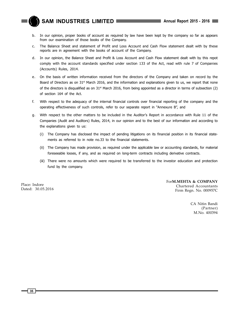

- b. In our opinion, proper books of account as required by law have been kept by the company so far as appears from our examination of those books of the Company.
- c. The Balance Sheet and statement of Profit and Loss Account and Cash Flow statement dealt with by these reports are in agreement with the books of account of the Company.
- d. In our opinion, the Balance Sheet and Profit & Loss Account and Cash Flow statement dealt with by this repot comply with the account standards specified under section 133 of the Act, read with rule 7 of Companies (Accounts) Rules, 2014.
- e. On the basis of written information received from the directors of the Company and taken on record by the Board of Directors as on  $31$ <sup>st</sup> March 2016, and the information and explanations given to us, we report that none of the directors is disqualified as on  $31<sup>st</sup>$  March 2016, from being appointed as a director in terms of subsection (2) of section 164 of the Act.
- f. With respect to the adequacy of the internal financial controls over financial reporting of the company and the operating effectiveness of such controls, refer to our separate report in "Annexure B", and
- g. With respect to the other matters to be included in the Auditor's Report in accordance with Rule 11 of the Companies (Audit and Auditors) Rules, 2014, in our opinion and to the best of our information and according to the explanations given to us:
	- (i) The Company has disclosed the impact of pending litigations on its financial position in its financial statements as referred to in note no.33 to the financial statements.
	- (ii) The Company has made provision, as required under the applicable law or accounting standards, for material foreseeable losses, if any, and as required on long-term contracts including derivative contracts.
	- (iii) There were no amounts which were required to be transferred to the investor education and protection fund by the company.

Place: Indore Dated: 30.05.2016 For**M.MEHTA & COMPANY** Chartered Accountants Firm Regn. No. 000957C

> CA Nitin Bandi (Partner) M.No. 400394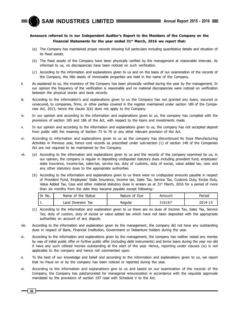

#### **Annexure referred to in our Independent Auditor's Report to the Members of the Company on the Financial Statements for the year ended 31st March, 2016 we report that:**

- (a) The Company has maintained proper records showing full particulars including quantitative details and situation of its fixed assets.
- (b) The fixed assets of the Company have been physically verified by the management at reasonable intervals. As informed to us, no discrepancies have been noticed on such verification.
- (c) According to the information and explanations given to us and on the basis of our examination of the records of the Company, the title deeds of immovable properties are held in the name of the Company.
- ii. As explained to us, the inventory of the Company has been physically verified during the year by the management. In our opinion the frequency of the verification is reasonable and no material discrepancies were noticed on verification between the physical stocks and book records.
- iii. According to the information's and explanations given to us the Company has not granted any loans, secured or unsecured, to companies, firms, or other parties covered in the register maintained under section 189 of the Companies Act, 2013, hence the clause 3(iii) does not apply to the Company
- iv. In our opinion and according to the information and explanations given to us, the company has complied with the provisions of section 185 and 186 of the Act, with respect to the loans and investments made.
- v. In our opinion and according to the information and explanations given to us, the company has not accepted deposit from public with the meaning of Section 73 to 76 or any other relevant provision of the Act.
- vi. According to information and explanations given to us as the company has discontinued its Soya Manufacturing Activities in Previous year, hence cost records as prescribed under sub-section (1) of section 148 of the Companies Act are not required to be maintained by the Company.
- vii. (a) According to the information and explanations given to us and the records of the company examined by us, in our opinion, the company is regular in depositing undisputed statutory dues including provident fund, employees' state insurance, income-tax, sales-tax, service tax, duty of customs, duty of excise, value added tax, cess and any other statutory dues to the appropriate authorities
	- (b) According to the information and explanations given to us there were no undisputed amounts payable in respect of Provident Fund, Employees' State Insurance, Income tax, Sales Tax, Service Tax, Customs Duty, Excise Duty, Value Added Tax, Cess and other material statutory dues in arrears as at  $31<sup>st</sup>$  March, 2016 for a period of more than six months from the date they became payable except following:-

| No.<br>Sr. | Name of the Statue       | Nature of Due | Amount | Periog |
|------------|--------------------------|---------------|--------|--------|
| . .        | Diversion<br>Tax<br>_and | Regular       | 316167 | ገበ14-  |

- (c) According to the information and explanation given to us there are no dues of Income Tax, Sales Tax, Service Tax, duty of custom, duty of excise or value added tax which have not been deposited with the appropriate authorities on account of any dispute.
- viii. According to the information and explanation given by the management, the company did not have any outstanding dues in respect of Bank, Financial Institution, Government or Debenture holders during the year.
- ix. According to the information and explanations given by the management, the company has neither raised any monies by way of initial public offer or further public offer (including debt instruments) and terms loans during the year nor did it have any such utilized monies outstanding at the start of the year. Hence, reporting under clauses (ix) is not applicable to the company and hence not commented upon.
- x. To the best of our knowledge and belief and according to the information and explanations given to us, we report that no fraud on or by the company has been noticed or reported during the year.
- xi. According to the information and explanations give to us and based on our examination of the records of the Company, the Company has paid/provided for managerial remuneration in accordance with the requisite approvals mandated by the provisions of section 197 read with Schedule V to the Act.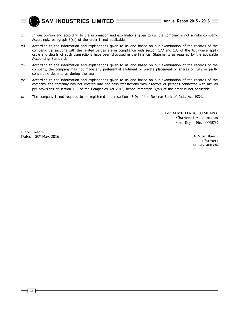

- xii. In our opinion and according to the information and explanations given to us, the company is not a nidhi company. Accordingly, paragraph 3(xii) of the order is not applicable.
- xiii. According to the information and explanations given to us and based on our examination of the records of the company, transactions with the related parties are in compliance with section 177 and 188 of the Act where applicable and details of such transactions have been disclosed in the Financial Statements as required by the applicable Accounting Standards.
- xiv. According to the information and explanations given to us and based on our examination of the records of the company, the company has not made any preferential allotment or private placement of shares or fully or partly convertible debentures during the year.
- xv. According to the information and explanations given to us and based on our examination of the records of the company, the company has not entered into non-cash transactions with directors or persons connected with him as per provisions of section 192 of the Companies Act 2013, hence Paragraph 3(xv) of the order is not applicable.
- xvi. The company is not required to be registered under section 45-IA of the Reserve Bank of India Act 1934.

**For M.MEHTA & COMPANY** Chartered Accountants Firm Regn. No. 000957C

Place: Indore Dated: 30th May, 2016

**CA Nitin Bandi** (Partner) M. No. 400394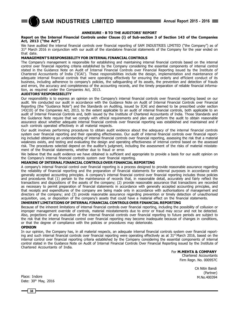

#### **ANNEXURE - B TO THE AUDITORS' REPORT**

#### **Report on the Internal Financial Controls under Clause (i) of Sub-section 3 of Section 143 of the Companies Act, 2013 ("the Act")**

We have audited the internal financial controls over financial reporting of SAM INDUSTRIES LIMITED ("the Company") as of  $31<sup>st</sup>$  March 2016 in conjunction with our audit of the standalone financial statements of the Company for the year ended on that date.

#### **MANAGEMENT'S RESPONSIBILITY FOR INTERNAL FINANCIAL CONTROLS**

The Company's management is responsible for establishing and maintaining internal financial controls based on the internal control over financial reporting criteria established by the Company considering the essential components of internal control stated in the Guidance Note on Audit of Internal Financial Controls over Financial Reporting issued by the Institute of Chartered Accountants of India ('ICAI'). These responsibilities include the design, implementation and maintenance of adequate internal financial controls that were operating effectively for ensuring the orderly and efficient conduct of its business, including adherence to company's policies, the safeguarding of its assets, the prevention and detection of frauds and errors, the accuracy and completeness of the accounting records, and the timely preparation of reliable financial information, as required under the Companies Act, 2013.

#### **AUDITORS' RESPONSIBILITY**

Our responsibility is to express an opinion on the Company's internal financial controls over financial reporting based on our audit. We conducted our audit in accordance with the Guidance Note on Audit of Internal Financial Controls over Financial Reporting (the "Guidance Note") and the Standards on Auditing, issued by ICAI and deemed to be prescribed under section 143(10) of the Companies Act, 2013, to the extent applicable to an audit of internal financial controls, both applicable to an audit of Internal Financial Controls and, both issued by the Institute of Chartered Accountants of India. Those Standards and the Guidance Note require that we comply with ethical requirements and plan and perform the audit to obtain reasonable assurance about whether adequate internal financial controls over financial reporting was established and maintained and if such controls operated effectively in all material respects.

Our audit involves performing procedures to obtain audit evidence about the adequacy of the internal financial controls system over financial reporting and their operating effectiveness. Our audit of internal financial controls over financial reporting included obtaining an understanding of internal financial controls over financial reporting, assessing the risk that a material weakness exists, and testing and evaluating the design and operating effectiveness of internal control based on the assessed risk. The procedures selected depend on the auditor's judgment, including the assessment of the risks of material misstatement of the financial statements, whether due to fraud or error.

We believe that the audit evidence we have obtained is sufficient and appropriate to provide a basis for our audit opinion on the Company's internal financial controls system over financial reporting.

#### **MEANING OF INTERNAL FINANCIAL CONTROLS OVER FINANCIAL REPORTING**

A company's internal financial control over financial reporting is a process designed to provide reasonable assurance regarding the reliability of financial reporting and the preparation of financial statements for external purposes in accordance with generally accepted accounting principles. A company's internal financial control over financial reporting includes those policies and procedures that (1) pertain to the maintenance of records that, in reasonable detail, accurately and fairly reflect the transactions and dispositions of the assets of the company; (2) provide reasonable assurance that transactions are recorded as necessary to permit preparation of financial statements in accordance with generally accepted accounting principles, and that receipts and expenditures of the company are being made only in accordance with authorisations of management and directors of the company; and (3) provide reasonable assurance regarding prevention or timely detection of unauthorised acquisition, use, or disposition of the company's assets that could have a material effect on the financial statements.

#### **INHERENT LIMITATIONS OF INTERNAL FINANCIAL CONTROLS OVER FINANCIAL REPORTING**

Because of the inherent limitations of internal financial controls over financial reporting, including the possibility of collusion or improper management override of controls, material misstatements due to error or fraud may occur and not be detected. Also, projections of any evaluation of the internal financial controls over financial reporting to future periods are subject to the risk that the internal financial control over financial reporting may become inadequate because of changes in conditions, or that the degree of compliance with the policies or procedures may deteriorate.

#### **OPINION**

In our opinion, the Company has, in all material respects, an adequate internal financial controls system over financial reporting and such internal financial controls over financial reporting were operating effectively as at 31<sup>st</sup> March 2016, based on the internal control over financial reporting criteria established by the Company considering the essential components of internal control stated in the Guidance Note on Audit of Internal Financial Controls Over Financial Reporting issued by the Institute of Chartered Accountants of India.

> For **M.MEHTA & COMPANY** Chartered Accountants Firm Regn. No. 000957C

> > CA Nitin Bandi (Partner)

Place: Indore M.No.400394 Date: 30<sup>th</sup> May, 2016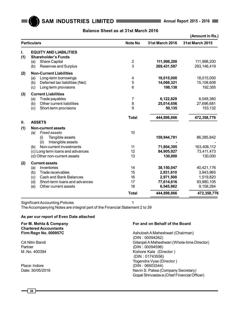

| <b>Balance Sheet as at 31st March 2016</b> |  |  |  |
|--------------------------------------------|--|--|--|
|--------------------------------------------|--|--|--|

|           |                                                                                                                                                               |                            |                                                                 | (Amount in Rs.)                                                 |
|-----------|---------------------------------------------------------------------------------------------------------------------------------------------------------------|----------------------------|-----------------------------------------------------------------|-----------------------------------------------------------------|
|           | <b>Particulars</b>                                                                                                                                            | <b>Note No</b>             | <b>31st March 2016</b>                                          | <b>31st March 2015</b>                                          |
| L.<br>(1) | <b>EQUITY AND LIABILITIES</b><br><b>Shareholder's Funds</b><br><b>Share Capital</b><br>(a)                                                                    | 2<br>3                     | 111,998,200                                                     | 111,998,200                                                     |
|           | Reserves and Surplus<br>(b)                                                                                                                                   |                            | 269,431,587                                                     | 293,146,419                                                     |
| (2)       | <b>Non-Current Liabilities</b><br>Long-term borrowings<br>(a)<br>Deferred tax liabilities (Net)<br>(b)<br>Long term provisions<br>(c)                         | 4<br>5<br>6                | 18,015,000<br>14,068,321<br>198,138                             | 18,015,000<br>15,108,608<br>192,355                             |
|           |                                                                                                                                                               |                            |                                                                 |                                                                 |
| (3)       | <b>Current Liabilities</b><br>Trade payables<br>(a)<br>Other current liabilities<br>(b)<br>Short-term provisions<br>(c)                                       | 7<br>8<br>9                | 6,122,829<br>25,014,656<br>50,135                               | 6,048,380<br>27,696,681<br>153,132                              |
|           |                                                                                                                                                               | <b>Total</b>               | 444,898,866                                                     | 472,358,776                                                     |
| Ш.        | <b>ASSETS</b>                                                                                                                                                 |                            |                                                                 |                                                                 |
| (1)       | <b>Non-current assets</b><br><b>Fixed assets</b><br>(a)<br>Tangible assets<br>(i)<br>Intangible assets<br>(ii)                                                | 10                         | 159,944,781                                                     | 86,385,842                                                      |
|           | Non-current investments<br>(b)                                                                                                                                | 11                         | 71,804,395                                                      | 163,408,112                                                     |
|           | (c) Long term loans and advances<br>(d) Other non-current assets                                                                                              | 12<br>13                   | 84,905,927<br>130,000                                           | 73,411,473<br>130,000                                           |
| (2)       | <b>Current assets</b>                                                                                                                                         |                            |                                                                 |                                                                 |
|           | Inventories<br>(a)<br>Trade receivables<br>(b)<br><b>Cash and Bank Balances</b><br>(c)<br>Short-term loans and advances<br>(d)<br>Other current assets<br>(e) | 14<br>15<br>16<br>17<br>18 | 38,150,047<br>2,831,610<br>2,971,508<br>77,614,616<br>6,545,982 | 40,421,176<br>3,943,965<br>1,519,820<br>93,980,105<br>9,158,284 |
|           |                                                                                                                                                               | <b>Total</b>               | 444,898,866                                                     | 472,358,776                                                     |

Significant Accounting Policies 1 The Accompanying Notes are integral part of the Financial Statement 2 to 39

#### **As per our report of Even Date attached**

**Chartered Accountants**

#### **For M. Mehta & Company For and on Behalf of the Board**

**Firm Regn No. 000957C** Ashutosh A Maheshwari (Chairman) (DIN : 00094262) CA Nitin Bandi Gitanjali A Maheshwari (Whole-time Director) Partner (DIN : 00094596) M.No. 400394 Kishore Kale (Director ) (DIN : 01743556) Yogendra Vyas (Director ) Place: Indore (DIN : 06603344) Date: 30/05/2016 **Date: 30/05/2016** Navin S. Patwa (Company Secretary) Gopal Shrivastava (Chief Financial Officer)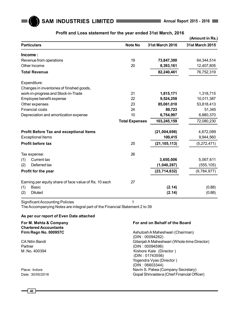$\bullet$  **SAM INDUSTRIES LIMITED**  $\equiv$  **Annual Report 2015 - 2016**  $\equiv$ 

|                                                           |                       |                        | (Amount in Rs.)        |
|-----------------------------------------------------------|-----------------------|------------------------|------------------------|
| <b>Particulars</b>                                        | <b>Note No</b>        | <b>31st March 2016</b> | <b>31st March 2015</b> |
| Income:                                                   |                       |                        |                        |
| Revenue from operations                                   | 19                    | 73,847,300             | 64,344,514             |
| Other Income                                              | 20                    | 8,393,161              | 12,407,805             |
| <b>Total Revenue</b>                                      |                       | 82,240,461             | 76,752,319             |
| Expenditure:<br>Changes in inventories of finished goods, |                       |                        |                        |
| work-in-progress and Stock-in-Trade                       | 21                    | 1,815,171              | 1,318,715              |
| Employee benefit expense                                  | 22                    | 9,524,258              | 10,011,387             |
| Other expenses                                            | 23                    | 85,061,010             | 53,818,413             |
| <b>Financial costs</b>                                    | 24                    | 89,723                 | 51,345                 |
| Depreciation and amortization expense                     | 10                    | 6,754,997              | 6,880,370              |
|                                                           | <b>Total Expenses</b> | 103,245,159            | 72,080,230             |
| <b>Profit Before Tax and exceptional Items</b>            |                       | (21,004,698)           | 4,672,089              |
| <b>Exceptional Items</b>                                  |                       | 100,415                | 9,944,560              |
| <b>Profit before tax</b>                                  | 25                    | (21, 105, 113)         | (5,272,471)            |
| Tax expense:                                              | 26                    |                        |                        |
| Current tax<br>(1)                                        |                       | 3,650,006              | 5,067,611              |
| Deferred tax<br>(2)                                       |                       | (1,040,287)            | (555, 105)             |
| Profit for the year                                       |                       | (23, 714, 832)         | (9,784,977)            |
| Earning per equity share of face value of Rs. 10 each     | 27                    |                        |                        |
| <b>Basic</b><br>(1)                                       |                       | (2.14)                 | (0.88)                 |
| <b>Diluted</b><br>(2)                                     |                       | (2.14)                 | (0.88)                 |

#### **Profit and Loss statement for the year ended 31st March, 2016**

Significant Accounting Policies 1 The Accompanying Notes are integral part of the Financial Statement 2 to 39

#### **As per our report of Even Date attached**

**Chartered Accountants**

#### **For M. Mehta & Company For and on Behalf of the Board**

Ashutosh A Maheshwari (Chairman) (DIN : 00094262) CA Nitin Bandi Gitanjali A Maheshwari (Whole-time Director) Partner (DIN : 00094596) Kishore Kale (Director) (DIN : 01743556) Yogendra Vyas (Director ) (DIN : 06603344) Place: Indore Navin S. Patwa (Company Secretary) Date: 30/05/2016 Copal Shrivastava (Chief Financial Officer)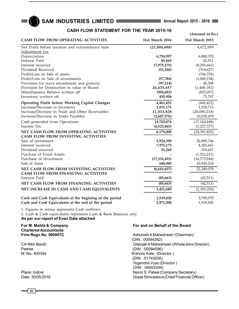### $\bullet$  **SAM INDUSTRIES LIMITED**  $\frac{1}{\sqrt{1-\frac{1}{2}}}\$  Annual Report 2015 - 2016

#### **CASH FLOW STATEMENT FOR THE YEAR 2015-16**

|                                                                                | <b>UIALLIVENT LUINTIIL LEAN ZUTU-TU</b> | (Amount in Rs.) |
|--------------------------------------------------------------------------------|-----------------------------------------|-----------------|
| CASH FLOW FROM OPERATING ACTIVITIES                                            | 31st March 2016                         | 31st March 2015 |
| Net Profit before taxation and extraordinary item<br>Adjustment for:           | (21,004,698)                            | 4,672,089       |
| Depreciation                                                                   | 6,754,997                               | 6,880,370       |
| Interest Paid                                                                  | 85,663                                  | 42,511          |
| Interest received                                                              | (7,975,175)                             | (8,205,661)     |
| Dividend Received                                                              | (51,260)                                | (318, 627)      |
| Profit/Loss on Sale of assets                                                  |                                         | (336, 735)      |
| Profit/Loss on Sale of investments                                             | (37, 784)                               | (1,000,234)     |
| Provision for leave encashment and gratuity                                    | (97, 214)                               | 45,308          |
| Provision for Diminuition in value of Shares                                   | 26,635,657                              | (1, 468, 182)   |
| Miscellaneous Balance written off                                              | (304, 692)                              | (825,057)       |
| Inventory written off                                                          | 455,958                                 | 71,797          |
| <b>Operating Profit before Working Capital Changes</b>                         | 4,461,451                               | (442, 422)      |
| Increase/Decrease in Inventory                                                 | 1,815,171                               | 1,318,715       |
| Increase/Decrease in Trade and Other Receivables                               | 11,033,828                              | (28,080,218)    |
| Increase/Decrease in Trade Payables                                            | (2,607,576)                             | 10,039,478      |
| Cash generated from Operations                                                 | 14,702,874                              | (17, 164, 448)  |
| Income Tax                                                                     | (6,523,865)                             | (7, 227, 377)   |
| NET CASH FLOW FROM OPERATING ACTIVITIES                                        | 8,179,009                               | (24, 391, 825)  |
| CASH FLOW FROM INVESTING ACTIVITIES                                            |                                         |                 |
| Sale of investment                                                             | 1,924,399                               | 20,889,746      |
| Interest received                                                              | 7,975,175                               | 8,205,661       |
| Dividend received                                                              | 51,260                                  | 318,627         |
| Purchase of Fixed Assets                                                       |                                         | (1,321,231)     |
| Purchase of Investment                                                         | (17, 232, 491)                          | (16,773,944)    |
| Sale of Asset                                                                  | 640,000                                 | 10,930,218      |
| NET CASH FLOW FROM INVESTING ACTIVITIES<br>CASH FLOW FROM FINANCING ACTIVITIES | (6,641,657)                             | 22,249,078      |
| Interest Paid                                                                  | (85, 663)                               | (42, 511)       |
| NET CASH FLOW FROM FINANCING ACTIVITIES                                        | (85, 663)                               | (42, 511)       |
| NET INCREASE IN CASH AND CASH EQUIVALENTS                                      | 1,451,689                               | (2, 185, 258)   |
|                                                                                |                                         |                 |
| Cash and Cash Equivalents at the begining of the period                        | 1,519,820                               | 3,705,079       |
| Cash and Cash Equivalents at the end of the period                             | 2,971,508                               | 1,519,820       |

1. Figures in minus represents Cash outflows

2. Cash & Cash equivalents represents Cash & Bank Balances only

**As per our report of Even Date attached**

**Chartered Accountants**

#### **For M. Mehta & Company For and on Behalf of the Board**

**Firm Regn No. 000957C** Ashutosh A Maheshwari (Chairman) (DIN : 00094262) CA Nitin Bandi Gitanjali A Maheshwari (Whole-time Director)<br>Partner  $(DIN : 00094596)$ M .No. 400394 Kishore Kale (Director ) (DIN : 01743556) Yogendra Vyas (Director ) (DIN : 06603344) Place: Indore **Navio Science: Indore Place: Indore Place: Indore Place: Indore Place: Indore Place: Solower Place: Solower Place: Solower Place: Solower Place: Solower Place: Solower Place: Solower Place: Solower Place: So** Gopal Shrivastava (Chief Financial Officer)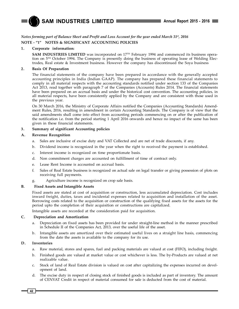# $\bullet$  **SAM INDUSTRIES LIMITED**  $\equiv$  **Annual Report 2015 - 2016**  $\equiv$

#### *Notes forming part of Balance Sheet and Profit and Loss Account for the year ended March 31st, 2016* **NOTE - "1" NOTES & SIGNIFICANT ACCOUNTING POLICIES**

#### **1. Corporate information:**

**SAM INDUSTRIES LIMITED** was incorporated on 17<sup>TH</sup> February 1994 and commenced its business operation on 5TH October 1994. The Company is presently doing the business of operating lease of Welding Electrodes, Real estate & Investment business. However the company has discontinued the Soya business

#### **2. Basis Of Preparation**

The financial statements of the company have been prepared in accordance with the generally accepted accounting principles in India (Indian GAAP). The company has prepared these financial statements to comply in all material respects with the accounting standards notified under section 133 of the Companies Act 2013, read together with paragraph 7 of the Companies (Accounts) Rules 2014. The financial statements have been prepared on an accrual basis and under the historical cost convention. The accounting policies, in all material respects, have been consistently applied by the Company and are consistent with those used in the previous year.

On 30 March 2016, the Ministry of Corporate Affairs notified the Companies (Accounting Standards) Amendment Rules, 2016, resulting in amendment in certain Accounting Standards. The Company is of view that the said amendments shall come into effect from accounting periods commencing on or after the publication of the notification i.e. from the period starting 1 April 2016 onwards and hence no impact of the same has been given in these financial statements.

#### **3. Summary of significant Accounting policies**

#### **A. Revenue Recognition**

- a. Sales are inclusive of excise duty and VAT Collected and are net of trade discounts, if any.
- b. Dividend income is recognized in the year when the right to received the payment is established.
- c. Interest income is recognized on time proportionate basis.
- d. Non commitment charges are accounted on fulfillment of time of contract only.
- e. Lease Rent Income is accounted on accrual basis.
- f. Sales of Real Estate business is recognized on actual sale on legal transfer or giving possession of plots on receiving full payments.
- g. Agriculture income is recognized on crop sale basis.

#### **B. Fixed Assets and Intangible Assets**

Fixed assets are stated at cost of acquisition or construction, less accumulated depreciation. Cost includes inward freight, duties, taxes and incidental expenses related to acquisition and installation of the asset. Borrowing costs related to the acquisition or construction of the qualifying fixed assets for the assets for the period upto the completion of their acquisition or constructions are capitalized.

Intangible assets are recorded at the consideration paid for acquisition.

#### **C. Depreciation and Amortization**

- a. Depreciation on fixed assets has been provided for under straight-line method in the manner prescribed in Schedule II of the Companies Act, 2013, over the useful life of the asset.
- b. Intangible assets are amortized over their estimated useful lives on a straight line basis, commencing from the date the assets is available to the company for its use.

#### **D. Inventories**

- a. Raw material, stores and spares, fuel and packing materials are valued at cost (FIFO), including freight.
- b. Finished goods are valued at market value or cost whichever is less. The by-Products are valued at net realizable value.
- c. Stock of land of Real Estate division is valued on cost after capitalizing the expenses incurred on development of land.
- d. The excise duty in respect of closing stock of finished goods is included as part of inventory. The amount of CENVAT Credit in respect of material consumed for sale is deducted from the cost of material.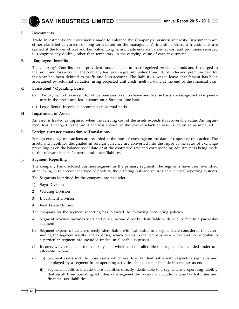

#### **E. Investments**

Trade Investments are investments made to enhance the Company's business interests. Investments are either classified as current or long term based on the management's intention. Current Investments are carried at the lower of cost and fair value. Long term investments are carried at cost and provisions recorded to recognize any decline, other than temporary, in the carrying value of each investment.

#### **F. Employees benefits**

The company's Contribution to provident funds is made to the recognized provident funds and is charged to the profit and loss account. The company has taken a gratuity policy from LIC of India and premium paid for the year has been debited to profit and loss account. The liability towards leave encashment has been ascertained by actuarial valuation using projected unit credit method done at the end of the financial year.

#### **G. Lease Rent / Operating Lease**

- (i) The payment of lease rent for office premises taken on leave and license basis are recognized as expenditure in the profit and loss account on a Straight Line basis.
- (ii) Lease Rental Income is accounted on accrual basis.

#### **H. Impairment of Assets**

An asset is treated as impaired when the carrying cost of the assets exceeds its recoverable value. An impairment loss is charged to the profit and loss account in the year in which an asset is identified as impaired.

#### **I. Foreign currency transaction & Translations**

Foreign exchange transactions are recorded at the rates of exchange on the date of respective transaction. The assets and liabilities designated in foreign currency are converted into the rupee at the rates of exchange prevailing as on the balance sheet date or at the contracted rate and corresponding adjustment is being made to the relevant income/expense and assets/liability.

#### **J. Segment Reporting**

The company has disclosed business segment as the primary segment. The segments have been identified after taking in to account the type of product, the differing risk and returns and internal reporting systems.

The Segments identified by the company are as under:

- 1) Soya Division
- 2) Welding Division
- 3) Investment Division
- 4) Real Estate Division

The company for the segment reporting has followed the following accounting policies.

- a) Segment revenue includes sales and other income directly identifiable with or allocable to a particular segment.
- b) Segment expenses that are directly identifiable with \allocable to a segment are considered for determining the segment results. The expenses, which relates to the company as a whole and not allocable to a particular segment are included under un-allocable expenses.
- c) Income, which relates to the company, as a whole and not allocable to a segment is included under unallocable income.
- d) i) Segment assets include those assets which are directly identifiable with respective segments and employed by a segment in its operating activities but does not include income tax assets.
	- ii) Segment liabilities include those liabilities directly identifiable to a segment and operating liability that result from operating activities of a segment, but does not include income tax liabilities and financial tax liabilities.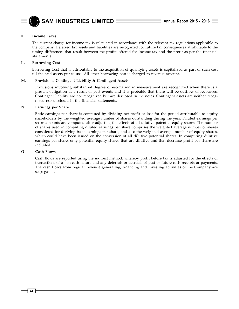

#### **K. Income Taxes**

The current charge for income tax is calculated in accordance with the relevant tax regulations applicable to the company. Deferred tax assets and liabilities are recognized for future tax consequences attributable to the timing differences that result between the profits offered for income tax and the profit as per the financial statements.

#### **L. Borrowing Cost**

Borrowing Cost that is attributable to the acquisition of qualifying assets is capitalized as part of such cost till the said assets put to use. All other borrowing cost is charged to revenue account.

#### **M**. **Provisions, Contingent Liability & Contingent Assets**

Provisions involving substantial degree of estimation in measurement are recognized when there is a present obligation as a result of past events and it is probable that there will be outflow of recourses. Contingent liability are not recognized but are disclosed in the notes. Contingent assets are neither recognized nor disclosed in the financial statements.

#### **N. Earnings per Share**

Basic earnings per share is computed by dividing net profit or loss for the period attributable to equity shareholders by the weighted average number of shares outstanding during the year. Diluted earnings per share amounts are computed after adjusting the effects of all dilutive potential equity shares. The number of shares used in computing diluted earnings per share comprises the weighted average number of shares considered for deriving basic earnings per share, and also the weighted average number of equity shares, which could have been issued on the conversion of all dilutive potential shares. In computing dilutive earnings per share, only potential equity shares that are dilutive and that decrease profit per share are included.

#### **O. Cash Flows**

Cash flows are reported using the indirect method, whereby profit before tax is adjusted for the effects of transactions of a non-cash nature and any deferrals or accruals of past or future cash receipts or payments. The cash flows from regular revenue generating, financing and investing activities of the Company are segregated.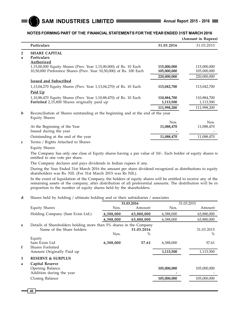

#### **NOTES FORMING PART OF THE FINANCIAL STATEMENTS FOR THE YEAR ENDED 31ST MARCH 2016**

|                |                                                                                                          |             | (Amount in Rupees) |
|----------------|----------------------------------------------------------------------------------------------------------|-------------|--------------------|
|                | Particulars                                                                                              | 31.03.2016  | 31.03.2015         |
| $\overline{2}$ | <b>SHARE CAPITAL</b>                                                                                     |             |                    |
| a              | Particulars                                                                                              |             |                    |
|                | <b>Authorized</b>                                                                                        |             |                    |
|                | 1,15,00,000 Equity Shares (Prev. Year 1,15,00,000) of Rs. 10 Each                                        | 115,000,000 | 115,000,000        |
|                | 10,50,000 Preference Shares (Prev. Year 10,50,000) of Rs. 100 Each                                       | 105,000,000 | 105,000,000        |
|                |                                                                                                          | 220,000,000 | 220,000,000        |
|                | <b>Issued and Subscribed</b>                                                                             |             |                    |
|                | 1,13,04,270 Equity Shares (Prev. Year 1,13,04,270) of Rs. 10 Each                                        | 113,042,700 | 113,042,700        |
|                | Paid Up                                                                                                  |             |                    |
|                | 1,10,88,470 Equity Shares (Prev. Year 1,10,88,470) of Rs. 10 Each                                        | 110,884,700 | 110,884,700        |
|                | Forfeited 2,15,800 Shares originally paid up                                                             | 1,113,500   | 1,113,500          |
|                |                                                                                                          | 111,998,200 | 111,998,200        |
| b              | Reconciliation of Shares outstanding at the beginning and at the end of the year<br><b>Equity Shares</b> |             |                    |
|                |                                                                                                          | Nos.        | Nos.               |
|                | At the Beginning of the Year                                                                             | 11,088,470  | 11,088,470         |
|                | Issued during the year                                                                                   |             |                    |
|                | Outstanding at the end of the year                                                                       | 11,088,470  | 11,088,470         |
| $\mathbf{c}$   | Terms / Rights Attached to Shares                                                                        |             |                    |

Equity Shares

The Company has only one class of Equity shares having a par value of 10/-. Each holder of equity shares is entitled to one vote per share.

The Company declares and pays dividends in Indian rupees if any.

During the Year Ended 31st March 2016 the amount per share dividend recognized as distributions to equity shareholders was Rs. NIL (For 31st March 2015 was Rs NIL).

In the event of liquidation of the Company, the holders of equity shares will be entitled to receive any of the remaining assets of the company, after distribution of all preferential amounts. The distribution will be in proportion to the number of equity shares held by the shareholders.

**d** Shares held by holding / ultimate holding and or their subsidiaries / associates

|   |                                                                                                 |           | 31.03.2016 |             | 31.03.2015  |
|---|-------------------------------------------------------------------------------------------------|-----------|------------|-------------|-------------|
|   | <b>Equity Shares</b>                                                                            | Nos.      | Amount     | Nos.        | Amount      |
|   | Holding Company (Sam Exim Ltd.)                                                                 | 6,388,000 | 63,880,000 | 6,388,000   | 63,880,000  |
|   |                                                                                                 | 6,388,000 | 63,880,000 | 6,388,000   | 63,880,000  |
| e | Details of Shareholders holding more than 5% shares in the Company<br>Name of the Share holders |           | 31.03.2016 |             | 31.03.2015  |
|   |                                                                                                 | Nos.      | $\%$       |             | $\%$        |
| f | Equity<br>Sam Exim Ltd<br>Shares Forfeited                                                      | 6,388,000 | 57.61      | 6,388,000   | 57.61       |
|   | Amount Originally Paid up                                                                       |           |            | 1,113,500   | 1,113,500   |
| 3 | <b>RESERVE &amp; SURPLUS</b>                                                                    |           |            |             |             |
| a | <b>Capital Reserve</b><br>Opening Balance<br>Addition during the year                           |           |            | 105,000,000 | 105,000,000 |
|   | Closing Balance                                                                                 |           |            | 105,000,000 | 105,000,000 |
|   |                                                                                                 |           |            |             |             |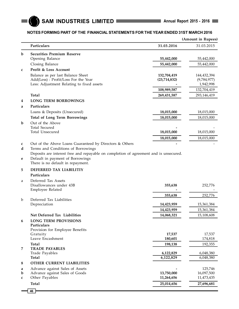|        |                                                                                       |                          | (Amount in Rupees)       |
|--------|---------------------------------------------------------------------------------------|--------------------------|--------------------------|
|        | Particulars                                                                           | 31.03.2016               | 31.03.2015               |
| b      | <b>Securities Premium Reserve</b>                                                     |                          |                          |
|        | Opening Balance                                                                       | 55,442,000               | 55,442,000               |
|        | Closing Balance                                                                       | 55,442,000               | 55,442,000               |
| c      | Profit & Loss Account                                                                 |                          |                          |
|        | Balance as per last Balance Sheet                                                     | 132,704,419              | 144,432,394              |
|        | Add(Less): Profit/Loss For the Year                                                   | (23,714,832)             | (9,784,977)              |
|        | Less: Adjustment Relating to fixed assets                                             |                          | 1,942,998                |
|        |                                                                                       | 108,989,587              | 132,704,419              |
|        | <b>Total</b>                                                                          | 269,431,587              | 293,146,419              |
| 4      | <b>LONG TERM BORROWINGS</b>                                                           |                          |                          |
| a      | Particulars                                                                           |                          |                          |
|        | Loans & Deposits (Unsecured)                                                          | 18,015,000               | 18,015,000               |
|        | <b>Total of Long Term Borrowings</b>                                                  | 18,015,000               | 18,015,000               |
| b      | Out of the Above                                                                      |                          |                          |
|        | Total Secured<br>Total Unsecured                                                      | 18,015,000               | 18,015,000               |
|        |                                                                                       |                          |                          |
|        | Out of the Above Loans Guaranteed by Directors & Others                               | 18,015,000               | 18,015,000               |
| c<br>d | Terms and Conditions of Borrowings                                                    |                          |                          |
|        | Deposits are interest free and repayable on completion of agreement and is unsecured. |                          |                          |
| e      | Default in payment of Borrowings                                                      |                          |                          |
|        | There is no default in repayment.                                                     |                          |                          |
| 5      | DEFERRED TAX LIABILITIY                                                               |                          |                          |
|        | Particulars                                                                           |                          |                          |
| a      | Deferred Tax Assets                                                                   |                          |                          |
|        | Disallowances under 43B                                                               | 355,638                  | 252,776                  |
|        | Employee Related                                                                      |                          |                          |
|        |                                                                                       | 355,638                  | 252,776                  |
| b      | Deferred Tax Liabilities                                                              |                          |                          |
|        | Depreciation                                                                          | 14,423,959               | 15,361,384               |
|        |                                                                                       | 14,423,959               | 15,361,384               |
|        | Net Deferred Tax Liabilities                                                          | 14,068,321               | 15,108,608               |
| 6      | <b>LONG TERM PROVISIONS</b>                                                           |                          |                          |
|        | Particulars<br>Provision for Employee Benefits                                        |                          |                          |
|        | Gratuity                                                                              | 17,537                   | 17,537                   |
|        | Leave Encashment                                                                      | 180,601                  | 174,818                  |
|        | Total                                                                                 | 198,138                  | 192,355                  |
| 7      | <b>TRADE PAYABLES</b>                                                                 |                          |                          |
|        | Trade Payables                                                                        | 6,122,829                | 6,048,380                |
|        | <b>Total</b>                                                                          | 6,122,829                | 6,048,380                |
| 8      | OTHER CURRENT LIABILITIES                                                             |                          |                          |
| a      | Advance against Sales of Assets                                                       |                          | 125,746                  |
| b<br>c | Advance against Sales of Goods<br>Other Payables                                      | 13,750,000<br>11,264,656 | 16,097,500<br>11,473,435 |
|        |                                                                                       |                          |                          |
|        | Total                                                                                 | 25,014,656               | 27,696,681               |
|        | 46                                                                                    |                          |                          |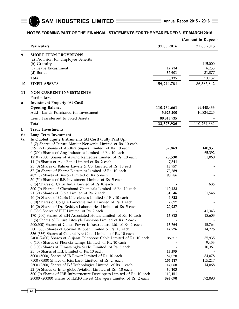|     |                                                                                                                     |                  | (Amount in Rupees) |
|-----|---------------------------------------------------------------------------------------------------------------------|------------------|--------------------|
|     | Particulars                                                                                                         | 31.03.2016       | 31.03.2015         |
| 9   | <b>SHORT TERM PROVISIONS</b>                                                                                        |                  |                    |
|     | (a) Provision for Employee Benefits                                                                                 |                  |                    |
|     | (b) Gratuity                                                                                                        |                  | 115,000            |
|     | (c) Leave Encashment                                                                                                | 12,234           | 6,255              |
|     | (d) Bonus                                                                                                           | 37,901           | 31,877             |
|     | Total                                                                                                               | 50,135           | 153,132            |
| 10  | <b>FIXED ASSETS</b>                                                                                                 | 159,944,781      | 86,385,842         |
| 11  | NON CURRENT INVESTMENTS                                                                                             |                  |                    |
|     | Particulars                                                                                                         |                  |                    |
| a   | <b>Investment Property (At Cost)</b>                                                                                |                  |                    |
|     | <b>Opening Balance</b>                                                                                              | 110,264,661      | 99,440,436         |
|     | Add: Lands Purchased for Investment                                                                                 | 3,625,200        | 10,824,225         |
|     | Less: Transferred to Fixed Assets                                                                                   | 80,313,935       |                    |
|     | Total                                                                                                               | 33,575,926       | 110,264,661        |
| b   | <b>Trade Investments</b>                                                                                            |                  |                    |
| (i) | Long Term Investment                                                                                                |                  |                    |
| (a) | In Quoted Equity Instruments (At Cost) (Fully Paid Up)                                                              |                  |                    |
|     | 7 (7) Shares of Future Market Networks Limited of Rs. 10 each                                                       |                  | 140,951            |
|     | 579 (921) Shares of Andhra Sugars Limited of Rs. 10 each<br>0 (200) Shares of Ang Industries Limited of Rs. 10 each | 82,863           | 65,392             |
|     | 1250 (2500) Shares of Arvind Remedies Limited of Rs. 10 each                                                        | 25,530           | 51,060             |
|     | 14 (0) Shares of Axis Bank Limited of Rs. 2 each                                                                    | 7,841            |                    |
|     | 25 (0) Shares of Balmer Lawrie & Co. Limited of Rs. 10 each                                                         | 13,957           |                    |
|     | 57 (0) Shares of Bharat Electonics Limited of Rs. 10 each                                                           | 72,289           |                    |
|     | 402 (0) Shares of Biocon Limited of Rs. 5 each                                                                      | 190,986          |                    |
|     | 50 (50) Shares of B.F. Investment Limited of Rs. 5 each                                                             |                  |                    |
|     | 0 (5) Shares of Cairn India Limited of Rs.10 each                                                                   |                  | 686                |
|     | 300 (0) Shares of Chembond Chemicals Limited of Rs. 10 each                                                         | 119,453          |                    |
|     | 21 (21) Shares of Cipla Limited of Rs. 2 each                                                                       | 31,546           | 31,546             |
|     | 40 (0) Shares of Claris Lifesciences Limited of Rs. 10 each                                                         | 9,823            |                    |
|     | 8 (0) Shares of Colgate Pamolive India Limited of Rs. 1 each                                                        | 7,677            |                    |
|     | 10 (0) Shares of Dr. Reddy's Laborateries Limited of Rs. 5 each                                                     | 29,937           |                    |
|     | 0 (386) Shares of EIH Limited of Rs. 2 each                                                                         |                  | 41,343             |
|     | 170 (200) Shares of EIH Associated Hotels Limited of Rs. 10 each                                                    | 15,813           | 18,603             |
|     | 5 (5) Shares of Future Lifestyle Fashions Limited of Rs. 2 each                                                     |                  |                    |
|     | 500(500) Shares of Genus Power Infrastructure Ltd. of Rs. 1 each                                                    | 15,764           | 15,764             |
|     | 500 (500) Shares of Govind Rubber Limited of Rs. 10 each                                                            | 14,726           | 14,726             |
|     | 336 (336) Shares of Gujarat Nre Coke Limited of Rs. 10 each                                                         |                  |                    |
|     | 2400 (2400) Shares of Gujarat Telephone Cable Limited of Rs. 10 each                                                | 35,935           | 35,935             |
|     | 0 (100) Shares of Phoneix Lamps Limited of Rs. 10 each                                                              |                  | 9,453              |
|     | 0 (100) Shares of Himatsingka Seide Limited of Rs. 5 each                                                           |                  | 10,361             |
|     | 25 (0) Shares of HIL Limited of Rs. 10 each<br>5000 (5000) Shares of IB Power Limited of Rs. 10 each                | 13,295<br>84,078 | 84,078             |
|     | 7500 (7500) Shares of Icici Bank Limited of Rs. 2 each                                                              | 155,217          | 155,217            |
|     | 2500 (2500) Shares of Ikf Technologies Limited of Rs. 1 each                                                        | 14,068           | 14,068             |
|     | 22 (0) Shares of Inter globe Aviation Limited of Rs. 10 each                                                        | 30,103           |                    |
|     | 500 (0) Shares of IRB Infrastructure Developers Limited of Rs. 10 each                                              | 110,151          |                    |
|     | 20000 (20000) Shares of IL&FS Invest Managers Limited of Rs. 2 each                                                 | 392,090          | 392,090            |
|     |                                                                                                                     |                  |                    |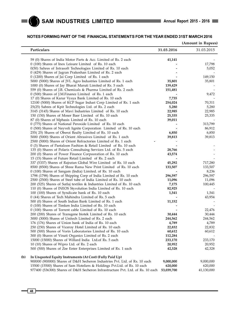|     |                                                                                |            | (Amount in Rupees) |
|-----|--------------------------------------------------------------------------------|------------|--------------------|
|     | Particulars                                                                    | 31.03.2016 | 31.03.2015         |
|     | 59 (0) Shares of India Motor Parts & Acc. Limited of Rs. 2 each                | 41,141     |                    |
|     | 0 (100) Shares of Inox Leisure Limited of Rs. 10 each                          |            | 17,798             |
|     | 0(50) Sahres of Intrasoft Technologies Limited of Rs. 10 each                  |            | 5,052              |
|     | 0 (429) Shares of Jagran Prakeshan Limited of Rs. 2 each                       |            |                    |
|     | 0 (1200) Shares of Jai Corp Limited of Rs. 1 each                              |            | 149,150            |
|     | 5000 (5000) Shares of JVL Agro Industries Limited of Rs. 1 each                | 35,801     | 35,801             |
|     | 1000 (0) Shares of Jay Bharat Maruti Limited of Rs. 5 each                     | 139,429    |                    |
|     | 559 (0) Shares of J.B. Chemicals & Pharma Limited of Rs. 2 each                | 151,481    |                    |
|     | 0 (500) Shares of J.M.Finance Limited of Rs. 1 each                            |            | 9,472              |
|     | 17 (0) Shares of Karur Vysya Bank Limited of Rs. 10 each                       | 7,735      |                    |
|     | 12100 (5000) Shares of KCP Sugar Indust Corp Limited of Rs. 1 each             | 254,024    | 70,311             |
|     | 25(25) Sahres of Kpit Technologies Ltd. of Rs. 2 each                          | 5,280      | 5,280              |
|     | 3145 (3145) Shares of Mavi Industries Limited of Rs. 10 each                   | 22,985     | 22,985             |
|     | 150 (150) Shares of Moser Baer Limited of Rs. 10 each                          | 25,335     | 25,335             |
|     | 87 (0) Shares of Mphasis Limited of Rs. 10 each                                | 39,011     |                    |
|     | 0 (775) Shares of National Peroxide Limited of Rs. 10 each                     |            | 313,799            |
|     | 0 (500) Shares of Neyveli lignite Corporation Limited of Rs. 10 each           |            | 86,912             |
|     | 255(25) Shares of Oberoi Realty Limited of Rs. 10 each                         | 6,850      | 6,850              |
|     | 5000 (5000) Shares of Orient Abrasives Limited of Rs. 1 each                   | 39,813     | 39,813             |
|     | 2500 (5000) Shares of Orient Refractories Limited of Rs. 1 each                |            |                    |
|     | 0 (3) Shares of Pantaloon Fashion & Retail Limited of Rs. 10 each              |            |                    |
|     | 135 (0) Shares of Polaris Consultuing Services Ltd. of Rs. 5 each              | 28,766     |                    |
|     | 200 (0) Shares of Power Finance Corpooration of Rs. 10 each                    | 43,574     |                    |
|     | 15 (15) Shares of Future Retail Limited of Rs. 2 each                          |            |                    |
|     | 337 (5337) Shares of Rajratan Global Wire Limited of Rs. 10 each               | 45,292     | 717,280            |
|     | 8500 (8500) Shares of Shree Rama New Print Limited of Rs. 10 each              | 133,507    | 133,507            |
|     | 0 (100) Shares of Sangam (India) Limited. of Rs. 10 each                       |            | 8,236              |
|     | 1798 (1798) Shares of Shipping Corp of India Limited of Rs. 10 each            | 296,597    | 296,597            |
|     | 2500 (2500) Shares of Steel tube of India Limited of Rs. 10 each               | 11,096     | 11,096             |
|     | 200 (525) Shares of Sutlaj textiles & Industries Limited of Rs. 10 each        | 7,175      | 100,445            |
|     | 110 (0) Shares of INEOS Styrolution India Limited of Rs. 10 each               | 82,925     |                    |
|     | 100 (100) Shares of Syndicate bank of Rs. 10 each                              | 1,541      | 1,541              |
|     | 0 (44) Shares of Tech Mahindra Limited of Rs. 5 each                           |            | 43,954             |
|     | 500 (0) Shares of South Indian Bank Limited of Rs. 1 each                      | 11,152     |                    |
|     | 0 (100) Shares of Timken India Limited of Rs. 10 each                          |            |                    |
|     | 0 (100) Shares of Torrent cable Limited of Rs. 10 each                         |            | 22,476             |
|     | 200 (200) Shares of Transgene biotek Limited of Rs. 10 each                    | 30,444     | 30,444             |
|     | 3000 (3000) Shares of Unitech Limited of Rs. 2 each                            | 244,562    | 244,562            |
|     | 176 (176) Shares of Union bank of India of Rs. 10 each                         | 4,789      | 4,789              |
|     | 250 (250) Shares of Viceroy Hotel Limited of Rs. 10 each                       | 22,832     | 22,832             |
|     | 500 (500) Shares of Vorin Laboratories Limited of Rs. 10 each                  | 60,612     | 60,612             |
|     | 300 (0) Shares of Vinati Organics Limited of Rs. 2 each                        | 112,284    |                    |
|     | 15000 (15000) Shares of Willard India Ltd.of Rs. 5 each                        | 233,170    | 233,170            |
|     | 10 (10) Shares of Wipro Ltd. of Rs. 2 each                                     | 20,952     | 20,952             |
|     | 500 (500) Shares of Zee Enter Enterprises Limited of Rs. 1 each                | 42,328     | 42,328             |
| (b) | In Unquoted Equity Instruments (At Cost) (Fully Paid Up)                       |            |                    |
|     | 900000 (900000) Shares of D&H Secheron Industries Pvt. Ltd. of Rs. 10 each     | 9,000,000  | 9,000,000          |
|     | 15500 (15500) Shares of Sam Hoteliers & Holdings Pvt.Ltd. of Rs. 10 each       | 620,000    | 620,000            |
|     | 977400 (536300) Shares of D&H Secheron Infrastructure Pvt. Ltd. of Rs. 10 each | 53,039,700 | 41,130,000         |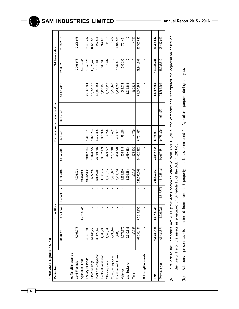|               | FIXED ASSETS (NOTE No.- 10) |                                                                                                                                            |             |                   |             |                                       |           |                               |              |                |            |  |
|---------------|-----------------------------|--------------------------------------------------------------------------------------------------------------------------------------------|-------------|-------------------|-------------|---------------------------------------|-----------|-------------------------------|--------------|----------------|------------|--|
| Particulars   |                             |                                                                                                                                            | Gross Block |                   |             |                                       |           | Depreciation and amortization |              | Net book value |            |  |
|               |                             | 01.04.2015                                                                                                                                 | Additions   | <b>Deductions</b> | 31.03.2016  | 01.04.2015                            | Additions | <b>Deductions</b>             | 31.03.2016   | 31.03.2016     | 31.03.2015 |  |
|               | A. Tangible assets :        |                                                                                                                                            |             |                   |             |                                       |           |                               |              |                |            |  |
|               | Land Free-hold              | 7,296,978                                                                                                                                  |             |                   | 7,296,978   |                                       |           |                               |              | 7,296,978      | 7,296,978  |  |
|               | Agricultural Land           |                                                                                                                                            | 80,313,935  |                   | 80,313,935  |                                       |           |                               |              | 80,313,935     |            |  |
|               | Factory Buildings           | 40,412,890                                                                                                                                 |             |                   | 40,412,890  | 19,012,574                            | ,349,791  |                               | 20,362,364   | 20,050,526     | 21,400,317 |  |
|               | Other Buildings             | 61,685,258                                                                                                                                 |             |                   | 61,685,258  | 17,028,725                            | 1,028,293 |                               | 18,057,018   | 43,628,240     | 44,656,533 |  |
|               | Plant and equipment         | 36,022,440                                                                                                                                 |             |                   | 36,022,440  | 26,749,846                            | 3,402,308 |                               | 30, 152, 154 | 5,870,286      | 9,272,594  |  |
|               | Electrical Installation     | 4,086,235                                                                                                                                  |             |                   | 4,086,235   | 3, 162, 139                           | 335,996   |                               | 3,498,135    | 588,100        | 924,096    |  |
|               | Office equipment            | 1,045,585                                                                                                                                  |             |                   | 1,045,585   | 1,029,827                             | 9,296     |                               | 1,039,123    | 6,462          | 15,758     |  |
|               | Computer equipment          | 2,795,447                                                                                                                                  |             |                   | 2,795,447   | 2,787,046                             | 8,402     |                               | 2,795,448    |                | 8,402      |  |
|               | Furniture and fixtures      | 3,901,810                                                                                                                                  |             |                   | 3,901,810   | 1,856,826                             | 437,967   |                               | 2,294,793    | 1,607,018      | 2,044,985  |  |
| Vehicles      |                             | 1,271,270                                                                                                                                  |             |                   | 1,271,270   | 509,819                               | 178,215   |                               | 688,034      | 583,236        | 761,451    |  |
|               | Lab Equipment               | 2,539,883                                                                                                                                  |             |                   | 2,539,883   | 2,539,883                             |           |                               | 2,539,883    | 0              | $\circ$    |  |
| Tools         |                             | 180,338                                                                                                                                    |             |                   | 180.338     | 175,609                               | 4.729     |                               | 180.338      |                | 4.729      |  |
|               |                             | 161,238,134                                                                                                                                | 80,313,935  |                   | 241,552,069 | 74,852,292                            | 6,754,997 |                               | 81,607,289   | 159,944,781    | 86,385,842 |  |
|               | <b>B.Intangible assets:</b> |                                                                                                                                            |             |                   |             |                                       |           |                               |              |                |            |  |
|               |                             |                                                                                                                                            |             |                   |             |                                       |           |                               |              |                |            |  |
| Total         |                             | 161,238,134                                                                                                                                | 80,313,935  |                   | 241,552,069 | 74,852,292                            | 6,754,997 |                               | 81,607,289   | 159,944,781    | 86,385,842 |  |
|               | Previous year               | 161,434,574                                                                                                                                | 1,321,231   | 1,517,671         | 161,238,134 | 66,017,551                            | 9,756,329 | 921,589                       | 74,852,292   | 86,385,842     | 95,417,023 |  |
| $\widehat{e}$ |                             | Pursuant to the Companies Act 2013 ("the Act") becoming effective from April 01,2014, the company has recomputed the depreciation based on |             |                   |             |                                       |           |                               |              |                |            |  |
|               |                             | the useful life of the assets as prescribed                                                                                                |             |                   |             | In Schedule II of the Act. in 2014-15 |           |                               |              |                |            |  |
| $\widehat{e}$ |                             | Additions represent assets transferred from investment property, as it has been used for Agricultural purpose during the year.             |             |                   |             |                                       |           |                               |              |                |            |  |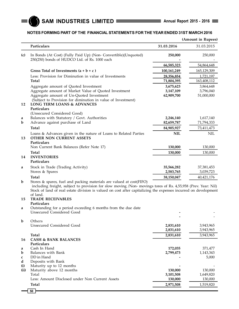

**50**

|  |  |  |  |  | (Amount in Rupees) |
|--|--|--|--|--|--------------------|
|--|--|--|--|--|--------------------|

|         |                                                                                                                                                                                                                                                                                                                                                  |                           | (Amount in Kupees)        |
|---------|--------------------------------------------------------------------------------------------------------------------------------------------------------------------------------------------------------------------------------------------------------------------------------------------------------------------------------------------------|---------------------------|---------------------------|
|         | Particulars                                                                                                                                                                                                                                                                                                                                      | 31.03.2016                | 31.03.2015                |
| (c)     | In Bonds (At Cost) (Fully Paid Up) (Non- Convertible)(Unquoted)<br>250(250) bonds of HUDCO Ltd. of Rs. 1000 each                                                                                                                                                                                                                                 | 250,000                   | 250,000                   |
|         |                                                                                                                                                                                                                                                                                                                                                  | 66,585,323                | 54,864,648                |
|         | Gross Total of Investments $(a + b + c)$                                                                                                                                                                                                                                                                                                         | 100,161,249               | 165,129,309               |
|         | Less: Provision for Diminution in value of Investments                                                                                                                                                                                                                                                                                           | 28,356,854                | 1,721,197                 |
|         | Total                                                                                                                                                                                                                                                                                                                                            | 71,804,395                | 163,408,112               |
|         | Aggregate amount of Quoted Investment                                                                                                                                                                                                                                                                                                            | 3,675,623                 | 3,864,648                 |
|         | Aggregate amount of Market Value of Quoted Investment<br>Aggregate amount of Un-Quoted Investment                                                                                                                                                                                                                                                | 3,147,109<br>62,909,700   | 3,796,040<br>51,000,000   |
|         | (Subject to Provision for diminution in value of Investment)                                                                                                                                                                                                                                                                                     |                           |                           |
| 12      | LONG TERM LOANS & ADVANCES                                                                                                                                                                                                                                                                                                                       |                           |                           |
|         | Particulars                                                                                                                                                                                                                                                                                                                                      |                           |                           |
| a       | (Unsecured Considered Good)<br>Balances with Statutory / Govt. Authorities                                                                                                                                                                                                                                                                       | 2,246,140                 | 1,617,140                 |
| b       | Advance against purchase of Land                                                                                                                                                                                                                                                                                                                 | 82,659,787                | 71,794,333                |
|         | Total                                                                                                                                                                                                                                                                                                                                            | 84,905,927                | 73,411,473                |
| 13      | Loans & Advances given in the nature of Loans to Related Parties<br><b>OTHER NON CURRENT ASSETS</b>                                                                                                                                                                                                                                              | $\ensuremath{\text{NIL}}$ | <b>NIL</b>                |
|         | Particulars<br>Non Current Bank Balances (Refer Note 17)                                                                                                                                                                                                                                                                                         | 130,000                   | 130,000                   |
|         | Total                                                                                                                                                                                                                                                                                                                                            | 130,000                   | 130,000                   |
| 14      | <b>INVENTORIES</b><br>Particulars                                                                                                                                                                                                                                                                                                                |                           |                           |
| a       | Stock in Trade (Trading Activity)<br>Stores & Spares                                                                                                                                                                                                                                                                                             | 35,566,282<br>2,583,765   | 37, 381, 453<br>3,039,723 |
|         | <b>Total</b>                                                                                                                                                                                                                                                                                                                                     | 38,150,047                | 40,421,176                |
| b<br>15 | Stores & spares, fuel and packing materials are valued at cost(FIFO)<br>including freight, subject to provision for slow moving /Non- movings tores of Rs. 4,55,958 (Prev. Year: Nil)<br>Stock of land of real estate division is valued on cost after capitalizing the expenses incurred on development<br>of land.<br><b>TRADE RECEIVABLES</b> |                           |                           |
|         | Particulars                                                                                                                                                                                                                                                                                                                                      |                           |                           |
| a       | Outstanding for a period exceeding 6 months from the due date                                                                                                                                                                                                                                                                                    |                           |                           |
|         | Unsecured Considered Good                                                                                                                                                                                                                                                                                                                        |                           |                           |
| b       | Others                                                                                                                                                                                                                                                                                                                                           |                           |                           |
|         | Unsecured Considered Good                                                                                                                                                                                                                                                                                                                        | 2,831,610                 | 3,943,965                 |
|         |                                                                                                                                                                                                                                                                                                                                                  | 2,831,610                 | 3,943,965                 |
| 16      | Total<br><b>CASH &amp; BANK BALANCES</b>                                                                                                                                                                                                                                                                                                         | 2,831,610                 | 3,943,965                 |
|         | Particulars                                                                                                                                                                                                                                                                                                                                      |                           |                           |
| a       | Cash In Hand                                                                                                                                                                                                                                                                                                                                     | 172,035                   | 371,477                   |
| b       | <b>Balances with Bank</b><br>DD in Hand                                                                                                                                                                                                                                                                                                          | 2,799,473                 | 1,143,343                 |
| c<br>d  | Deposits with Bank                                                                                                                                                                                                                                                                                                                               |                           | 5,000                     |
| (i)     | Maturity up to 12 months                                                                                                                                                                                                                                                                                                                         |                           |                           |
| (ii)    | Maturity above 12 months                                                                                                                                                                                                                                                                                                                         | 130,000                   | 130,000                   |
|         | Total<br>Less: Amount Disclosed under Non Current Assets                                                                                                                                                                                                                                                                                         | 3,101,508<br>130,000      | 1,649,820<br>130,000      |
|         | Total                                                                                                                                                                                                                                                                                                                                            | 2,971,508                 | 1,519,820                 |
|         |                                                                                                                                                                                                                                                                                                                                                  |                           |                           |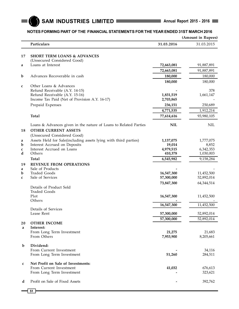|         |                                                                                                |            | (Amount in Rupees) |
|---------|------------------------------------------------------------------------------------------------|------------|--------------------|
|         | Particulars                                                                                    | 31.03.2016 | 31.03.2015         |
| 17      | <b>SHORT TERM LOANS &amp; ADVANCES</b>                                                         |            |                    |
|         | (Unsecured Considered Good)                                                                    |            |                    |
| a       | Loans at Interest                                                                              | 72,663,081 | 91,887,891         |
|         |                                                                                                | 72,663,081 | 91,887,891         |
| b       | Advances Recoverable in cash                                                                   | 180,000    | 180,000            |
|         | Other Loans & Advances                                                                         | 180,000    | 180,000            |
| c       | Refund Receivable (A.Y. 14-15)                                                                 |            | 378                |
|         | Refund Receivable (A.Y. 15-16)                                                                 | 1,831,519  | 1,661,147          |
|         | Income Tax Paid (Net of Provision A.Y. 16-17)                                                  | 2,703,865  |                    |
|         | Prepaid Expenses                                                                               | 236,151    | 250,689            |
|         |                                                                                                | 4,771,535  | 1,912,214          |
|         | <b>Total</b>                                                                                   | 77,614,616 | 93,980,105         |
|         | Loans & Advances given in the nature of Loans to Related Parties                               | <b>NIL</b> | <b>NIL</b>         |
| 18      | <b>OTHER CURRENT ASSETS</b>                                                                    |            |                    |
|         | (Unsecured Considered Good)<br>Assets Held for Sale(including assets lying with third parties) | 1,137,075  | 1,777,075          |
| a<br>b  | Interest Accrued on Deposits                                                                   | 19,014     | 8,852              |
| c       | Interest Accrued on Loans                                                                      | 4,979,515  | 6,342,353          |
| d       | Others                                                                                         | 410,378    | 1,030,003          |
|         | <b>Total</b>                                                                                   | 6,545,982  | 9,158,284          |
| 19<br>a | <b>REVENUE FROM OPERATIONS</b><br>Sale of Products                                             |            |                    |
| b       | <b>Traded Goods</b>                                                                            | 16,547,300 | 11,452,500         |
| c       | Sale of Services                                                                               | 57,300,000 | 52,892,014         |
|         |                                                                                                | 73,847,300 | 64,344,514         |
|         | Details of Product Sold                                                                        |            |                    |
|         | <b>Traded Goods</b>                                                                            |            |                    |
|         | Plot<br>Others                                                                                 | 16,547,300 | 11,452,500         |
|         |                                                                                                | 16,547,300 | 11,452,500         |
|         | Details of Services                                                                            |            |                    |
|         | Lease Rent                                                                                     | 57,300,000 | 52,892,014         |
| 20      | <b>OTHER INCOME</b>                                                                            | 57,300,000 | 52,892,014         |
| a       | Interest:                                                                                      |            |                    |
|         | From Long Term Investment                                                                      | 21,275     | 21,683             |
|         | From Others                                                                                    | 7,953,900  | 8,205,661          |
| b       | Dividend:                                                                                      |            |                    |
|         | From Current Investment                                                                        |            | 34,116             |
|         | From Long Term Investment                                                                      | 51,260     | 284,511            |
| c       | Net Profit on Sale of Investments:                                                             |            |                    |
|         | From Current Investment                                                                        | 41,032     | 676,613            |
|         | From Long Term Investment                                                                      |            | 323,621            |
| d       | Profit on Sale of Fixed Assets                                                                 |            | 392,762            |
|         |                                                                                                |            |                    |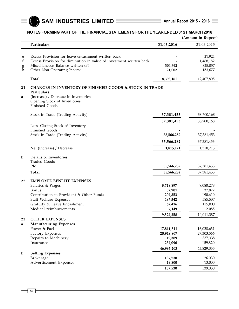|         |                                                                                                                                                                             |                   | (Amount in Rupees)  |
|---------|-----------------------------------------------------------------------------------------------------------------------------------------------------------------------------|-------------------|---------------------|
|         | Particulars                                                                                                                                                                 | 31.03.2016        | 31.03.2015          |
| e<br>f  | Excess Provision for leave encashment written back<br>Excess Provision for diminution in value of investment written back                                                   |                   | 21,921<br>1,468,182 |
| g       | Miscellaneous Balance written off                                                                                                                                           | 304,692           | 825,057             |
| h       | Other Non Operating Income                                                                                                                                                  | 21,002            | 153,677             |
|         | Total                                                                                                                                                                       | 8,393,161         | 12,407,805          |
| 21<br>a | <b>CHANGES IN INVENTORY OF FINISHED GOODS &amp; STOCK IN TRADE</b><br>Particulars<br>(Increase) / Decrease in Inventories<br>Opening Stock of Inventories<br>Finished Goods |                   |                     |
|         |                                                                                                                                                                             |                   |                     |
|         | Stock in Trade (Trading Activity)                                                                                                                                           | 37, 381, 453      | 38,700,168          |
|         | Less: Closing Stock of Inventory<br>Finished Goods                                                                                                                          | 37, 381, 453      | 38,700,168          |
|         | Stock in Trade (Trading Activity)                                                                                                                                           | 35,566,282        | 37, 381, 453        |
|         |                                                                                                                                                                             | 35,566,282        | 37,381,453          |
|         | Net (Increase) / Decrease                                                                                                                                                   | 1,815,171         | 1,318,715           |
| b       | Details of Inventories<br><b>Traded Goods</b>                                                                                                                               |                   |                     |
|         | Plot                                                                                                                                                                        | 35,566,282        | 37, 381, 453        |
|         | <b>Total</b>                                                                                                                                                                | 35,566,282        | 37,381,453          |
| 22      | <b>EMPLOYEE BENEFIT EXPENSES</b>                                                                                                                                            |                   |                     |
|         | Salaries & Wages                                                                                                                                                            | 8,719,897         | 9,080,278           |
|         | Bonus                                                                                                                                                                       | 37,901            | 37,877              |
|         | Contribution to Provident & Other Funds                                                                                                                                     | 204,353           | 190,610             |
|         | Staff Welfare Expenses<br>Gratuity & Leave Encashment                                                                                                                       | 487,542<br>67,416 | 585,537<br>115,000  |
|         | Medical reimbursements                                                                                                                                                      | 7,149             | 2,085               |
|         |                                                                                                                                                                             | 9,524,258         | 10,011,387          |
| 23      | <b>OTHER EXPENSES</b>                                                                                                                                                       |                   |                     |
| a       | <b>Manufacturing Expenses</b>                                                                                                                                               |                   |                     |
|         | Power & Fuel                                                                                                                                                                | 17,811,811        | 16,028,631          |
|         | Factory Expenses                                                                                                                                                            | 28,919,907        | 27,303,566          |
|         | Repairs to Machinery                                                                                                                                                        | 19,389            | 337,338             |
|         | Insurance                                                                                                                                                                   | 234,096           | 159,820             |
|         |                                                                                                                                                                             | 46,985,203        | 43,829,355          |
| b       | <b>Selling Expenses</b><br>Brokerage                                                                                                                                        | 137,730           | 126,030             |
|         | Advertisement Expenses                                                                                                                                                      | 19,800            | 13,000              |
|         |                                                                                                                                                                             |                   |                     |
|         |                                                                                                                                                                             | 157,530           | 139,030             |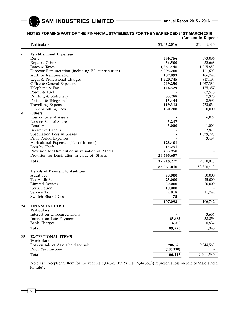$SAM INDUSTRIES LIMITED \n = \n + 2016 \n = \n$ 

#### **(Amount in Rupees) Particulars 31.03.2016** 31.03.2015 c **Establishment Expenses** Rent **466,756** 573,036 Repairs-Others **56,500** 52,668 Rates & Taxes **1,215,850**<br>Director Remuneration (including P.F. contribution) **1,351,446** 1,215,850<br>5,995,200 4,111,600 Director Remuneration (including P.F. contribution) **5,995,200** 4,111,600<br>Auditor Remuneration **106,742** Auditor Remuneration **107,093** 106,742<br>
Legal & Professional Charges **1,220,745** 1,220,745 Legal & Professional Charges **1,220,745** 917,137<br>
Office & General Expenses **1,097,380** 949,250 949,250 949,250 **Office & General Expenses** Telephone & Fax **146,529** 175,357<br>
Power & Fuel 67,515 Power & Fuel **67,515**<br>Printing & Stationery **67,615**<br>Printing & Stationery **67,978** Printing & Stationery **88,288**<br>Postage & Telegram **15,444** Postage & Telegram **15,444** 8,597<br>
Travelling Expenses **119,312** 273,034 **Travelling Expenses** Director Sitting Fees **160,200** 50,000 **d Others** Loss on Sale of Assets 56,027<br>
Loss on Sale of Shares 56,027<br>
2,247 Loss on Sale of Shares **3,247** - 2,000 **- 2,000** - 2,000 **- 2,000** - 2,000 **- 2,000** - 2,000 **- 2,000** - 2,000 **- 2,000** - 2,000 **- 2,000** - 2,000 **- 2,000** - 2,000 **- 2,000** - 2,000 **- 2,000** - 2,000 **- 2,000** - 2,000 - 2 Penalty **3,000** 1,000 Insurance Others **2,875**<br>
Speculation Loss in Shares **1,079,796**<br> **1,079,796** Speculation Loss in Shares **-** 1,079,796<br>Prior Period Expenses **-** 2,437 Prior Period Expenses Agricultural Expenses (Net of Income) **128,401** - Loss by Theft **15,251 15,251** Provision for Diminution in valuation of Stores **455,958** - Provision for Diminution in value of Shares **26,635,657 Total 37,918,277** 9,850,028 **85,061,010** 53,818,413 **Details of Payment to Auditors** Audit Fee **50,000** 50,000 Tax Audit Fee **25,000** 25,000 Limited Review **20,000** 20,000 Certification **10,000** - Service Tax **2,018** 11,742 Swatch Bharat Cess **75 107,093** 106,742 **24 FINANCIAL COST Particulars** Interest on Unsecured Loans **-** 3,656 Interest on Late Payment **85,663** 38,856 Bank Charges **Total 89,723** 51,345 **25 EXCEPTIONAL ITEMS Particulars** Loss on sale of Assets held for sale 206,525 9,944,560<br>Prior Year Income (106,110) Prior Year Income **Total 100,415** 9,944,560

**NOTES FORMING PART OF THE FINANCIAL STATEMENTS FOR THE YEAR ENDED 31ST MARCH 2016**

Note(1) : Exceptional Item for the year Rs. 2,06,525 (Pr. Yr. Rs. 99,44,560/-) represents loss on sale of 'Assets held for sale' .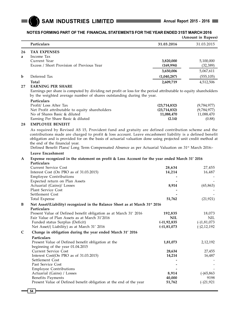#### $\bullet$  **SAM INDUSTRIES LIMITED**  $\equiv$  **Annual Report 2015 - 2016**  $\equiv$  (

|             |                                                                                                                                                                                                                                                                                                                                                                                                                                                                                      |                 | (Amount in Rupees)  |  |  |  |
|-------------|--------------------------------------------------------------------------------------------------------------------------------------------------------------------------------------------------------------------------------------------------------------------------------------------------------------------------------------------------------------------------------------------------------------------------------------------------------------------------------------|-----------------|---------------------|--|--|--|
|             | Particulars                                                                                                                                                                                                                                                                                                                                                                                                                                                                          | 31.03.2016      | 31.03.2015          |  |  |  |
| 26          | <b>TAX EXPENSES</b>                                                                                                                                                                                                                                                                                                                                                                                                                                                                  |                 |                     |  |  |  |
| a           | Income Tax                                                                                                                                                                                                                                                                                                                                                                                                                                                                           |                 |                     |  |  |  |
|             | Current Year                                                                                                                                                                                                                                                                                                                                                                                                                                                                         | 3,820,000       | 5,100,000           |  |  |  |
|             | Excess / Short Provision of Previous Year                                                                                                                                                                                                                                                                                                                                                                                                                                            | (169, 994)      | (32, 389)           |  |  |  |
|             |                                                                                                                                                                                                                                                                                                                                                                                                                                                                                      | 3,650,006       | 5,067,611           |  |  |  |
| b           | Deferred Tax                                                                                                                                                                                                                                                                                                                                                                                                                                                                         | (1,040,287)     | (555, 105)          |  |  |  |
|             | Total                                                                                                                                                                                                                                                                                                                                                                                                                                                                                | 2,609,719       | 4,512,506           |  |  |  |
| 27          | <b>EARNING PER SHARE</b><br>Earnings per share is computed by dividing net profit or loss for the period attributable to equity shareholders<br>by the weighted average number of shares outstanding during the year.                                                                                                                                                                                                                                                                |                 |                     |  |  |  |
|             | Particulars                                                                                                                                                                                                                                                                                                                                                                                                                                                                          |                 |                     |  |  |  |
|             | Profit/ Loss After Tax                                                                                                                                                                                                                                                                                                                                                                                                                                                               | (23,714,832)    | (9,784,977)         |  |  |  |
|             | Net Profit attributable to equity shareholders                                                                                                                                                                                                                                                                                                                                                                                                                                       | (23,714,832)    | (9,784,977)         |  |  |  |
|             | No of Shares Basic & diluted                                                                                                                                                                                                                                                                                                                                                                                                                                                         | 11,088,470      | 11,088,470          |  |  |  |
|             | Earning Per Share Basic & diluted<br><b>EMPLOYEE BENEFIT</b>                                                                                                                                                                                                                                                                                                                                                                                                                         | (2.14)          | (0.88)              |  |  |  |
| 28          | As required by Revised AS 15, Provident fund and gratuity are defined contribution scheme and the<br>contributions made are charged to profit & loss account. Leave encashment liability is a defined benefit<br>obligation and is provided for on the basis of actuarial valuation done using projected unit credit method at<br>the end of the financial year.<br>Defined Benefit Plans/ Long Term Compensated Absence as per Actuarial Valuation on 31 <sup>st</sup> March 2016:- |                 |                     |  |  |  |
|             | Leave Encashment                                                                                                                                                                                                                                                                                                                                                                                                                                                                     |                 |                     |  |  |  |
| A           | Expense recognized in the statement on profit & Loss Account for the year ended March 31' 2016                                                                                                                                                                                                                                                                                                                                                                                       |                 |                     |  |  |  |
|             | Particulars                                                                                                                                                                                                                                                                                                                                                                                                                                                                          |                 |                     |  |  |  |
|             | <b>Current Service Cost</b>                                                                                                                                                                                                                                                                                                                                                                                                                                                          | 28,634          | 27,455              |  |  |  |
|             | Interest Cost (On PBO as of 31.03.2015)                                                                                                                                                                                                                                                                                                                                                                                                                                              | 14,214          | 16,487              |  |  |  |
|             | <b>Employee Contributions</b>                                                                                                                                                                                                                                                                                                                                                                                                                                                        |                 |                     |  |  |  |
|             | Expected return on Plan Assets                                                                                                                                                                                                                                                                                                                                                                                                                                                       |                 |                     |  |  |  |
|             | Actuarial (Gains)/ Losses                                                                                                                                                                                                                                                                                                                                                                                                                                                            | 8,914           | (65, 863)           |  |  |  |
|             | Plant Service Cost                                                                                                                                                                                                                                                                                                                                                                                                                                                                   |                 |                     |  |  |  |
|             | Settlement Cost                                                                                                                                                                                                                                                                                                                                                                                                                                                                      |                 |                     |  |  |  |
|             | Total Expense                                                                                                                                                                                                                                                                                                                                                                                                                                                                        | 51,762          | (21, 921)           |  |  |  |
| B           | Net Asset/(Liability) recognized in the Balance Sheet as at March 31st 2016                                                                                                                                                                                                                                                                                                                                                                                                          |                 |                     |  |  |  |
|             | Particulars                                                                                                                                                                                                                                                                                                                                                                                                                                                                          |                 |                     |  |  |  |
|             | Present Value of Defined benefit obligation as at March 31' 2016                                                                                                                                                                                                                                                                                                                                                                                                                     | 192,835         | 18,073              |  |  |  |
|             | Fair Value of Plan Assets as at March 31'2016                                                                                                                                                                                                                                                                                                                                                                                                                                        | <b>NIL</b>      | $\text{NIL}$        |  |  |  |
|             | Funded status Surplus (Deficit)                                                                                                                                                                                                                                                                                                                                                                                                                                                      | $(-)1,92,835$   | $(-)1,81,073$       |  |  |  |
|             | Net Asset/(Liability) as at March 31' 2016                                                                                                                                                                                                                                                                                                                                                                                                                                           | $(-)1,81,073$   | $(-)2,12,192$       |  |  |  |
| $\mathbf C$ | Change in obligation during the year ended March 31' 2016                                                                                                                                                                                                                                                                                                                                                                                                                            |                 |                     |  |  |  |
|             | Particulars                                                                                                                                                                                                                                                                                                                                                                                                                                                                          |                 |                     |  |  |  |
|             | Present Value of Defined benefit obligation at the                                                                                                                                                                                                                                                                                                                                                                                                                                   | 1,81,073        | 2,12,192            |  |  |  |
|             | beginning of the year 01.04.2015                                                                                                                                                                                                                                                                                                                                                                                                                                                     |                 |                     |  |  |  |
|             | <b>Current Service Cost</b>                                                                                                                                                                                                                                                                                                                                                                                                                                                          | 28,634          | 27,455              |  |  |  |
|             | Interest Cost(On PBO as of 31.03.2015)                                                                                                                                                                                                                                                                                                                                                                                                                                               | 14,214          | 16,487              |  |  |  |
|             | Settlement Cost                                                                                                                                                                                                                                                                                                                                                                                                                                                                      |                 |                     |  |  |  |
|             | Past Service Cost                                                                                                                                                                                                                                                                                                                                                                                                                                                                    |                 |                     |  |  |  |
|             | <b>Employee Contributions</b>                                                                                                                                                                                                                                                                                                                                                                                                                                                        |                 |                     |  |  |  |
|             | Actuarial (Gains) / Losses<br>Benefits Payments                                                                                                                                                                                                                                                                                                                                                                                                                                      | 8,914<br>40,000 | $(-)65,863$<br>9198 |  |  |  |
|             | Present Value of Defined benefit obligation at the end of the year                                                                                                                                                                                                                                                                                                                                                                                                                   | 51,762          | $(-)21,921$         |  |  |  |
|             |                                                                                                                                                                                                                                                                                                                                                                                                                                                                                      |                 |                     |  |  |  |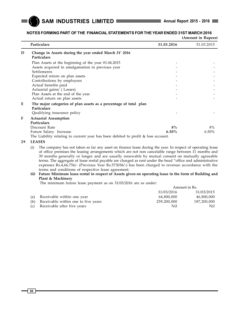### $SAM INDUSTRIES LIMITED \n = \n + 2016 \n = \n$

#### **NOTES FORMING PART OF THE FINANCIAL STATEMENTS FOR THE YEAR ENDED 31ST MARCH 2016**

|   |                                                                                                                 |            | (Amount in Rupees) |
|---|-----------------------------------------------------------------------------------------------------------------|------------|--------------------|
|   | Particulars                                                                                                     | 31.03.2016 | 31.03.2015         |
| D | Change in Assets during the year ended March 31' 2016<br>Particulars                                            |            |                    |
|   | Plan Assets at the beginning of the year 01.04.2015                                                             |            |                    |
|   | Assets acquired in amalgamation in previous year                                                                |            |                    |
|   | Settlements                                                                                                     |            |                    |
|   | Expected return on plan assets                                                                                  |            |                    |
|   | Contributions by employees                                                                                      |            |                    |
|   | Actual benefits paid                                                                                            |            |                    |
|   | Actuarial gains/ (Losses)                                                                                       |            |                    |
|   | Plan Assets at the end of the year                                                                              |            |                    |
|   | Actual return on plan assets                                                                                    |            |                    |
| E | The major categories of plan assets as a percentage of total plan<br>Particulars<br>Qualifying insurance policy |            |                    |
| F |                                                                                                                 |            |                    |
|   | <b>Actuarial Assumption</b><br>Particulars                                                                      |            |                    |
|   | Discount Rate                                                                                                   | $8\%$      | 8%                 |
|   | Future Salary Increase                                                                                          | $6.50\%$   | 6.50%              |
|   | The Liability relating to current year has been debited to profit $\&$ loss account.                            |            |                    |

#### **29 LEASES**

(i) The company has not taken so far any asset on finance lease during the year. In respect of operating lease of office premises the leasing arrangements which are not non cancelable range between 11 months and 39 months generally or longer and are usually renewable by mutual consent on mutually agreeable terms. The aggregate of lease rental payable are charged as rent under the head "office and administrative expenses Rs.4,66,756/- (Previous Year Rs.573036/-) has been charged to revenue accordance with the terms and conditions of respective lease agreement.

#### **(ii) Future Minimum lease rental in respect of Assets given on operating lease in the form of Building and Plant & Machinery**

The minimum future lease payment as on 31/03/2016 are as under:

|                                         | Amount in Rs. |             |
|-----------------------------------------|---------------|-------------|
|                                         | 31/03/2016    | 31/03/2015  |
| (a) Receivable within one year          | 64.800.000    | 46,800,000  |
| (b) Receivable within one to five years | 259,200,000   | 187,200,000 |
| (c) Receivable after five years         | Nil           | Nil         |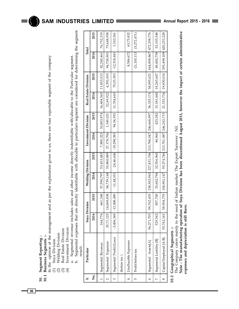- Business Segments :-**30.1 Business Segments :-**
- In the opinion of the management and as per the explanation given to us, there are four reportable segment of the company In the opinion of the management and as per the explanation given to us, there are four reportable segment of the company Soya Division (1) Soya Division
	- Welding Division (2) Welding Division
	- Real Estate Division (3) Real Estate Division  $\widehat{\theta} \in \widehat{\theta}$
- Investment Division
- (4) Investment Division
- Segmental revenue includes sales and other income directly indentifiable with/allocable to the Particular segment. a. Segmental revenue includes sales and other income directly indentifiable with/allocable to the Particular segment. .<br>في نه
- Segmental expenses that are directly identifiable with allocable to particulars segment are considered for determining the segment b. Segmental expenses that are directly identifiable with allocable to particulars segment are considered for determining the segment result.

|                 | .                          |              |                    |                                                                                                                         |              |               |                            |                                 |                             |                                                       |                             |
|-----------------|----------------------------|--------------|--------------------|-------------------------------------------------------------------------------------------------------------------------|--------------|---------------|----------------------------|---------------------------------|-----------------------------|-------------------------------------------------------|-----------------------------|
|                 | Particular<br>ယ္ပံ         |              | Soya Division      | <b>Welding Division</b>                                                                                                 |              |               | <b>Investment Division</b> |                                 | <b>Real Estate Division</b> |                                                       | $_{\rm Total}$              |
|                 | ż                          | 2016         | 2015               | 2016                                                                                                                    | 2015         | 2016          | 2015                       | 2016                            | 2015                        | 2016                                                  | 2015                        |
|                 | Segmental Revenue          | 164,776      | 661,348            | 57,590,797                                                                                                              | 53,433,483   | 7,880,323     | 10,803,974                 | 16,604,565                      | 11,853,513                  | 82,240,461                                            | 76,752,319                  |
| $\mathbf{\sim}$ | Segmental Expenses         | 35,71,125    | 14,069,838         | 58,739,148                                                                                                              | 55,880,089   | 27,178,706    | 1,349,021                  | 52,69,922                       | 4,350,010                   | 94,758,901                                            | 75,648,958                  |
| 3               | Segmental Profit/(Loss)    | $-3,406,349$ | ,408,490<br>$-13,$ | $-11,48,351$                                                                                                            | $-24,46,606$ | $-19,298,383$ | 94,54,953                  | 11,334,643                      | 75,03,503                   | $-12,518,441$                                         | 1,103,361                   |
|                 | (before tax)               |              |                    |                                                                                                                         |              |               |                            |                                 |                             |                                                       |                             |
|                 | Unallocable Expenses<br>4. |              |                    |                                                                                                                         |              |               |                            |                                 |                             | 8,586,672                                             | 63,75,832                   |
| Б               | Profit before tax          |              |                    |                                                                                                                         |              |               |                            |                                 |                             |                                                       | $-21,105,113$ $(5,272,471)$ |
|                 |                            |              |                    |                                                                                                                         |              |               |                            |                                 |                             |                                                       |                             |
| $\circ$         | Segmental Assets[A]        | 56,271,703   |                    | 59,762,453   138,503,943   127,831,706   213,788,047   246,668,997                                                      |              |               |                            |                                 |                             | 36, 335, 174 38, 095, 621 444, 898, 867 472, 358, 776 |                             |
| $\sim$          | Segmental Liability [B]    | 529,562      | 857,700            | 33,602,796 32,556,960                                                                                                   |              | 86,960        |                            | 425,282  15,181,440  18,265,607 |                             | 49,400,758                                            | 52,105,548                  |
| $^{\circ}$      | Capital Employed [A-B]     | 55,742,141   |                    | 58,904,753   104,901,147   95,274,746   213,701,087   246,243,715   21,153,734   19,830,014   395,498,109   420,253,228 |              |               |                            |                                 |                             |                                                       |                             |

Geographical Segments :-**30.2 Geographical Segments :-**  $30.2$ 

Note: The manufacturing operation of Soya Division has been discontinued August 2013, however the impact of certain administrative **Note : The manufacturing operation of Soya Division has been discontinued August 2013, however the impact of certain administrative** The Company caters mainly to the need of Indian market. The Export Turnover : Nil. The Company caters mainly to the need of Indian market. The Export Turnover : Nil. expenses and depreciation is still there. **expenses and depreciation is still there.**

 $\equiv$ 

**56**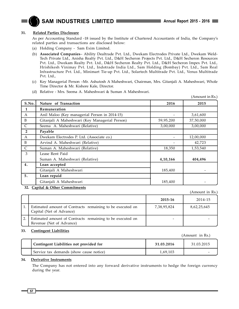(Amount in Rs.)



#### **31. Related Parties Disclosure**

As per Accounting Standard -18 issued by the Institute of Chartered Accountants of India, the Company's related parties and transactions are disclosed below:

- (a) Holding Company Sam Exim Limited.
- (b) **Associated Companies** Ability Dealtrade Pvt. Ltd., Dwekam Electrodes Private Ltd., Dwekam Weld-Tech Private Ltd., Anisha Realty Pvt. Ltd., D&H Secheron Projects Pvt. Ltd., D&H Secheron Resources Pvt. Ltd., Dwekam Realty Pvt. Ltd., D&H Secheron Realty Pvt. Ltd., D&H Secheron Impex Pvt. Ltd., Hrishikesh Vinimay Pvt. Ltd., Indotrade India Ltd., Sam Holding (Bombay) Pvt. Ltd., Sam Real Infrastructure Pvt. Ltd., Minimart Tie-up Pvt. Ltd., Solartech Multitrade Pvt. Ltd., Venus Multitrade Pvt. Ltd.,
- (c) Key Managerial Person –Mr. Ashutosh A Maheshwari, Chairman, Mrs. Gitanjali A. Maheshwari, Whole Time Director & Mr. Kishore Kale, Director.

| S.No.          | Nature of Transaction                          | 2016      | 2015      |
|----------------|------------------------------------------------|-----------|-----------|
| 1              | Remuneration                                   |           |           |
| $\mathbf{A}$   | Anil Maloo (Key managerial Person in 2014-15)  |           | 3,61,600  |
| B              | Gitanjali A Maheshwari (Key Managerial Person) | 59,95,200 | 37,50,000 |
| $\mathsf{C}$   | Seema A. Maheshwari (Relative)                 | 3,00,000  | 3,00,000  |
| $\overline{2}$ | Payable                                        |           |           |
| $\mathsf{A}$   | Dwekam Electrodes P. Ltd. (Associate co.)      |           | 12,00,000 |
| B              | Arvind A. Maheshwari (Relative)                |           | 42,723    |
| $\mathcal{C}$  | Suman A. Maheshwari (Relative)                 | 18,350    | 1,53,540  |
| 3              | Lease Rent Paid                                |           |           |
|                | Suman A. Maheshwari (Relative)                 | 4,10,166  | 404,496   |
| 4.             | Loan accepted                                  |           |           |
|                | Gitanjali A Maheshwari                         | 185,400   |           |
| 5.             | Loan repaid                                    |           |           |
|                | Gitanjali A Maheshwari                         | 185,400   |           |

(d) Relative - Mrs. Seema A. Maheshwari & Suman A Maheshwari.

**32. Capital & Other Commitments**

|    |                                                                                       |             | (Amount in Rs.) |
|----|---------------------------------------------------------------------------------------|-------------|-----------------|
|    |                                                                                       | 2015-16     | 2014-15         |
|    | Estimated amount of Contracts remaining to be executed on<br>Capital (Net of Advance) | 7,38,95,824 | 8,62,25,645     |
| 2. | Estimated amount of Contracts remaining to be executed on<br>Revenue (Net of Advance) |             |                 |

#### **33. Contingent Liabilities**

|                                         |            | (Amount in Rs.) |
|-----------------------------------------|------------|-----------------|
| Contingent Liabilities not provided for | 31.03.2016 | 31.03.2015      |
| Service tax demands (show cause notice) | 1,69,103   |                 |

#### **34. Derivative Instruments**

The Company has not entered into any forward derivative instruments to hedge the foreign currency during the year.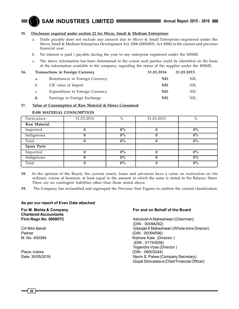

#### **35. Disclouser required under section 22 for Micro, Small & Medium Enterprises:**

- a. Trade payable does not include any amount due to Micro & Small Enterprises registered under the Micro, Small & Medium Enterprises Development Act, 2006 (MSMED, Act 2006) in the current and previous financial year.
- b. No interest is paid / payable during the year to any enterprise registered under the MSME.
- c. The above information has been determined to the extent such parties could be identified on the basis of the information available to the company, regarding the status of the supplier under the MSME.

| <b>Transactions in Foreign Currency</b><br>36. |    | 31.03.2016                      | 31.03.2015 |            |
|------------------------------------------------|----|---------------------------------|------------|------------|
|                                                | a. | Remittances in Foreign Currency | NIL        | NIL        |
|                                                | b. | CIF value of Import             | NIL        | <b>NIL</b> |
|                                                | c. | Expenditure in Foreign Currency | NIL        | NIL        |
|                                                | d. | Earnings in Foreign Exchange    | NIL        | <b>NIL</b> |

#### **37. Value of Consumption of Raw Material & Stores Consumed:**

| Particulars         | 31.03.2016 | $\%$  | 31.03.2015 | $\%$  |
|---------------------|------------|-------|------------|-------|
| <b>Raw Material</b> |            |       |            |       |
| Imported            |            | $0\%$ |            | $0\%$ |
| Indigenous          |            | $0\%$ |            | $0\%$ |
| Total               |            | $0\%$ |            | $0\%$ |
| <b>Spare Parts</b>  |            |       |            |       |
| Imported            |            | $0\%$ | u          | $0\%$ |
| Indigenous          |            | $0\%$ | u          | $0\%$ |
| Total               |            | $0\%$ | U          | $0\%$ |

#### **RAW MATERIAL CONSUMPTION**

- **38.** In the opinion of the Board, the current assets, loans and advances have a value on realization on the ordinary course of business, at least equal to the amount at which the same is stated in the Balance Sheet. There are no contingent liabilities other than those stated above.
- **39.** The Company has reclassified and regrouped the Previous Year Figures to confirm the current classification.

#### **As per our report of Even Date attached**

**Chartered Accountants**

#### **For M. Mehta & Company For and on Behalf of the Board**

**Firm Regn No. 000957C** Ashutosh A Maheshwari (Chairman) (DIN : 00094262) CA Nitin Bandi Gitanjali A Maheshwari (Whole-time Director) Partner (DIN : 00094596) M .No. 400394 Kishore Kale (Director ) (DIN : 01743556) Yogendra Vyas (Director ) Place: Indore (DIN : 06603344) Date: 30/05/2016 Navin S. Patwa (Company Secretary) Gopal Shrivastava (Chief Financial Officer)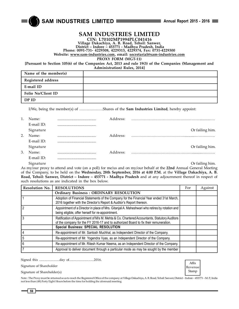

#### **SAM INDUSTRIES LIMITED**

**CIN: L70102MP1994PLC041416 Village Dakachiya, A. B. Road, Tehsil: Sanwer, District – Indore – 453771 - Madhya Pradesh, India Phone: 0091-731- 4229308, 4229313, 4229374, Fax: 0731-4229300 Website: www.sam-industries.com, email: secretarial@sam-industries.com PROXY FORM (MGT-11)**

**[Pursuant to Section 105(6) of the Companies Act, 2013 and rule 19(3) of the Companies (Management and Administration) Rules, 2014]**

| Name of the member(s)     |  |
|---------------------------|--|
| Registered address        |  |
| E-mail ID                 |  |
| <b>Folio No/Client ID</b> |  |
| DP ID                     |  |

I/We, being the member(s) of ……………….Shares of the **Sam Industries Limited**, hereby appoint:

|    | Name:      | Address: |                 |
|----|------------|----------|-----------------|
|    | E-mail ID: |          |                 |
|    | Signature  |          | Or failing him. |
| 2. | Name:      | Address: |                 |
|    | E-mail ID: |          |                 |
|    | Signature  |          | Or failing him. |
| 3. | Name:      | Address: |                 |
|    | E-mail ID: |          |                 |

Signature **Or** failing him.

As my/our proxy to attend and vote (on a poll) for me/us and on my/our behalf at the **22nd** Annual General Meeting of the Company, to be held on the **Wednesday, 28th September, 2016 at 4:00 P.M.** at the **Village Dakachiya, A. B. Road, Tehsil: Sanwer, District – Indore – 453771 - Madhya Pradesh** and at any adjournment thereof in respect of such resolutions as are indicated in the box below.

| <b>Resolution No.</b> | <b>RESOLUTIONS</b>                                                                                                                                                                  | For | Against |
|-----------------------|-------------------------------------------------------------------------------------------------------------------------------------------------------------------------------------|-----|---------|
|                       | <b>Ordinary Business : ORDINARY RESOLUTION</b>                                                                                                                                      |     |         |
|                       | Adoption of Financial Statements of the Company for the Financial Year ended 31st March,<br>2016 together with the Director's Report & Auditor's Report thereon.                    |     |         |
|                       | Appointment of a Director in place of Mrs. Gitanjali A. Maheshwari who retires by rotation and<br>being eligible, offer herself for re-appointment.                                 |     |         |
|                       | Ratification of Appointment of M/s M. Mehta & Co. Chartered Accountants, Statutory Auditors<br>of the company for the FY 2016-17 and to authorized Board to fix their remuneration. |     |         |
|                       | <b>Special Business: SPECIAL RESOLUTION</b>                                                                                                                                         |     |         |
|                       | Re-appointment of Mr. Santosh Muchhal, as Independent Director of the Company.                                                                                                      |     |         |
|                       | Re-appointment of Mr. Yogendra Vyas, as an Independent Director of the Company.                                                                                                     |     |         |
| <b>6</b>              | Re-appointment of Mr. Ritesh Kumar Neema, as an Independent Director of the Company.                                                                                                |     |         |
|                       | Approval to deliver document through a particular mode as may be sought by the member                                                                                               |     |         |

Signed this .......................day of............................2016.

Signature of Shareholder

Signature of Shareholder(s)

Affix Revenue Stamp

Note: The Proxy must be returned so as to reach the Registered Office of the company at Village Dakachiya, A. B. Road, Tehsil: Sanwer, District – Indore – 453771 – M. P., India not less than (48) Forty Eight Hours before the time for holding the aforesaid meeting.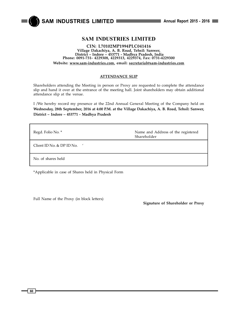

#### **SAM INDUSTRIES LIMITED**

**CIN: L70102MP1994PLC041416 Village Dakachiya, A. B. Road, Tehsil: Sanwer, District – Indore – 453771 - Madhya Pradesh, India Phone: 0091-731- 4229308, 4229313, 4229374, Fax: 0731-4229300**

**Website: www.sam-industries.com, email: secretarial@sam-industries.com**

#### **ATTENDANCE SLIP**

Shareholders attending the Meeting in person or Proxy are requested to complete the attendance slip and hand it over at the entrance of the meeting hall. Joint shareholders may obtain additional attendance slip at the venue.

I /We hereby record my presence at the 22nd Annual General Meeting of the Company held on **Wednesday, 28th September, 2016 at 4:00 P.M. at the Village Dakachiya, A. B. Road, Tehsil: Sanwer, District – Indore – 453771 - Madhya Pradesh**

| Regd. Folio No. *                  | Name and Address of the registered<br>Shareholder |
|------------------------------------|---------------------------------------------------|
| Client ID No. & DP ID No. $\prime$ |                                                   |
| No. of shares held                 |                                                   |

\*Applicable in case of Shares held in Physical Form

Full Name of the Proxy (in block letters)

**Signature of Shareholder or Proxy**